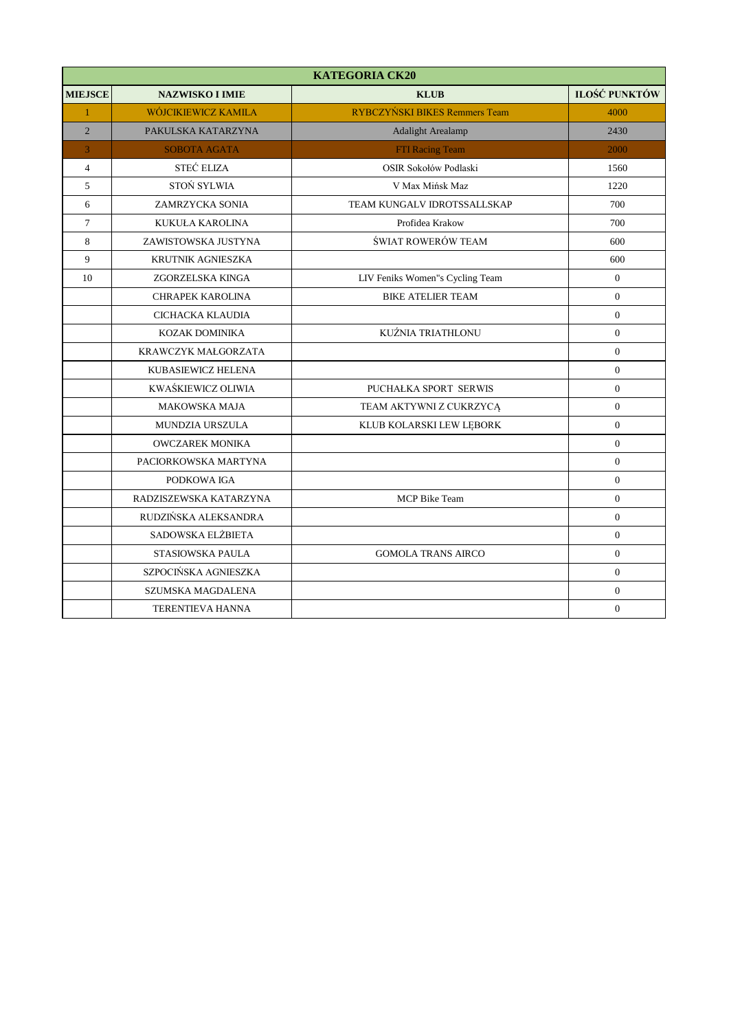|                | <b>KATEGORIA CK20</b>    |                                      |                      |  |
|----------------|--------------------------|--------------------------------------|----------------------|--|
| <b>MIEJSCE</b> | <b>NAZWISKO I IMIE</b>   | <b>KLUB</b>                          | <b>ILOŚĆ PUNKTÓW</b> |  |
| $\mathbf{1}$   | WÓJCIKIEWICZ KAMILA      | <b>RYBCZYŃSKI BIKES Remmers Team</b> | 4000                 |  |
| $\overline{2}$ | PAKULSKA KATARZYNA       | <b>Adalight Arealamp</b>             | 2430                 |  |
| 3              | <b>SOBOTA AGATA</b>      | FTI Racing Team                      | 2000                 |  |
| $\overline{4}$ | STEĆ ELIZA               | OSIR Sokołów Podlaski                | 1560                 |  |
| 5              | STOŃ SYLWIA              | V Max Mińsk Maz                      | 1220                 |  |
| 6              | ZAMRZYCKA SONIA          | TEAM KUNGALV IDROTSSALLSKAP          | 700                  |  |
| $\overline{7}$ | KUKUŁA KAROLINA          | Profidea Krakow                      | 700                  |  |
| 8              | ZAWISTOWSKA JUSTYNA      | ŚWIAT ROWERÓW TEAM                   | 600                  |  |
| 9              | <b>KRUTNIK AGNIESZKA</b> |                                      | 600                  |  |
| 10             | ZGORZELSKA KINGA         | LIV Feniks Women"s Cycling Team      | $\boldsymbol{0}$     |  |
|                | <b>CHRAPEK KAROLINA</b>  | <b>BIKE ATELIER TEAM</b>             | $\overline{0}$       |  |
|                | CICHACKA KLAUDIA         |                                      | $\overline{0}$       |  |
|                | KOZAK DOMINIKA           | KUŹNIA TRIATHLONU                    | $\overline{0}$       |  |
|                | KRAWCZYK MAŁGORZATA      |                                      | $\overline{0}$       |  |
|                | KUBASIEWICZ HELENA       |                                      | $\overline{0}$       |  |
|                | KWAŚKIEWICZ OLIWIA       | PUCHAŁKA SPORT SERWIS                | $\mathbf{0}$         |  |
|                | <b>MAKOWSKA MAJA</b>     | TEAM AKTYWNI Z CUKRZYCĄ              | $\boldsymbol{0}$     |  |
|                | MUNDZIA URSZULA          | KLUB KOLARSKI LEW LEBORK             | $\boldsymbol{0}$     |  |
|                | <b>OWCZAREK MONIKA</b>   |                                      | $\overline{0}$       |  |
|                | PACIORKOWSKA MARTYNA     |                                      | $\mathbf{0}$         |  |
|                | PODKOWA IGA              |                                      | $\overline{0}$       |  |
|                | RADZISZEWSKA KATARZYNA   | <b>MCP</b> Bike Team                 | $\mathbf{0}$         |  |
|                | RUDZIŃSKA ALEKSANDRA     |                                      | $\Omega$             |  |
|                | SADOWSKA ELŻBIETA        |                                      | $\overline{0}$       |  |
|                | STASIOWSKA PAULA         | <b>GOMOLA TRANS AIRCO</b>            | $\overline{0}$       |  |
|                | SZPOCIŃSKA AGNIESZKA     |                                      | $\overline{0}$       |  |
|                | SZUMSKA MAGDALENA        |                                      | $\mathbf{0}$         |  |
|                | <b>TERENTIEVA HANNA</b>  |                                      | $\overline{0}$       |  |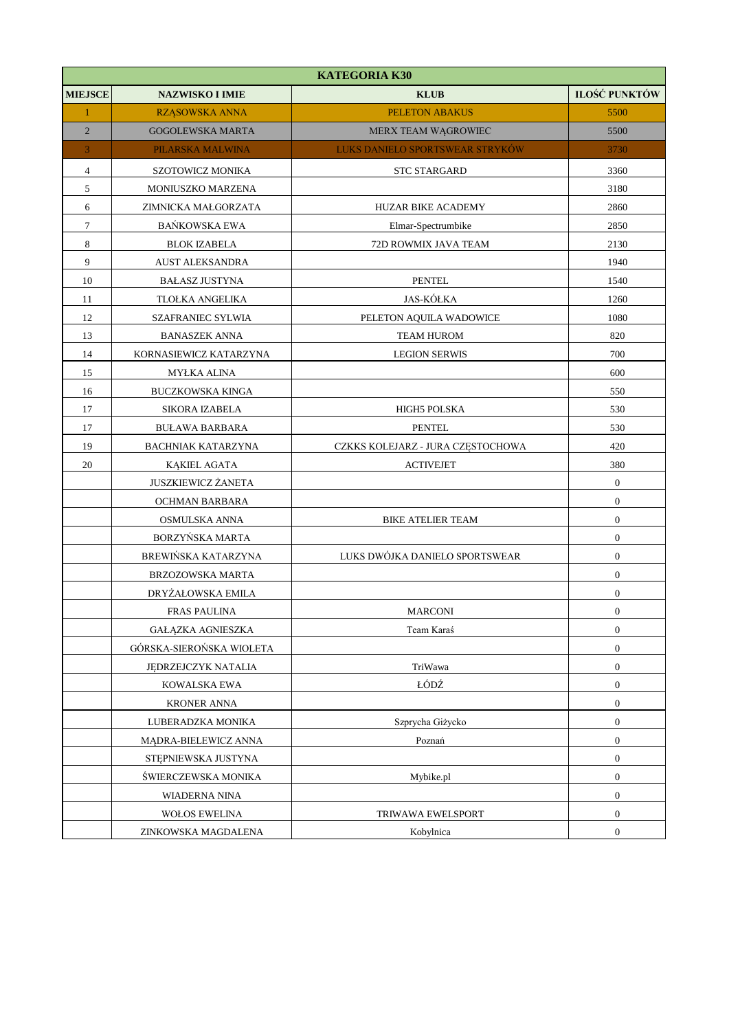|                          | <b>KATEGORIA K30</b>      |                                   |                  |  |
|--------------------------|---------------------------|-----------------------------------|------------------|--|
| <b>MIEJSCE</b>           | <b>NAZWISKO I IMIE</b>    | <b>KLUB</b>                       | ILOŚĆ PUNKTÓW    |  |
| $\mathbf{1}$             | RZĄSOWSKA ANNA            | <b>PELETON ABAKUS</b>             | 5500             |  |
| $\overline{2}$           | <b>GOGOLEWSKA MARTA</b>   | MERX TEAM WĄGROWIEC               | 5500             |  |
| 3                        | PILARSKA MALWINA          | LUKS DANIELO SPORTSWEAR STRYKÓW   | 3730             |  |
| $\overline{\mathcal{L}}$ | SZOTOWICZ MONIKA          | <b>STC STARGARD</b>               | 3360             |  |
| 5                        | MONIUSZKO MARZENA         |                                   | 3180             |  |
| 6                        | ZIMNICKA MAŁGORZATA       | HUZAR BIKE ACADEMY                | 2860             |  |
| $\tau$                   | BAŃKOWSKA EWA             | Elmar-Spectrumbike                | 2850             |  |
| $\,$ 8 $\,$              | <b>BLOK IZABELA</b>       | 72D ROWMIX JAVA TEAM              | 2130             |  |
| 9                        | <b>AUST ALEKSANDRA</b>    |                                   | 1940             |  |
| 10                       | <b>BAŁASZ JUSTYNA</b>     | <b>PENTEL</b>                     | 1540             |  |
| 11                       | TLOŁKA ANGELIKA           | <b>JAS-KÓŁKA</b>                  | 1260             |  |
| 12                       | <b>SZAFRANIEC SYLWIA</b>  | PELETON AQUILA WADOWICE           | 1080             |  |
| 13                       | <b>BANASZEK ANNA</b>      | <b>TEAM HUROM</b>                 | 820              |  |
| 14                       | KORNASIEWICZ KATARZYNA    | <b>LEGION SERWIS</b>              | 700              |  |
| 15                       | <b>MYŁKA ALINA</b>        |                                   | 600              |  |
| 16                       | <b>BUCZKOWSKA KINGA</b>   |                                   | 550              |  |
| 17                       | SIKORA IZABELA            | HIGH5 POLSKA                      | 530              |  |
| 17                       | <b>BULAWA BARBARA</b>     | <b>PENTEL</b>                     | 530              |  |
| 19                       | <b>BACHNIAK KATARZYNA</b> | CZKKS KOLEJARZ - JURA CZĘSTOCHOWA | 420              |  |
| 20                       | <b>KĄKIEL AGATA</b>       | <b>ACTIVEJET</b>                  | 380              |  |
|                          | JUSZKIEWICZ ŻANETA        |                                   | $\boldsymbol{0}$ |  |
|                          | OCHMAN BARBARA            |                                   | $\boldsymbol{0}$ |  |
|                          | OSMULSKA ANNA             | BIKE ATELIER TEAM                 | $\boldsymbol{0}$ |  |
|                          | BORZYŃSKA MARTA           |                                   | $\boldsymbol{0}$ |  |
|                          | BREWIŃSKA KATARZYNA       | LUKS DWÓJKA DANIELO SPORTSWEAR    | $\boldsymbol{0}$ |  |
|                          | BRZOZOWSKA MARTA          |                                   | $\boldsymbol{0}$ |  |
|                          | DRYŻAŁOWSKA EMILA         |                                   | $\boldsymbol{0}$ |  |
|                          | <b>FRAS PAULINA</b>       | <b>MARCONI</b>                    | $\mathbf{0}$     |  |
|                          | GAŁĄZKA AGNIESZKA         | Team Karaś                        | $\boldsymbol{0}$ |  |
|                          | GÓRSKA-SIEROŃSKA WIOLETA  |                                   | $\boldsymbol{0}$ |  |
|                          | JEDRZEJCZYK NATALIA       | TriWawa                           | $\boldsymbol{0}$ |  |
|                          | KOWALSKA EWA              | ŁÓDŹ                              | $\boldsymbol{0}$ |  |
|                          | <b>KRONER ANNA</b>        |                                   | $\boldsymbol{0}$ |  |
|                          | LUBERADZKA MONIKA         | Szprycha Giżycko                  | $\boldsymbol{0}$ |  |
|                          | MĄDRA-BIELEWICZ ANNA      | Poznań                            | $\boldsymbol{0}$ |  |
|                          | STEPNIEWSKA JUSTYNA       |                                   | $\boldsymbol{0}$ |  |
|                          | ŚWIERCZEWSKA MONIKA       | Mybike.pl                         | $\boldsymbol{0}$ |  |
|                          | WIADERNA NINA             |                                   | $\boldsymbol{0}$ |  |
|                          | <b>WOŁOS EWELINA</b>      | TRIWAWA EWELSPORT                 | $\boldsymbol{0}$ |  |
|                          | ZINKOWSKA MAGDALENA       | Kobylnica                         | $\boldsymbol{0}$ |  |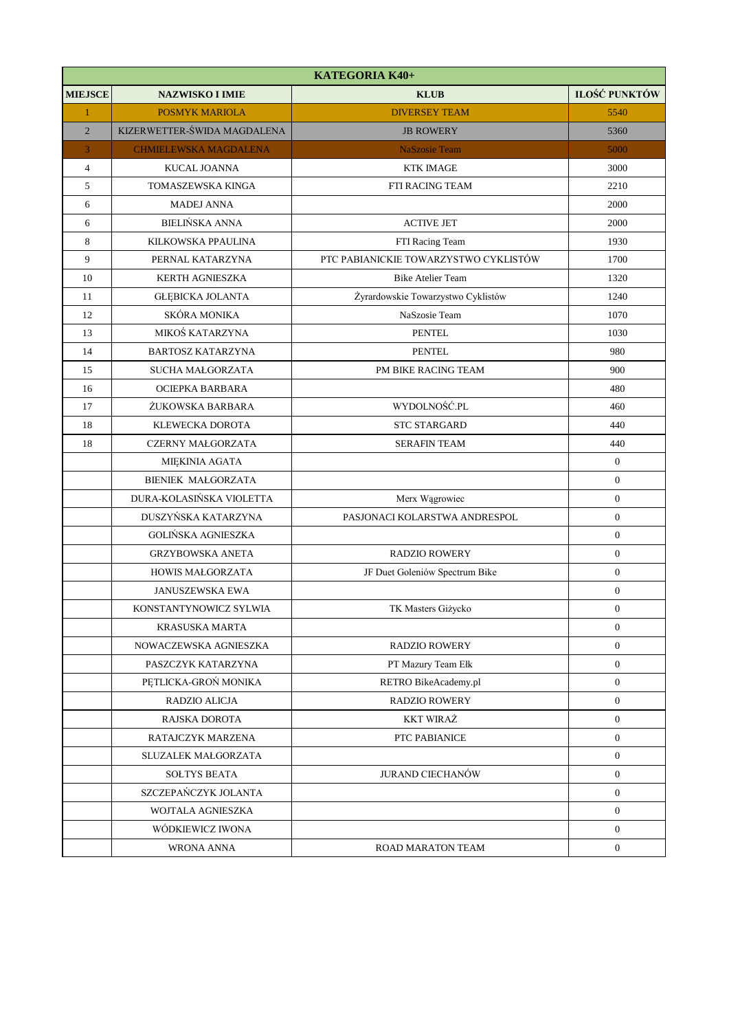|                  | KATEGORIA K40+               |                                       |                      |  |
|------------------|------------------------------|---------------------------------------|----------------------|--|
| <b>MIEJSCE</b>   | <b>NAZWISKO I IMIE</b>       | <b>KLUB</b>                           | <b>ILOŚĆ PUNKTÓW</b> |  |
| $\mathbf{1}$     | <b>POSMYK MARIOLA</b>        | <b>DIVERSEY TEAM</b>                  | 5540                 |  |
| $\overline{2}$   | KIZERWETTER-ŚWIDA MAGDALENA  | <b>JB ROWERY</b>                      | 5360                 |  |
| 3                | <b>CHMIELEWSKA MAGDALENA</b> | <b>NaSzosie Team</b>                  | 5000                 |  |
| $\overline{4}$   | KUCAL JOANNA                 | <b>KTK IMAGE</b>                      | 3000                 |  |
| $\sqrt{5}$       | TOMASZEWSKA KINGA            | FTI RACING TEAM                       | 2210                 |  |
| 6                | <b>MADEJ ANNA</b>            |                                       | 2000                 |  |
| 6                | <b>BIELIŃSKA ANNA</b>        | <b>ACTIVE JET</b>                     | 2000                 |  |
| 8                | KILKOWSKA PPAULINA           | FTI Racing Team                       | 1930                 |  |
| $\boldsymbol{9}$ | PERNAL KATARZYNA             | PTC PABIANICKIE TOWARZYSTWO CYKLISTÓW | 1700                 |  |
| 10               | <b>KERTH AGNIESZKA</b>       | <b>Bike Atelier Team</b>              | 1320                 |  |
| 11               | <b>GŁĘBICKA JOLANTA</b>      | Żyrardowskie Towarzystwo Cyklistów    | 1240                 |  |
| 12               | SKÓRA MONIKA                 | NaSzosie Team                         | 1070                 |  |
| 13               | MIKOŚ KATARZYNA              | <b>PENTEL</b>                         | 1030                 |  |
| 14               | <b>BARTOSZ KATARZYNA</b>     | <b>PENTEL</b>                         | 980                  |  |
| 15               | <b>SUCHA MAŁGORZATA</b>      | PM BIKE RACING TEAM                   | 900                  |  |
| 16               | OCIEPKA BARBARA              |                                       | 480                  |  |
| 17               | ŻUKOWSKA BARBARA             | WYDOLNOŚĆ.PL                          | 460                  |  |
| 18               | KLEWECKA DOROTA              | <b>STC STARGARD</b>                   | 440                  |  |
| 18               | <b>CZERNY MAŁGORZATA</b>     | <b>SERAFIN TEAM</b>                   | 440                  |  |
|                  | <b>MIEKINIA AGATA</b>        |                                       | $\mathbf{0}$         |  |
|                  | <b>BIENIEK MAŁGORZATA</b>    |                                       | $\boldsymbol{0}$     |  |
|                  | DURA-KOLASIŃSKA VIOLETTA     | Merx Wągrowiec                        | $\boldsymbol{0}$     |  |
|                  | DUSZYŃSKA KATARZYNA          | PASJONACI KOLARSTWA ANDRESPOL         | $\boldsymbol{0}$     |  |
|                  | <b>GOLIŃSKA AGNIESZKA</b>    |                                       | $\boldsymbol{0}$     |  |
|                  | <b>GRZYBOWSKA ANETA</b>      | <b>RADZIO ROWERY</b>                  | $\boldsymbol{0}$     |  |
|                  | <b>HOWIS MAŁGORZATA</b>      | JF Duet Goleniów Spectrum Bike        | $\boldsymbol{0}$     |  |
|                  | <b>JANUSZEWSKA EWA</b>       |                                       | $\boldsymbol{0}$     |  |
|                  | KONSTANTYNOWICZ SYLWIA       | TK Masters Giżycko                    | $\boldsymbol{0}$     |  |
|                  | <b>KRASUSKA MARTA</b>        |                                       | $\boldsymbol{0}$     |  |
|                  | NOWACZEWSKA AGNIESZKA        | <b>RADZIO ROWERY</b>                  | $\mathbf{0}$         |  |
|                  | PASZCZYK KATARZYNA           | PT Mazury Team Ełk                    | $\mathbf{0}$         |  |
|                  | PETLICKA-GRON MONIKA         | RETRO BikeAcademy.pl                  | $\boldsymbol{0}$     |  |
|                  | RADZIO ALICJA                | <b>RADZIO ROWERY</b>                  | $\mathbf{0}$         |  |
|                  | RAJSKA DOROTA                | <b>KKT WIRAZ</b>                      | $\boldsymbol{0}$     |  |
|                  | RATAJCZYK MARZENA            | PTC PABIANICE                         | $\mathbf{0}$         |  |
|                  | SLUZALEK MAŁGORZATA          |                                       | $\boldsymbol{0}$     |  |
|                  | <b>SOLTYS BEATA</b>          | JURAND CIECHANÓW                      | $\mathbf{0}$         |  |
|                  | SZCZEPAŃCZYK JOLANTA         |                                       | $\mathbf{0}$         |  |
|                  | WOJTALA AGNIESZKA            |                                       | $\mathbf{0}$         |  |
|                  | WÓDKIEWICZ IWONA             |                                       | $\overline{0}$       |  |
|                  | WRONA ANNA                   | ROAD MARATON TEAM                     | $\boldsymbol{0}$     |  |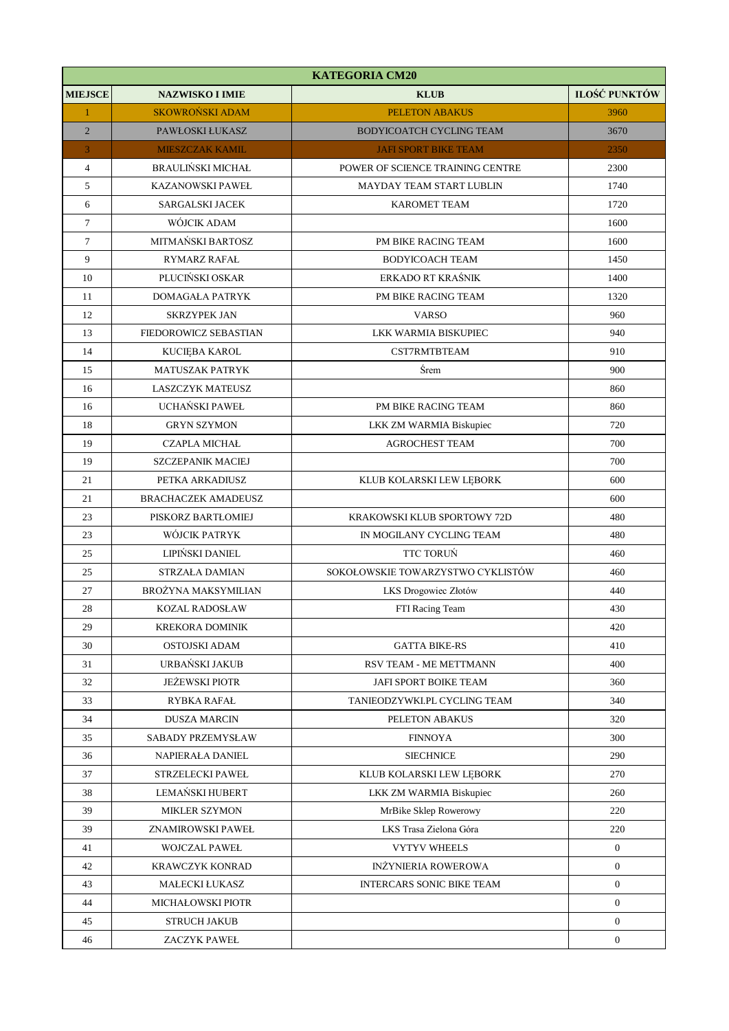|                | <b>KATEGORIA CM20</b>      |                                   |                  |  |
|----------------|----------------------------|-----------------------------------|------------------|--|
| <b>MIEJSCE</b> | <b>NAZWISKO I IMIE</b>     | <b>KLUB</b>                       | ILOŚĆ PUNKTÓW    |  |
| $\mathbf{1}$   | <b>SKOWROŃSKI ADAM</b>     | <b>PELETON ABAKUS</b>             | 3960             |  |
| $\overline{2}$ | PAWŁOSKI ŁUKASZ            | BODYICOATCH CYCLING TEAM          | 3670             |  |
| 3              | <b>MIESZCZAK KAMIL</b>     | <b>JAFI SPORT BIKE TEAM</b>       | 2350             |  |
| $\overline{4}$ | <b>BRAULIŃSKI MICHAŁ</b>   | POWER OF SCIENCE TRAINING CENTRE  | 2300             |  |
| 5              | <b>KAZANOWSKI PAWEŁ</b>    | MAYDAY TEAM START LUBLIN          | 1740             |  |
| 6              | SARGALSKI JACEK            | <b>KAROMET TEAM</b>               | 1720             |  |
| $\tau$         | WÓJCIK ADAM                |                                   | 1600             |  |
| $\tau$         | MITMAŃSKI BARTOSZ          | PM BIKE RACING TEAM               | 1600             |  |
| 9              | RYMARZ RAFAŁ               | <b>BODYICOACH TEAM</b>            | 1450             |  |
| 10             | PLUCIŃSKI OSKAR            | ERKADO RT KRAŚNIK                 | 1400             |  |
| 11             | <b>DOMAGAŁA PATRYK</b>     | PM BIKE RACING TEAM               | 1320             |  |
| 12             | <b>SKRZYPEK JAN</b>        | <b>VARSO</b>                      | 960              |  |
| 13             | FIEDOROWICZ SEBASTIAN      | LKK WARMIA BISKUPIEC              | 940              |  |
| 14             | KUCIEBA KAROL              | CST7RMTBTEAM                      | 910              |  |
| 15             | <b>MATUSZAK PATRYK</b>     | Śrem                              | 900              |  |
| 16             | <b>LASZCZYK MATEUSZ</b>    |                                   | 860              |  |
| 16             | UCHAŃSKI PAWEŁ             | PM BIKE RACING TEAM               | 860              |  |
| 18             | <b>GRYN SZYMON</b>         | LKK ZM WARMIA Biskupiec           | 720              |  |
| 19             | <b>CZAPLA MICHAŁ</b>       | <b>AGROCHEST TEAM</b>             | 700              |  |
| 19             | <b>SZCZEPANIK MACIEJ</b>   |                                   | 700              |  |
| 21             | PETKA ARKADIUSZ            | KLUB KOLARSKI LEW LĘBORK          | 600              |  |
| 21             | <b>BRACHACZEK AMADEUSZ</b> |                                   | 600              |  |
| 23             | PISKORZ BARTŁOMIEJ         | KRAKOWSKI KLUB SPORTOWY 72D       | 480              |  |
| 23             | WÓJCIK PATRYK              | IN MOGILANY CYCLING TEAM          | 480              |  |
| 25             | LIPIŃSKI DANIEL            | <b>TTC TORUN</b>                  | 460              |  |
| 25             | <b>STRZAŁA DAMIAN</b>      | SOKOŁOWSKIE TOWARZYSTWO CYKLISTÓW | 460              |  |
| 27             | <b>BROŻYNA MAKSYMILIAN</b> | LKS Drogowiec Złotów              | 440              |  |
| 28             | <b>KOZAL RADOSŁAW</b>      | FTI Racing Team                   | 430              |  |
| 29             | <b>KREKORA DOMINIK</b>     |                                   | 420              |  |
| 30             | OSTOJSKI ADAM              | <b>GATTA BIKE-RS</b>              | 410              |  |
| 31             | URBAŃSKI JAKUB             | RSV TEAM - ME METTMANN            | 400              |  |
| 32             | <b>JEŻEWSKI PIOTR</b>      | JAFI SPORT BOIKE TEAM             | 360              |  |
| 33             | RYBKA RAFAŁ                | TANIEODZYWKI.PL CYCLING TEAM      | 340              |  |
| 34             | <b>DUSZA MARCIN</b>        | PELETON ABAKUS                    | 320              |  |
| 35             | SABADY PRZEMYSŁAW          | <b>FINNOYA</b>                    | 300              |  |
| 36             | NAPIERAŁA DANIEL           | <b>SIECHNICE</b>                  | 290              |  |
| 37             | STRZELECKI PAWEŁ           | KLUB KOLARSKI LEW LĘBORK          | 270              |  |
| 38             | LEMAŃSKI HUBERT            | LKK ZM WARMIA Biskupiec           | 260              |  |
| 39             | <b>MIKLER SZYMON</b>       | MrBike Sklep Rowerowy             | 220              |  |
| 39             | ZNAMIROWSKI PAWEŁ          | LKS Trasa Zielona Góra            | 220              |  |
| 41             | <b>WOJCZAL PAWEŁ</b>       | <b>VYTYV WHEELS</b>               | $\boldsymbol{0}$ |  |
| 42             | KRAWCZYK KONRAD            | <b>INŻYNIERIA ROWEROWA</b>        | $\mathbf{0}$     |  |
| 43             | MAŁECKI ŁUKASZ             | INTERCARS SONIC BIKE TEAM         | $\mathbf{0}$     |  |
| 44             | MICHAŁOWSKI PIOTR          |                                   | $\boldsymbol{0}$ |  |
| 45             | <b>STRUCH JAKUB</b>        |                                   | $\overline{0}$   |  |
| 46             | ZACZYK PAWEŁ               |                                   | $\boldsymbol{0}$ |  |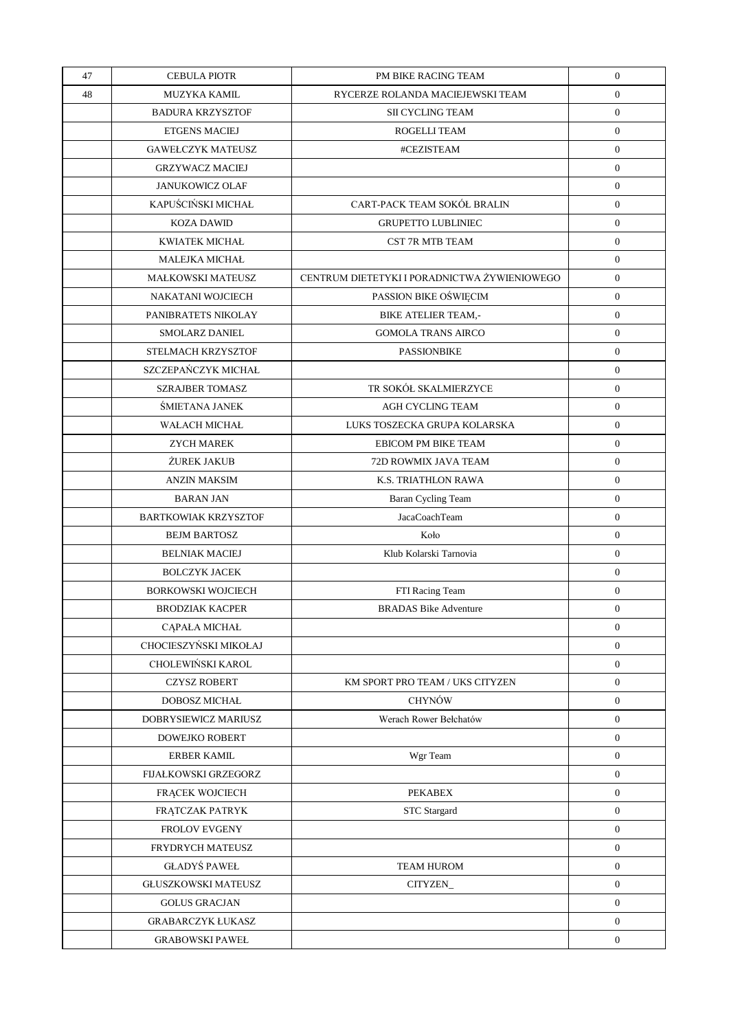| 47 | <b>CEBULA PIOTR</b>         | PM BIKE RACING TEAM                          | $\boldsymbol{0}$ |
|----|-----------------------------|----------------------------------------------|------------------|
| 48 | <b>MUZYKA KAMIL</b>         | RYCERZE ROLANDA MACIEJEWSKI TEAM             | $\overline{0}$   |
|    | <b>BADURA KRZYSZTOF</b>     | <b>SII CYCLING TEAM</b>                      | $\boldsymbol{0}$ |
|    | <b>ETGENS MACIEJ</b>        | ROGELLI TEAM                                 | $\overline{0}$   |
|    | <b>GAWEŁCZYK MATEUSZ</b>    | #CEZISTEAM                                   | $\mathbf{0}$     |
|    | <b>GRZYWACZ MACIEJ</b>      |                                              | $\overline{0}$   |
|    | <b>JANUKOWICZ OLAF</b>      |                                              | $\mathbf{0}$     |
|    | KAPUŚCIŃSKI MICHAŁ          | CART-PACK TEAM SOKÓŁ BRALIN                  | $\overline{0}$   |
|    | <b>KOZA DAWID</b>           | <b>GRUPETTO LUBLINIEC</b>                    | $\mathbf{0}$     |
|    | <b>KWIATEK MICHAŁ</b>       | <b>CST 7R MTB TEAM</b>                       | $\mathbf{0}$     |
|    | <b>MALEJKA MICHAŁ</b>       |                                              | $\mathbf{0}$     |
|    | <b>MAŁKOWSKI MATEUSZ</b>    | CENTRUM DIETETYKI I PORADNICTWA ŻYWIENIOWEGO | $\overline{0}$   |
|    | NAKATANI WOJCIECH           | PASSION BIKE OŚWIĘCIM                        | $\mathbf{0}$     |
|    | PANIBRATETS NIKOLAY         | <b>BIKE ATELIER TEAM,-</b>                   | $\overline{0}$   |
|    | <b>SMOLARZ DANIEL</b>       | <b>GOMOLA TRANS AIRCO</b>                    | $\mathbf{0}$     |
|    | STELMACH KRZYSZTOF          | <b>PASSIONBIKE</b>                           | $\overline{0}$   |
|    | SZCZEPAŃCZYK MICHAŁ         |                                              | $\mathbf{0}$     |
|    | <b>SZRAJBER TOMASZ</b>      | TR SOKÓŁ SKALMIERZYCE                        | $\mathbf{0}$     |
|    | ŚMIETANA JANEK              | <b>AGH CYCLING TEAM</b>                      | $\boldsymbol{0}$ |
|    | <b>WAŁACH MICHAŁ</b>        | LUKS TOSZECKA GRUPA KOLARSKA                 | $\mathbf{0}$     |
|    | <b>ZYCH MAREK</b>           | EBICOM PM BIKE TEAM                          | $\mathbf{0}$     |
|    | <b>ŻUREK JAKUB</b>          | 72D ROWMIX JAVA TEAM                         | $\overline{0}$   |
|    | <b>ANZIN MAKSIM</b>         | K.S. TRIATHLON RAWA                          | $\mathbf{0}$     |
|    | <b>BARAN JAN</b>            | Baran Cycling Team                           | $\overline{0}$   |
|    | <b>BARTKOWIAK KRZYSZTOF</b> | JacaCoachTeam                                | $\mathbf{0}$     |
|    | <b>BEJM BARTOSZ</b>         | Koło                                         | $\mathbf{0}$     |
|    | <b>BELNIAK MACIEJ</b>       | Klub Kolarski Tarnovia                       | $\boldsymbol{0}$ |
|    | <b>BOLCZYK JACEK</b>        |                                              | $\mathbf{0}$     |
|    | <b>BORKOWSKI WOJCIECH</b>   | FTI Racing Team                              | $\mathbf{0}$     |
|    | <b>BRODZIAK KACPER</b>      | <b>BRADAS Bike Adventure</b>                 | $\boldsymbol{0}$ |
|    | CĄPAŁA MICHAŁ               |                                              | $\mathbf{0}$     |
|    | CHOCIESZYŃSKI MIKOŁAJ       |                                              | $\overline{0}$   |
|    | CHOLEWIŃSKI KAROL           |                                              | $\overline{0}$   |
|    | <b>CZYSZ ROBERT</b>         | KM SPORT PRO TEAM / UKS CITYZEN              | $\overline{0}$   |
|    | <b>DOBOSZ MICHAŁ</b>        | <b>CHYNÓW</b>                                | $\overline{0}$   |
|    | DOBRYSIEWICZ MARIUSZ        | Werach Rower Bełchatów                       | $\overline{0}$   |
|    | <b>DOWEJKO ROBERT</b>       |                                              | $\overline{0}$   |
|    | <b>ERBER KAMIL</b>          | Wgr Team                                     | $\overline{0}$   |
|    | <b>FIJAŁKOWSKI GRZEGORZ</b> |                                              | $\overline{0}$   |
|    | FRACEK WOJCIECH             | <b>PEKABEX</b>                               | $\overline{0}$   |
|    | FRĄTCZAK PATRYK             | <b>STC</b> Stargard                          | $\overline{0}$   |
|    | <b>FROLOV EVGENY</b>        |                                              | $\overline{0}$   |
|    | FRYDRYCH MATEUSZ            |                                              | $\overline{0}$   |
|    | <b>GŁADYŚ PAWEŁ</b>         | <b>TEAM HUROM</b>                            | $\overline{0}$   |
|    | <b>GŁUSZKOWSKI MATEUSZ</b>  | CITYZEN_                                     | $\overline{0}$   |
|    | <b>GOLUS GRACJAN</b>        |                                              | $\overline{0}$   |
|    | <b>GRABARCZYK ŁUKASZ</b>    |                                              | $\overline{0}$   |
|    | <b>GRABOWSKI PAWEŁ</b>      |                                              | $\overline{0}$   |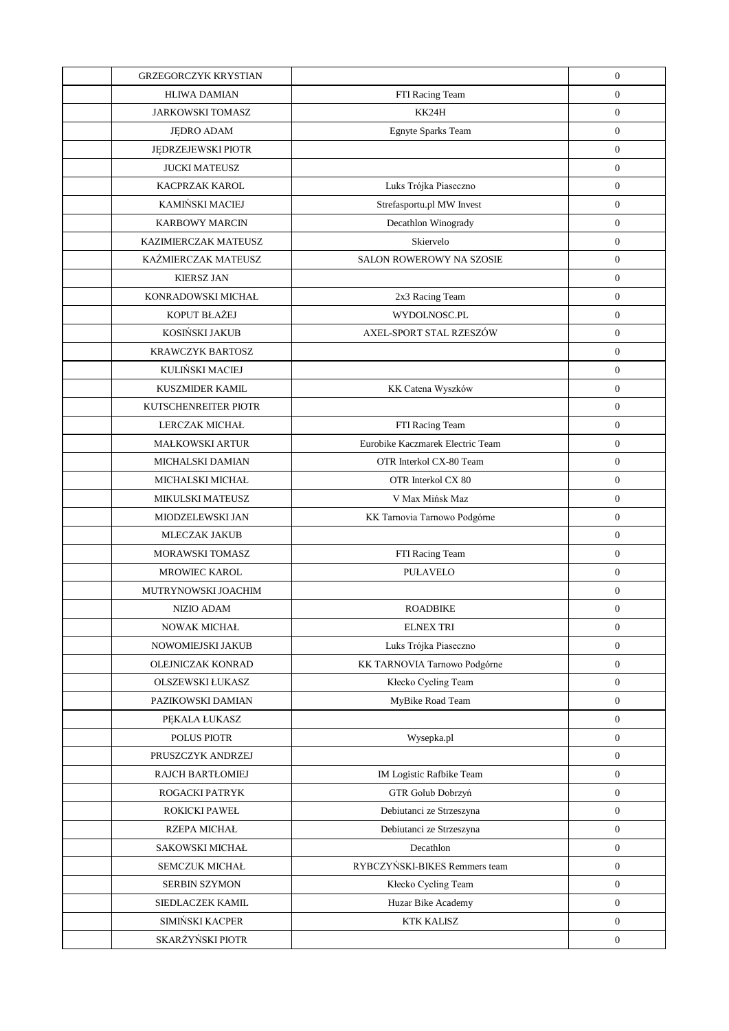| <b>GRZEGORCZYK KRYSTIAN</b> |                                  | $\boldsymbol{0}$ |
|-----------------------------|----------------------------------|------------------|
| <b>HLIWA DAMIAN</b>         | FTI Racing Team                  | $\boldsymbol{0}$ |
| <b>JARKOWSKI TOMASZ</b>     | KK24H                            | $\boldsymbol{0}$ |
| <b>JEDRO ADAM</b>           | Egnyte Sparks Team               | $\boldsymbol{0}$ |
| JĘDRZEJEWSKI PIOTR          |                                  | $\boldsymbol{0}$ |
| <b>JUCKI MATEUSZ</b>        |                                  | $\boldsymbol{0}$ |
| KACPRZAK KAROL              | Luks Trójka Piaseczno            | $\boldsymbol{0}$ |
| KAMIŃSKI MACIEJ             | Strefasportu.pl MW Invest        | $\boldsymbol{0}$ |
| <b>KARBOWY MARCIN</b>       | Decathlon Winogrady              | $\boldsymbol{0}$ |
| KAZIMIERCZAK MATEUSZ        | Skiervelo                        | $\boldsymbol{0}$ |
| KAŹMIERCZAK MATEUSZ         | SALON ROWEROWY NA SZOSIE         | $\boldsymbol{0}$ |
| <b>KIERSZ JAN</b>           |                                  | $\boldsymbol{0}$ |
| KONRADOWSKI MICHAŁ          | 2x3 Racing Team                  | $\boldsymbol{0}$ |
| KOPUT BŁAŻEJ                | WYDOLNOSC.PL                     | $\boldsymbol{0}$ |
| KOSIŃSKI JAKUB              | AXEL-SPORT STAL RZESZÓW          | $\boldsymbol{0}$ |
| <b>KRAWCZYK BARTOSZ</b>     |                                  | $\boldsymbol{0}$ |
| KULIŃSKI MACIEJ             |                                  | $\boldsymbol{0}$ |
| <b>KUSZMIDER KAMIL</b>      | KK Catena Wyszków                | $\boldsymbol{0}$ |
| KUTSCHENREITER PIOTR        |                                  | $\boldsymbol{0}$ |
| <b>LERCZAK MICHAŁ</b>       | FTI Racing Team                  | $\boldsymbol{0}$ |
| <b>MAŁKOWSKI ARTUR</b>      | Eurobike Kaczmarek Electric Team | $\boldsymbol{0}$ |
| MICHALSKI DAMIAN            | OTR Interkol CX-80 Team          | $\boldsymbol{0}$ |
| MICHALSKI MICHAŁ            | OTR Interkol CX 80               | $\boldsymbol{0}$ |
| <b>MIKULSKI MATEUSZ</b>     | V Max Mińsk Maz                  | $\boldsymbol{0}$ |
| MIODZELEWSKI JAN            | KK Tarnovia Tarnowo Podgórne     | $\boldsymbol{0}$ |
| <b>MLECZAK JAKUB</b>        |                                  | $\boldsymbol{0}$ |
| MORAWSKI TOMASZ             | FTI Racing Team                  | $\boldsymbol{0}$ |
| <b>MROWIEC KAROL</b>        | <b>PUŁAVELO</b>                  | $\boldsymbol{0}$ |
| MUTRYNOWSKI JOACHIM         |                                  | $\boldsymbol{0}$ |
| <b>NIZIO ADAM</b>           | <b>ROADBIKE</b>                  | $\mathbf{0}$     |
| NOWAK MICHAŁ                | <b>ELNEX TRI</b>                 | $\boldsymbol{0}$ |
| NOWOMIEJSKI JAKUB           | Luks Trójka Piaseczno            | $\boldsymbol{0}$ |
| OLEJNICZAK KONRAD           | KK TARNOVIA Tarnowo Podgórne     | $\mathbf{0}$     |
| <b>OLSZEWSKI ŁUKASZ</b>     | Kłecko Cycling Team              | $\boldsymbol{0}$ |
| PAZIKOWSKI DAMIAN           | MyBike Road Team                 | $\mathbf{0}$     |
| PEKALA ŁUKASZ               |                                  | $\mathbf{0}$     |
| POLUS PIOTR                 | Wysepka.pl                       | $\mathbf{0}$     |
| PRUSZCZYK ANDRZEJ           |                                  | $\mathbf{0}$     |
| <b>RAJCH BARTŁOMIEJ</b>     | IM Logistic Rafbike Team         | $\mathbf{0}$     |
| ROGACKI PATRYK              | GTR Golub Dobrzyń                | $\mathbf{0}$     |
| ROKICKI PAWEŁ               | Debiutanci ze Strzeszyna         | $\mathbf{0}$     |
| RZEPA MICHAŁ                | Debiutanci ze Strzeszyna         | $\mathbf{0}$     |
| SAKOWSKI MICHAŁ             | Decathlon                        | $\mathbf{0}$     |
| <b>SEMCZUK MICHAŁ</b>       | RYBCZYŃSKI-BIKES Remmers team    | $\mathbf{0}$     |
| SERBIN SZYMON               | Kłecko Cycling Team              | $\mathbf{0}$     |
| SIEDLACZEK KAMIL            | Huzar Bike Academy               | $\overline{0}$   |
| SIMIŃSKI KACPER             | <b>KTK KALISZ</b>                | $\overline{0}$   |
| SKARŻYŃSKI PIOTR            |                                  | $\boldsymbol{0}$ |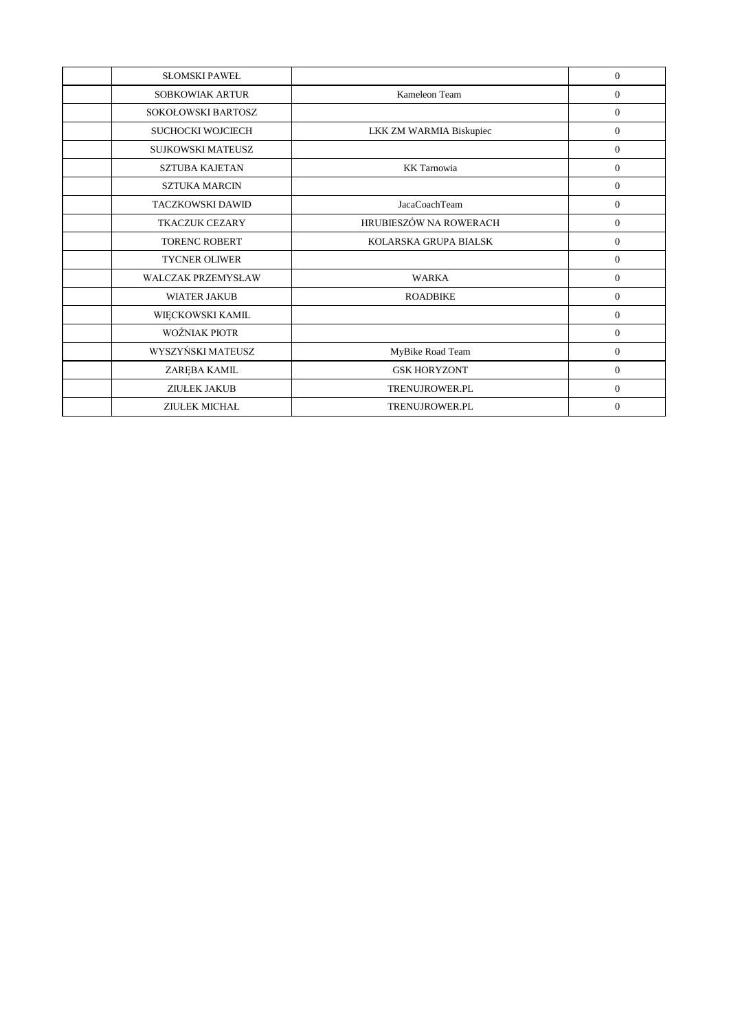| <b>SLOMSKI PAWEL</b>      |                         | $\Omega$       |
|---------------------------|-------------------------|----------------|
| <b>SOBKOWIAK ARTUR</b>    | Kameleon Team           | $\overline{0}$ |
| SOKOŁOWSKI BARTOSZ        |                         | $\overline{0}$ |
| <b>SUCHOCKI WOJCIECH</b>  | LKK ZM WARMIA Biskupiec | $\overline{0}$ |
| SUJKOWSKI MATEUSZ         |                         | $\mathbf{0}$   |
| <b>SZTUBA KAJETAN</b>     | <b>KK</b> Tarnowia      | $\overline{0}$ |
| <b>SZTUKA MARCIN</b>      |                         | $\overline{0}$ |
| TACZKOWSKI DAWID          | JacaCoachTeam           | $\overline{0}$ |
| <b>TKACZUK CEZARY</b>     | HRUBIESZÓW NA ROWERACH  | $\overline{0}$ |
| <b>TORENC ROBERT</b>      | KOLARSKA GRUPA BIALSK   | $\mathbf{0}$   |
| <b>TYCNER OLIWER</b>      |                         | $\overline{0}$ |
| <b>WALCZAK PRZEMYSŁAW</b> | <b>WARKA</b>            | $\overline{0}$ |
| <b>WIATER JAKUB</b>       | <b>ROADBIKE</b>         | $\Omega$       |
| WIĘCKOWSKI KAMIL          |                         | $\mathbf{0}$   |
| WOŹNIAK PIOTR             |                         | $\mathbf{0}$   |
| WYSZYŃSKI MATEUSZ         | MyBike Road Team        | $\overline{0}$ |
| ZARĘBA KAMIL              | <b>GSK HORYZONT</b>     | $\overline{0}$ |
| <b>ZIUŁEK JAKUB</b>       | <b>TRENUJROWER.PL</b>   | $\overline{0}$ |
| <b>ZIUŁEK MICHAŁ</b>      | <b>TRENUJROWER.PL</b>   | $\Omega$       |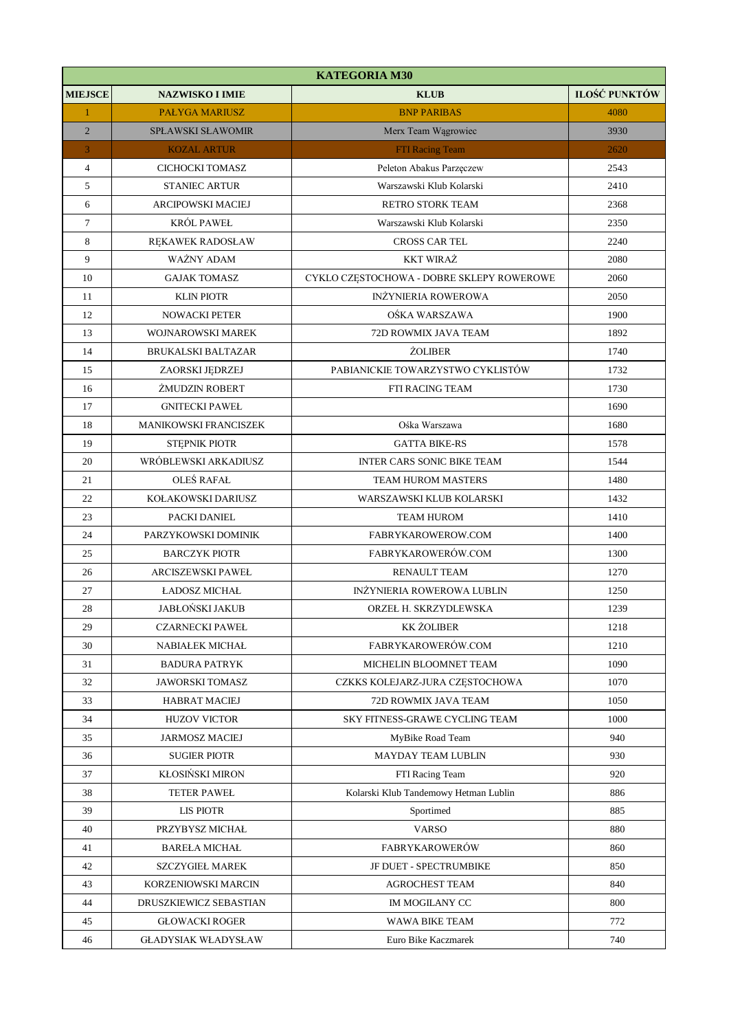|                | <b>KATEGORIA M30</b>         |                                           |                      |  |
|----------------|------------------------------|-------------------------------------------|----------------------|--|
| <b>MIEJSCE</b> | <b>NAZWISKO I IMIE</b>       | <b>KLUB</b>                               | <b>ILOŚĆ PUNKTÓW</b> |  |
| $\mathbf{1}$   | <b>PAŁYGA MARIUSZ</b>        | <b>BNP PARIBAS</b>                        | 4080                 |  |
| $\overline{2}$ | <b>SPŁAWSKI SŁAWOMIR</b>     | Merx Team Wągrowiec                       | 3930                 |  |
| 3              | <b>KOZAL ARTUR</b>           | <b>FTI Racing Team</b>                    | 2620                 |  |
| $\overline{4}$ | CICHOCKI TOMASZ              | Peleton Abakus Parzęczew                  | 2543                 |  |
| 5              | <b>STANIEC ARTUR</b>         | Warszawski Klub Kolarski                  | 2410                 |  |
| 6              | ARCIPOWSKI MACIEJ            | <b>RETRO STORK TEAM</b>                   | 2368                 |  |
| $\tau$         | KRÓL PAWEŁ                   | Warszawski Klub Kolarski                  | 2350                 |  |
| 8              | RĘKAWEK RADOSŁAW             | <b>CROSS CAR TEL</b>                      | 2240                 |  |
| 9              | WAŻNY ADAM                   | <b>KKT WIRAŻ</b>                          | 2080                 |  |
| 10             | <b>GAJAK TOMASZ</b>          | CYKLO CZĘSTOCHOWA - DOBRE SKLEPY ROWEROWE | 2060                 |  |
| 11             | <b>KLIN PIOTR</b>            | <b>INŻYNIERIA ROWEROWA</b>                | 2050                 |  |
| 12             | NOWACKI PETER                | OŚKA WARSZAWA                             | 1900                 |  |
| 13             | WOJNAROWSKI MAREK            | 72D ROWMIX JAVA TEAM                      | 1892                 |  |
| 14             | <b>BRUKALSKI BALTAZAR</b>    | <b>ŻOLIBER</b>                            | 1740                 |  |
| 15             | ZAORSKI JĘDRZEJ              | PABIANICKIE TOWARZYSTWO CYKLISTÓW         | 1732                 |  |
| 16             | ŻMUDZIN ROBERT               | FTI RACING TEAM                           | 1730                 |  |
| 17             | <b>GNITECKI PAWEŁ</b>        |                                           | 1690                 |  |
| 18             | <b>MANIKOWSKI FRANCISZEK</b> | Ośka Warszawa                             | 1680                 |  |
| 19             | STĘPNIK PIOTR                | <b>GATTA BIKE-RS</b>                      | 1578                 |  |
| 20             | WRÓBLEWSKI ARKADIUSZ         | <b>INTER CARS SONIC BIKE TEAM</b>         | 1544                 |  |
| 21             | OLEŚ RAFAŁ                   | <b>TEAM HUROM MASTERS</b>                 | 1480                 |  |
| 22             | KOŁAKOWSKI DARIUSZ           | WARSZAWSKI KLUB KOLARSKI                  | 1432                 |  |
| 23             | PACKI DANIEL                 | <b>TEAM HUROM</b>                         | 1410                 |  |
| 24             | PARZYKOWSKI DOMINIK          | FABRYKAROWEROW.COM                        | 1400                 |  |
| 25             | <b>BARCZYK PIOTR</b>         | FABRYKAROWERÓW.COM                        | 1300                 |  |
| 26             | <b>ARCISZEWSKI PAWEŁ</b>     | <b>RENAULT TEAM</b>                       | 1270                 |  |
| 27             | ŁADOSZ MICHAŁ                | INŻYNIERIA ROWEROWA LUBLIN                | 1250                 |  |
| 28             | <b>JABŁOŃSKI JAKUB</b>       | ORZEŁ H. SKRZYDLEWSKA                     | 1239                 |  |
| 29             | <b>CZARNECKI PAWEŁ</b>       | <b>KK ŻOLIBER</b>                         | 1218                 |  |
| 30             | NABIAŁEK MICHAŁ              | FABRYKAROWERÓW.COM                        | 1210                 |  |
| 31             | <b>BADURA PATRYK</b>         | MICHELIN BLOOMNET TEAM                    | 1090                 |  |
| 32             | <b>JAWORSKI TOMASZ</b>       | CZKKS KOLEJARZ-JURA CZĘSTOCHOWA           | 1070                 |  |
| 33             | <b>HABRAT MACIEJ</b>         | 72D ROWMIX JAVA TEAM                      | 1050                 |  |
| 34             | <b>HUZOV VICTOR</b>          | SKY FITNESS-GRAWE CYCLING TEAM            | 1000                 |  |
| 35             | <b>JARMOSZ MACIEJ</b>        | MyBike Road Team                          | 940                  |  |
| 36             | <b>SUGIER PIOTR</b>          | MAYDAY TEAM LUBLIN                        | 930                  |  |
| 37             | KŁOSIŃSKI MIRON              | FTI Racing Team                           | 920                  |  |
| 38             | <b>TETER PAWEŁ</b>           | Kolarski Klub Tandemowy Hetman Lublin     | 886                  |  |
| 39             | <b>LIS PIOTR</b>             | Sportimed                                 | 885                  |  |
| 40             | PRZYBYSZ MICHAŁ              | <b>VARSO</b>                              | 880                  |  |
| 41             | <b>BARELA MICHAL</b>         | <b>FABRYKAROWERÓW</b>                     | 860                  |  |
| 42             | <b>SZCZYGIEŁ MAREK</b>       | JF DUET - SPECTRUMBIKE                    | 850                  |  |
| 43             | KORZENIOWSKI MARCIN          | <b>AGROCHEST TEAM</b>                     | 840                  |  |
| 44             | DRUSZKIEWICZ SEBASTIAN       | IM MOGILANY CC                            | 800                  |  |
| 45             | <b>GŁOWACKI ROGER</b>        | WAWA BIKE TEAM                            | 772                  |  |
| 46             | <b>GLADYSIAK WŁADYSŁAW</b>   | Euro Bike Kaczmarek                       | 740                  |  |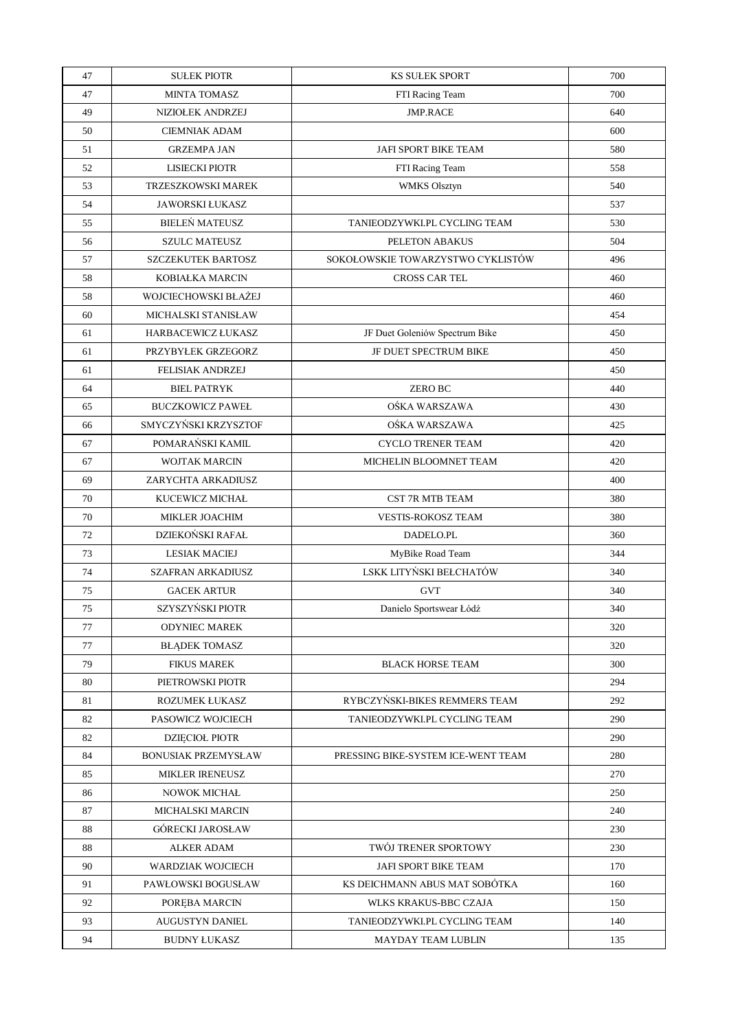| 47 | <b>SULEK PIOTR</b>         | <b>KS SULEK SPORT</b>              | 700 |
|----|----------------------------|------------------------------------|-----|
| 47 | <b>MINTA TOMASZ</b>        | FTI Racing Team                    | 700 |
| 49 | NIZIOŁEK ANDRZEJ           | <b>JMP.RACE</b>                    | 640 |
| 50 | <b>CIEMNIAK ADAM</b>       |                                    | 600 |
| 51 | <b>GRZEMPA JAN</b>         | JAFI SPORT BIKE TEAM               | 580 |
| 52 | LISIECKI PIOTR             | FTI Racing Team                    | 558 |
| 53 | TRZESZKOWSKI MAREK         | WMKS Olsztyn                       | 540 |
| 54 | <b>JAWORSKI ŁUKASZ</b>     |                                    | 537 |
| 55 | <b>BIELEŃ MATEUSZ</b>      | TANIEODZYWKI.PL CYCLING TEAM       | 530 |
| 56 | SZULC MATEUSZ              | PELETON ABAKUS                     | 504 |
| 57 | <b>SZCZEKUTEK BARTOSZ</b>  | SOKOŁOWSKIE TOWARZYSTWO CYKLISTÓW  | 496 |
| 58 | KOBIAŁKA MARCIN            | <b>CROSS CAR TEL</b>               | 460 |
| 58 | WOJCIECHOWSKI BŁAŻEJ       |                                    | 460 |
| 60 | MICHALSKI STANISŁAW        |                                    | 454 |
| 61 | <b>HARBACEWICZ ŁUKASZ</b>  | JF Duet Goleniów Spectrum Bike     | 450 |
| 61 | PRZYBYŁEK GRZEGORZ         | JF DUET SPECTRUM BIKE              | 450 |
| 61 | <b>FELISIAK ANDRZEJ</b>    |                                    | 450 |
| 64 | <b>BIEL PATRYK</b>         | ZERO BC                            | 440 |
| 65 | <b>BUCZKOWICZ PAWEŁ</b>    | OŚKA WARSZAWA                      | 430 |
| 66 | SMYCZYŃSKI KRZYSZTOF       | OŚKA WARSZAWA                      | 425 |
| 67 | POMARAŃSKI KAMIL           | <b>CYCLO TRENER TEAM</b>           | 420 |
| 67 | <b>WOJTAK MARCIN</b>       | MICHELIN BLOOMNET TEAM             | 420 |
| 69 | ZARYCHTA ARKADIUSZ         |                                    | 400 |
| 70 | KUCEWICZ MICHAŁ            | CST 7R MTB TEAM                    | 380 |
| 70 | <b>MIKLER JOACHIM</b>      | <b>VESTIS-ROKOSZ TEAM</b>          | 380 |
| 72 | DZIEKOŃSKI RAFAŁ           | DADELO.PL                          | 360 |
| 73 | <b>LESIAK MACIEJ</b>       | MyBike Road Team                   | 344 |
| 74 | SZAFRAN ARKADIUSZ          | LSKK LITYŃSKI BEŁCHATÓW            | 340 |
| 75 | <b>GACEK ARTUR</b>         | <b>GVT</b>                         | 340 |
| 75 | SZYSZYŃSKI PIOTR           | Danielo Sportswear Łódź            | 340 |
| 77 | <b>ODYNIEC MAREK</b>       |                                    | 320 |
| 77 | <b>BŁĄDEK TOMASZ</b>       |                                    | 320 |
| 79 | <b>FIKUS MAREK</b>         | <b>BLACK HORSE TEAM</b>            | 300 |
| 80 | PIETROWSKI PIOTR           |                                    | 294 |
| 81 | <b>ROZUMEK ŁUKASZ</b>      | RYBCZYŃSKI-BIKES REMMERS TEAM      | 292 |
| 82 | PASOWICZ WOJCIECH          | TANIEODZYWKI.PL CYCLING TEAM       | 290 |
| 82 | <b>DZIĘCIOŁ PIOTR</b>      |                                    | 290 |
| 84 | <b>BONUSIAK PRZEMYSŁAW</b> | PRESSING BIKE-SYSTEM ICE-WENT TEAM | 280 |
| 85 | <b>MIKLER IRENEUSZ</b>     |                                    | 270 |
| 86 | NOWOK MICHAŁ               |                                    | 250 |
| 87 | MICHALSKI MARCIN           |                                    | 240 |
| 88 | GÓRECKI JAROSŁAW           |                                    | 230 |
| 88 | <b>ALKER ADAM</b>          | TWÓJ TRENER SPORTOWY               | 230 |
| 90 | WARDZIAK WOJCIECH          | JAFI SPORT BIKE TEAM               | 170 |
| 91 | PAWŁOWSKI BOGUSŁAW         | KS DEICHMANN ABUS MAT SOBÓTKA      | 160 |
| 92 | POREBA MARCIN              | WLKS KRAKUS-BBC CZAJA              | 150 |
| 93 | AUGUSTYN DANIEL            | TANIEODZYWKI.PL CYCLING TEAM       | 140 |
| 94 | <b>BUDNY ŁUKASZ</b>        | <b>MAYDAY TEAM LUBLIN</b>          | 135 |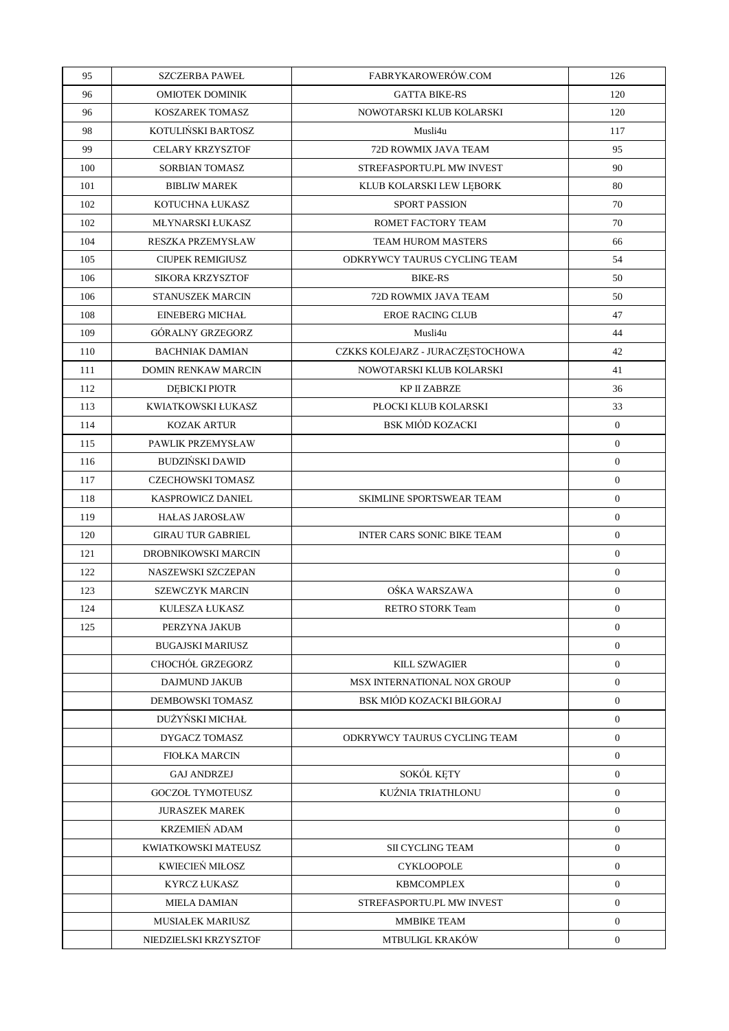| 95  | <b>SZCZERBA PAWEŁ</b>    | FABRYKAROWERÓW.COM               | 126            |
|-----|--------------------------|----------------------------------|----------------|
| 96  | <b>OMIOTEK DOMINIK</b>   | <b>GATTA BIKE-RS</b>             | 120            |
| 96  | KOSZAREK TOMASZ          | NOWOTARSKI KLUB KOLARSKI         | 120            |
| 98  | KOTULIŃSKI BARTOSZ       | Musli4u                          | 117            |
| 99  | <b>CELARY KRZYSZTOF</b>  | 72D ROWMIX JAVA TEAM             | 95             |
| 100 | SORBIAN TOMASZ           | STREFASPORTU.PL MW INVEST        | 90             |
| 101 | <b>BIBLIW MAREK</b>      | KLUB KOLARSKI LEW LĘBORK         | 80             |
| 102 | KOTUCHNA ŁUKASZ          | SPORT PASSION                    | 70             |
| 102 | MŁYNARSKI ŁUKASZ         | ROMET FACTORY TEAM               | 70             |
| 104 | RESZKA PRZEMYSŁAW        | TEAM HUROM MASTERS               | 66             |
| 105 | <b>CIUPEK REMIGIUSZ</b>  | ODKRYWCY TAURUS CYCLING TEAM     | 54             |
| 106 | SIKORA KRZYSZTOF         | <b>BIKE-RS</b>                   | 50             |
| 106 | <b>STANUSZEK MARCIN</b>  | 72D ROWMIX JAVA TEAM             | 50             |
| 108 | <b>EINEBERG MICHAŁ</b>   | <b>EROE RACING CLUB</b>          | 47             |
| 109 | <b>GÓRALNY GRZEGORZ</b>  | Musli4u                          | 44             |
| 110 | <b>BACHNIAK DAMIAN</b>   | CZKKS KOLEJARZ - JURACZĘSTOCHOWA | 42             |
| 111 | DOMIN RENKAW MARCIN      | NOWOTARSKI KLUB KOLARSKI         | 41             |
| 112 | <b>DEBICKI PIOTR</b>     | KP II ZABRZE                     | 36             |
| 113 | KWIATKOWSKI ŁUKASZ       | PŁOCKI KLUB KOLARSKI             | 33             |
| 114 | <b>KOZAK ARTUR</b>       | <b>BSK MIÓD KOZACKI</b>          | $\mathbf{0}$   |
| 115 | PAWLIK PRZEMYSŁAW        |                                  | $\overline{0}$ |
| 116 | <b>BUDZIŃSKI DAWID</b>   |                                  | $\overline{0}$ |
| 117 | <b>CZECHOWSKI TOMASZ</b> |                                  | $\mathbf{0}$   |
| 118 | KASPROWICZ DANIEL        | SKIMLINE SPORTSWEAR TEAM         | $\overline{0}$ |
| 119 | <b>HALAS JAROSLAW</b>    |                                  | $\overline{0}$ |
| 120 | <b>GIRAU TUR GABRIEL</b> | INTER CARS SONIC BIKE TEAM       | $\overline{0}$ |
| 121 | DROBNIKOWSKI MARCIN      |                                  | $\overline{0}$ |
| 122 | NASZEWSKI SZCZEPAN       |                                  | $\overline{0}$ |
| 123 | <b>SZEWCZYK MARCIN</b>   | OŚKA WARSZAWA                    | $\overline{0}$ |
| 124 | KULESZA ŁUKASZ           | <b>RETRO STORK Team</b>          | $\mathbf{0}$   |
| 125 | PERZYNA JAKUB            |                                  | $\overline{0}$ |
|     | <b>BUGAJSKI MARIUSZ</b>  |                                  | $\overline{0}$ |
|     | <b>CHOCHÓŁ GRZEGORZ</b>  | <b>KILL SZWAGIER</b>             | $\overline{0}$ |
|     | <b>DAJMUND JAKUB</b>     | MSX INTERNATIONAL NOX GROUP      | $\overline{0}$ |
|     | DEMBOWSKI TOMASZ         | BSK MIÓD KOZACKI BIŁGORAJ        | $\overline{0}$ |
|     | DUŻYŃSKI MICHAŁ          |                                  | $\overline{0}$ |
|     | DYGACZ TOMASZ            | ODKRYWCY TAURUS CYCLING TEAM     | $\overline{0}$ |
|     | <b>FIOŁKA MARCIN</b>     |                                  | $\overline{0}$ |
|     | <b>GAJ ANDRZEJ</b>       | SOKÓŁ KĘTY                       | $\overline{0}$ |
|     | <b>GOCZOŁ TYMOTEUSZ</b>  | KUŹNIA TRIATHLONU                | $\overline{0}$ |
|     | <b>JURASZEK MAREK</b>    |                                  | $\overline{0}$ |
|     | KRZEMIEŃ ADAM            |                                  | $\overline{0}$ |
|     | KWIATKOWSKI MATEUSZ      | <b>SII CYCLING TEAM</b>          | $\overline{0}$ |
|     | KWIECIEŃ MIŁOSZ          | <b>CYKLOOPOLE</b>                | $\overline{0}$ |
|     | <b>KYRCZ ŁUKASZ</b>      | <b>KBMCOMPLEX</b>                | $\overline{0}$ |
|     | <b>MIELA DAMIAN</b>      | STREFASPORTU.PL MW INVEST        | $\overline{0}$ |
|     | <b>MUSIAŁEK MARIUSZ</b>  | MMBIKE TEAM                      | $\overline{0}$ |
|     | NIEDZIELSKI KRZYSZTOF    | MTBULIGL KRAKÓW                  | $\overline{0}$ |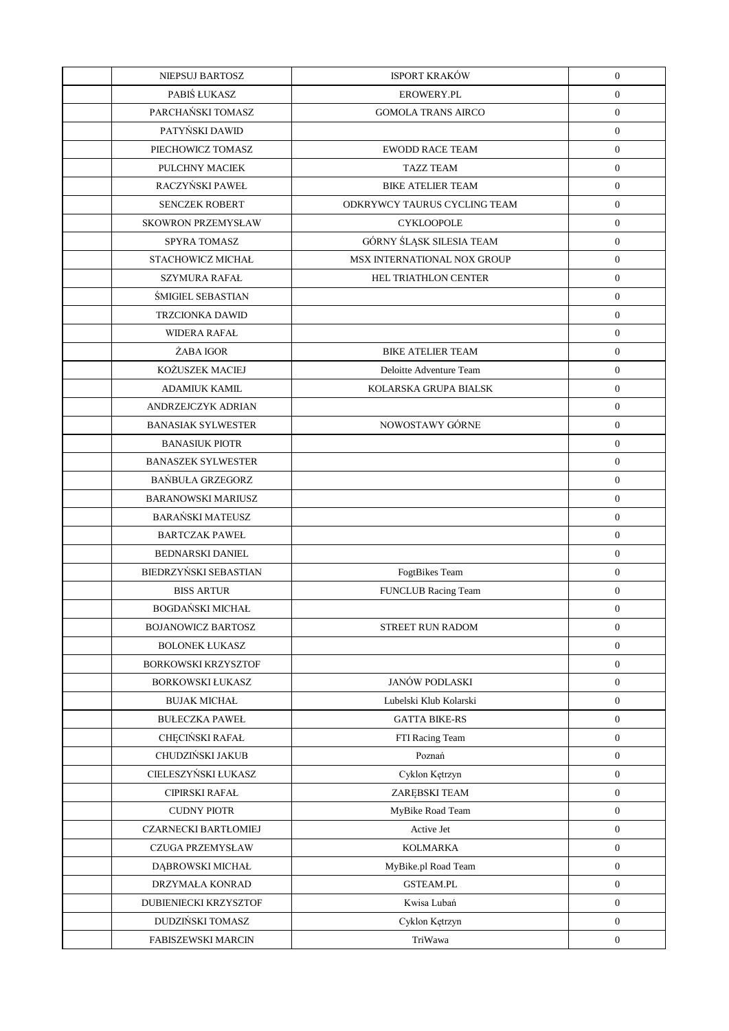| NIEPSUJ BARTOSZ             | <b>ISPORT KRAKÓW</b>         | $\boldsymbol{0}$ |
|-----------------------------|------------------------------|------------------|
| PABIŚ ŁUKASZ                | <b>EROWERY.PL</b>            | $\boldsymbol{0}$ |
| PARCHAŃSKI TOMASZ           | <b>GOMOLA TRANS AIRCO</b>    | $\boldsymbol{0}$ |
| PATYŃSKI DAWID              |                              | $\boldsymbol{0}$ |
| PIECHOWICZ TOMASZ           | <b>EWODD RACE TEAM</b>       | $\boldsymbol{0}$ |
| PULCHNY MACIEK              | <b>TAZZ TEAM</b>             | $\boldsymbol{0}$ |
| RACZYŃSKI PAWEŁ             | <b>BIKE ATELIER TEAM</b>     | $\boldsymbol{0}$ |
| <b>SENCZEK ROBERT</b>       | ODKRYWCY TAURUS CYCLING TEAM | $\boldsymbol{0}$ |
| <b>SKOWRON PRZEMYSŁAW</b>   | <b>CYKLOOPOLE</b>            | $\boldsymbol{0}$ |
| SPYRA TOMASZ                | GÓRNY ŚLĄSK SILESIA TEAM     | $\boldsymbol{0}$ |
| STACHOWICZ MICHAŁ           | MSX INTERNATIONAL NOX GROUP  | $\boldsymbol{0}$ |
| <b>SZYMURA RAFAŁ</b>        | <b>HEL TRIATHLON CENTER</b>  | $\boldsymbol{0}$ |
| <b>ŚMIGIEL SEBASTIAN</b>    |                              | $\boldsymbol{0}$ |
| <b>TRZCIONKA DAWID</b>      |                              | $\boldsymbol{0}$ |
| <b>WIDERA RAFAL</b>         |                              | $\boldsymbol{0}$ |
| ŻABA IGOR                   | <b>BIKE ATELIER TEAM</b>     | $\boldsymbol{0}$ |
| KOŻUSZEK MACIEJ             | Deloitte Adventure Team      | $\boldsymbol{0}$ |
| <b>ADAMIUK KAMIL</b>        | KOLARSKA GRUPA BIALSK        | $\boldsymbol{0}$ |
| ANDRZEJCZYK ADRIAN          |                              | $\boldsymbol{0}$ |
| <b>BANASIAK SYLWESTER</b>   | NOWOSTAWY GÓRNE              | $\boldsymbol{0}$ |
| <b>BANASIUK PIOTR</b>       |                              | $\boldsymbol{0}$ |
| <b>BANASZEK SYLWESTER</b>   |                              | $\boldsymbol{0}$ |
| <b>BAŃBUŁA GRZEGORZ</b>     |                              | $\boldsymbol{0}$ |
| <b>BARANOWSKI MARIUSZ</b>   |                              | $\boldsymbol{0}$ |
| <b>BARAŃSKI MATEUSZ</b>     |                              | $\boldsymbol{0}$ |
| <b>BARTCZAK PAWEŁ</b>       |                              | $\boldsymbol{0}$ |
| <b>BEDNARSKI DANIEL</b>     |                              | $\boldsymbol{0}$ |
| BIEDRZYŃSKI SEBASTIAN       | FogtBikes Team               | $\boldsymbol{0}$ |
| <b>BISS ARTUR</b>           | FUNCLUB Racing Team          | $\boldsymbol{0}$ |
| <b>BOGDAŃSKI MICHAŁ</b>     |                              | $\boldsymbol{0}$ |
| <b>BOJANOWICZ BARTOSZ</b>   | STREET RUN RADOM             | $\boldsymbol{0}$ |
| <b>BOLONEK ŁUKASZ</b>       |                              | $\boldsymbol{0}$ |
| BORKOWSKI KRZYSZTOF         |                              | $\boldsymbol{0}$ |
| <b>BORKOWSKI ŁUKASZ</b>     | <b>JANÓW PODLASKI</b>        | $\boldsymbol{0}$ |
| <b>BUJAK MICHAŁ</b>         | Lubelski Klub Kolarski       | $\boldsymbol{0}$ |
| <b>BUŁECZKA PAWEŁ</b>       | <b>GATTA BIKE-RS</b>         | $\boldsymbol{0}$ |
| CHĘCIŃSKI RAFAŁ             | FTI Racing Team              | $\boldsymbol{0}$ |
| CHUDZIŃSKI JAKUB            | Poznań                       | $\boldsymbol{0}$ |
| CIELESZYŃSKI ŁUKASZ         | Cyklon Kętrzyn               | $\boldsymbol{0}$ |
| CIPIRSKI RAFAŁ              | ZARĘBSKI TEAM                | $\boldsymbol{0}$ |
| <b>CUDNY PIOTR</b>          | MyBike Road Team             | $\boldsymbol{0}$ |
| <b>CZARNECKI BARTŁOMIEJ</b> | Active Jet                   | $\boldsymbol{0}$ |
| CZUGA PRZEMYSŁAW            | <b>KOLMARKA</b>              | $\boldsymbol{0}$ |
| DĄBROWSKI MICHAŁ            | MyBike.pl Road Team          | $\boldsymbol{0}$ |
| DRZYMAŁA KONRAD             | <b>GSTEAM.PL</b>             | $\boldsymbol{0}$ |
| DUBIENIECKI KRZYSZTOF       | Kwisa Lubań                  | $\boldsymbol{0}$ |
| DUDZIŃSKI TOMASZ            | Cyklon Kętrzyn               | $\mathbf{0}$     |
| <b>FABISZEWSKI MARCIN</b>   | TriWawa                      | $\boldsymbol{0}$ |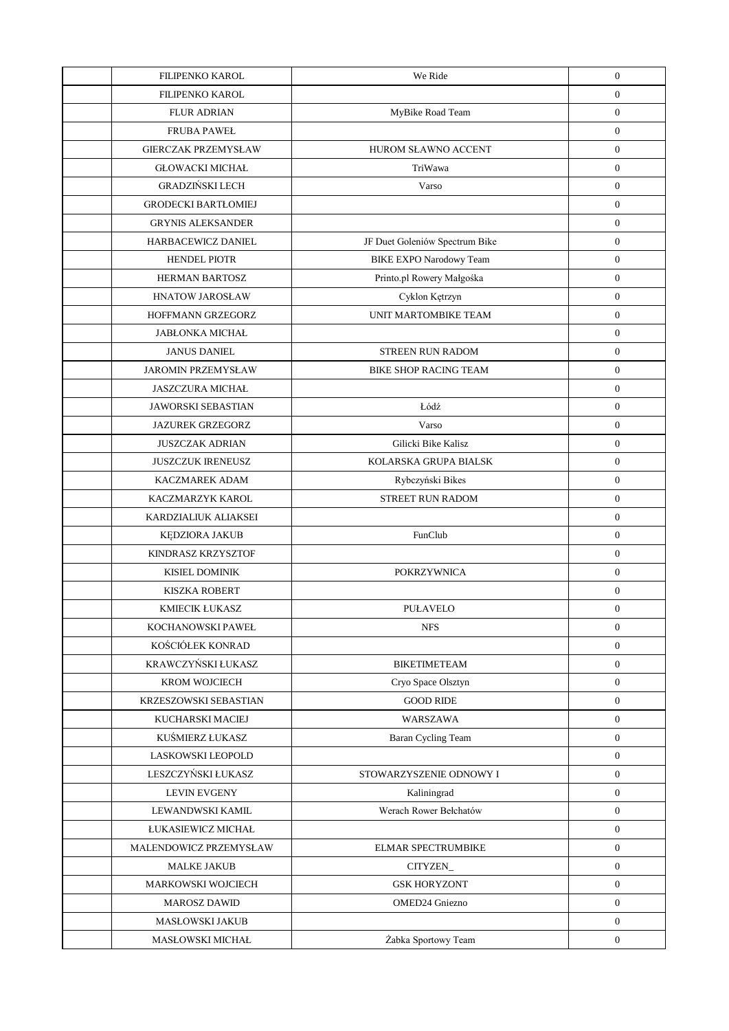| FILIPENKO KAROL                                           | $\boldsymbol{0}$<br>$\boldsymbol{0}$ |
|-----------------------------------------------------------|--------------------------------------|
|                                                           |                                      |
| <b>FLUR ADRIAN</b><br>MyBike Road Team                    |                                      |
| <b>FRUBA PAWEL</b>                                        | $\boldsymbol{0}$                     |
| <b>GIERCZAK PRZEMYSŁAW</b><br>HUROM SŁAWNO ACCENT         | $\boldsymbol{0}$                     |
| <b>GŁOWACKI MICHAŁ</b><br>TriWawa                         | $\boldsymbol{0}$                     |
| <b>GRADZIŃSKI LECH</b><br>Varso                           | $\boldsymbol{0}$                     |
| <b>GRODECKI BARTŁOMIEJ</b>                                | $\boldsymbol{0}$                     |
| <b>GRYNIS ALEKSANDER</b>                                  | $\boldsymbol{0}$                     |
| HARBACEWICZ DANIEL<br>JF Duet Goleniów Spectrum Bike      | $\boldsymbol{0}$                     |
| <b>HENDEL PIOTR</b><br><b>BIKE EXPO Narodowy Team</b>     | $\boldsymbol{0}$                     |
| Printo.pl Rowery Małgośka<br><b>HERMAN BARTOSZ</b>        | $\boldsymbol{0}$                     |
| <b>HNATOW JAROSŁAW</b><br>Cyklon Kętrzyn                  | $\boldsymbol{0}$                     |
| HOFFMANN GRZEGORZ<br>UNIT MARTOMBIKE TEAM                 | $\boldsymbol{0}$                     |
| <b>JABŁONKA MICHAŁ</b>                                    | $\boldsymbol{0}$                     |
| <b>JANUS DANIEL</b><br><b>STREEN RUN RADOM</b>            | $\boldsymbol{0}$                     |
| <b>JAROMIN PRZEMYSŁAW</b><br><b>BIKE SHOP RACING TEAM</b> | $\boldsymbol{0}$                     |
| <b>JASZCZURA MICHAŁ</b>                                   | $\boldsymbol{0}$                     |
| Łódź<br><b>JAWORSKI SEBASTIAN</b>                         | $\boldsymbol{0}$                     |
| Varso<br><b>JAZUREK GRZEGORZ</b>                          | $\boldsymbol{0}$                     |
| <b>JUSZCZAK ADRIAN</b><br>Gilicki Bike Kalisz             | $\boldsymbol{0}$                     |
| <b>JUSZCZUK IRENEUSZ</b><br>KOLARSKA GRUPA BIALSK         | $\boldsymbol{0}$                     |
| <b>KACZMAREK ADAM</b><br>Rybczyński Bikes                 | $\boldsymbol{0}$                     |
| KACZMARZYK KAROL<br>STREET RUN RADOM                      | $\boldsymbol{0}$                     |
| KARDZIALIUK ALIAKSEI                                      | $\boldsymbol{0}$                     |
| FunClub<br>KĘDZIORA JAKUB                                 | $\boldsymbol{0}$                     |
| KINDRASZ KRZYSZTOF                                        | $\boldsymbol{0}$                     |
| <b>KISIEL DOMINIK</b><br><b>POKRZYWNICA</b>               | $\boldsymbol{0}$                     |
| <b>KISZKA ROBERT</b>                                      | $\boldsymbol{0}$                     |
| KMIECIK ŁUKASZ<br><b>PUŁAVELO</b>                         | $\boldsymbol{0}$                     |
| KOCHANOWSKI PAWEŁ<br><b>NFS</b>                           | $\boldsymbol{0}$                     |
| KOŚCIÓŁEK KONRAD                                          | $\boldsymbol{0}$                     |
| KRAWCZYŃSKI ŁUKASZ<br><b>BIKETIMETEAM</b>                 | $\boldsymbol{0}$                     |
| KROM WOJCIECH<br>Cryo Space Olsztyn                       | $\boldsymbol{0}$                     |
| <b>GOOD RIDE</b><br>KRZESZOWSKI SEBASTIAN                 | $\boldsymbol{0}$                     |
| KUCHARSKI MACIEJ<br>WARSZAWA                              | $\boldsymbol{0}$                     |
| KUŚMIERZ ŁUKASZ<br>Baran Cycling Team                     | $\boldsymbol{0}$                     |
| LASKOWSKI LEOPOLD                                         | $\boldsymbol{0}$                     |
| LESZCZYŃSKI ŁUKASZ<br>STOWARZYSZENIE ODNOWY I             | $\boldsymbol{0}$                     |
| <b>LEVIN EVGENY</b><br>Kaliningrad                        | $\boldsymbol{0}$                     |
| Werach Rower Bełchatów<br>LEWANDWSKI KAMIL                | $\boldsymbol{0}$                     |
| ŁUKASIEWICZ MICHAŁ                                        | $\boldsymbol{0}$                     |
| MALENDOWICZ PRZEMYSŁAW<br><b>ELMAR SPECTRUMBIKE</b>       | $\mathbf{0}$                         |
| <b>MALKE JAKUB</b><br>CITYZEN_                            | $\boldsymbol{0}$                     |
| MARKOWSKI WOJCIECH<br><b>GSK HORYZONT</b>                 | $\boldsymbol{0}$                     |
| <b>MAROSZ DAWID</b><br><b>OMED24 Gniezno</b>              | $\boldsymbol{0}$                     |
| MASŁOWSKI JAKUB                                           | $\mathbf{0}$                         |
| Żabka Sportowy Team<br>MASŁOWSKI MICHAŁ                   | $\boldsymbol{0}$                     |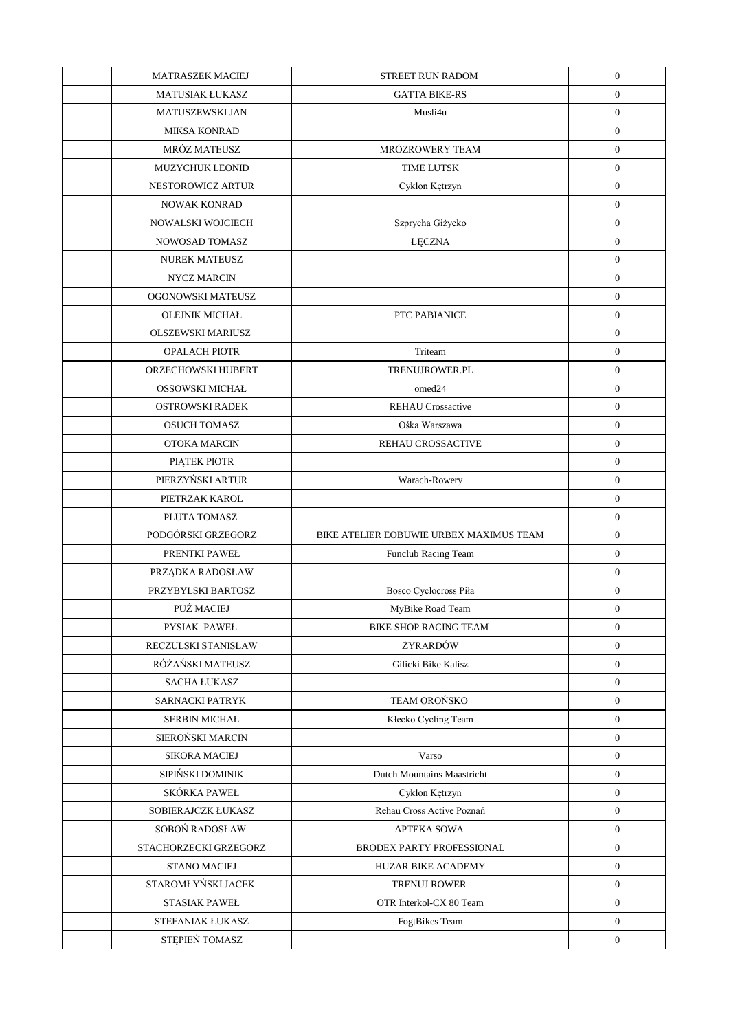| <b>MATRASZEK MACIEJ</b>  | STREET RUN RADOM                        | $\boldsymbol{0}$ |
|--------------------------|-----------------------------------------|------------------|
| <b>MATUSIAK ŁUKASZ</b>   | <b>GATTA BIKE-RS</b>                    | $\boldsymbol{0}$ |
| MATUSZEWSKI JAN          | Musli4u                                 | $\boldsymbol{0}$ |
| <b>MIKSA KONRAD</b>      |                                         | $\boldsymbol{0}$ |
| MRÓZ MATEUSZ             | MRÓZROWERY TEAM                         | $\boldsymbol{0}$ |
| MUZYCHUK LEONID          | <b>TIME LUTSK</b>                       | $\boldsymbol{0}$ |
| NESTOROWICZ ARTUR        | Cyklon Kętrzyn                          | $\boldsymbol{0}$ |
| NOWAK KONRAD             |                                         | $\boldsymbol{0}$ |
| NOWALSKI WOJCIECH        | Szprycha Giżycko                        | $\boldsymbol{0}$ |
| NOWOSAD TOMASZ           | <b>ŁĘCZNA</b>                           | $\boldsymbol{0}$ |
| <b>NUREK MATEUSZ</b>     |                                         | $\boldsymbol{0}$ |
| NYCZ MARCIN              |                                         | $\boldsymbol{0}$ |
| OGONOWSKI MATEUSZ        |                                         | $\boldsymbol{0}$ |
| OLEJNIK MICHAŁ           | PTC PABIANICE                           | $\boldsymbol{0}$ |
| <b>OLSZEWSKI MARIUSZ</b> |                                         | $\boldsymbol{0}$ |
| <b>OPALACH PIOTR</b>     | Triteam                                 | $\boldsymbol{0}$ |
| ORZECHOWSKI HUBERT       | TRENUJROWER.PL                          | $\boldsymbol{0}$ |
| OSSOWSKI MICHAŁ          | omed24                                  | $\boldsymbol{0}$ |
| <b>OSTROWSKI RADEK</b>   | <b>REHAU Crossactive</b>                | $\boldsymbol{0}$ |
| <b>OSUCH TOMASZ</b>      | Ośka Warszawa                           | $\boldsymbol{0}$ |
| OTOKA MARCIN             | REHAU CROSSACTIVE                       | $\boldsymbol{0}$ |
| PIĄTEK PIOTR             |                                         | $\boldsymbol{0}$ |
| PIERZYŃSKI ARTUR         | Warach-Rowery                           | $\boldsymbol{0}$ |
| PIETRZAK KAROL           |                                         | $\boldsymbol{0}$ |
| PLUTA TOMASZ             |                                         | $\boldsymbol{0}$ |
| PODGÓRSKI GRZEGORZ       | BIKE ATELIER EOBUWIE URBEX MAXIMUS TEAM | $\boldsymbol{0}$ |
| PRENTKI PAWEŁ            | <b>Funclub Racing Team</b>              | $\boldsymbol{0}$ |
| PRZĄDKA RADOSŁAW         |                                         | $\boldsymbol{0}$ |
| PRZYBYLSKI BARTOSZ       | Bosco Cyclocross Piła                   | $\boldsymbol{0}$ |
| PUŹ MACIEJ               | MyBike Road Team                        | $\boldsymbol{0}$ |
| PYSIAK PAWEŁ             | <b>BIKE SHOP RACING TEAM</b>            | $\boldsymbol{0}$ |
| RECZULSKI STANISŁAW      | ŻYRARDÓW                                | $\overline{0}$   |
| RÓŻAŃSKI MATEUSZ         | Gilicki Bike Kalisz                     | $\mathbf{0}$     |
| <b>SACHA ŁUKASZ</b>      |                                         | $\overline{0}$   |
| SARNACKI PATRYK          | TEAM OROŃSKO                            | $\mathbf{0}$     |
| SERBIN MICHAŁ            | Kłecko Cycling Team                     | $\boldsymbol{0}$ |
| SIEROŃSKI MARCIN         |                                         | $\boldsymbol{0}$ |
| <b>SIKORA MACIEJ</b>     | Varso                                   | $\overline{0}$   |
| SIPIŃSKI DOMINIK         | Dutch Mountains Maastricht              | $\mathbf{0}$     |
| SKÓRKA PAWEŁ             | Cyklon Kętrzyn                          | $\mathbf{0}$     |
| SOBIERAJCZK ŁUKASZ       | Rehau Cross Active Poznań               | $\boldsymbol{0}$ |
| SOBOŃ RADOSŁAW           | <b>APTEKA SOWA</b>                      | $\overline{0}$   |
| STACHORZECKI GRZEGORZ    | BRODEX PARTY PROFESSIONAL               | $\mathbf{0}$     |
| STANO MACIEJ             | HUZAR BIKE ACADEMY                      | $\overline{0}$   |
| STAROMŁYŃSKI JACEK       | <b>TRENUJ ROWER</b>                     | $\mathbf{0}$     |
| <b>STASIAK PAWEL</b>     | OTR Interkol-CX 80 Team                 | $\overline{0}$   |
| STEFANIAK ŁUKASZ         | FogtBikes Team                          | $\mathbf{0}$     |
| STĘPIEŃ TOMASZ           |                                         | $\mathbf{0}$     |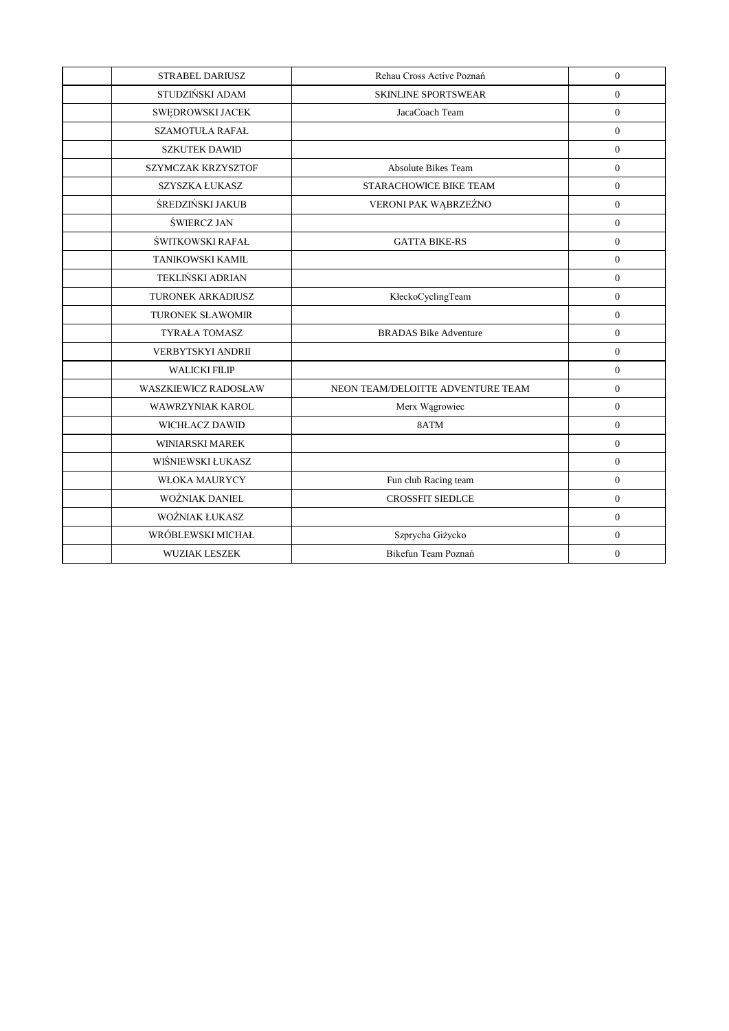| <b>STRABEL DARIUSZ</b>      | Rehau Cross Active Poznań         | $\overline{0}$ |
|-----------------------------|-----------------------------------|----------------|
| STUDZIŃSKI ADAM             | <b>SKINLINE SPORTSWEAR</b>        | $\overline{0}$ |
| SWĘDROWSKI JACEK            | JacaCoach Team                    | $\overline{0}$ |
| <b>SZAMOTUŁA RAFAŁ</b>      |                                   | $\Omega$       |
| <b>SZKUTEK DAWID</b>        |                                   | $\overline{0}$ |
| SZYMCZAK KRZYSZTOF          | Absolute Bikes Team               | $\overline{0}$ |
| <b>SZYSZKA ŁUKASZ</b>       | <b>STARACHOWICE BIKE TEAM</b>     | $\overline{0}$ |
| ŚREDZIŃSKI JAKUB            | VERONI PAK WĄBRZEŹNO              | $\Omega$       |
| ŚWIERCZ JAN                 |                                   | $\mathbf{0}$   |
| ŚWITKOWSKI RAFAŁ            | <b>GATTA BIKE-RS</b>              | $\mathbf{0}$   |
| TANIKOWSKI KAMIL            |                                   | $\Omega$       |
| TEKLIŃSKI ADRIAN            |                                   | $\overline{0}$ |
| <b>TURONEK ARKADIUSZ</b>    | KłeckoCyclingTeam                 | $\mathbf{0}$   |
| <b>TURONEK SŁAWOMIR</b>     |                                   | $\overline{0}$ |
| <b>TYRAŁA TOMASZ</b>        | <b>BRADAS</b> Bike Adventure      | $\overline{0}$ |
| VERBYTSKYI ANDRII           |                                   | $\Omega$       |
| <b>WALICKI FILIP</b>        |                                   | $\overline{0}$ |
| <b>WASZKIEWICZ RADOSŁAW</b> | NEON TEAM/DELOITTE ADVENTURE TEAM | $\overline{0}$ |
| WAWRZYNIAK KAROL            | Merx Wągrowiec                    | $\overline{0}$ |
| <b>WICHŁACZ DAWID</b>       | 8ATM                              | $\overline{0}$ |
| <b>WINIARSKI MAREK</b>      |                                   | $\overline{0}$ |
| WIŚNIEWSKI ŁUKASZ           |                                   | $\overline{0}$ |
| <b>WŁOKA MAURYCY</b>        | Fun club Racing team              | $\overline{0}$ |
| WOŹNIAK DANIEL              | <b>CROSSFIT SIEDLCE</b>           | $\overline{0}$ |
| WOŹNIAK ŁUKASZ              |                                   | $\Omega$       |
| WRÓBLEWSKI MICHAŁ           | Szprycha Giżycko                  | $\mathbf{0}$   |
| <b>WUZIAK LESZEK</b>        | Bikefun Team Poznań               | $\overline{0}$ |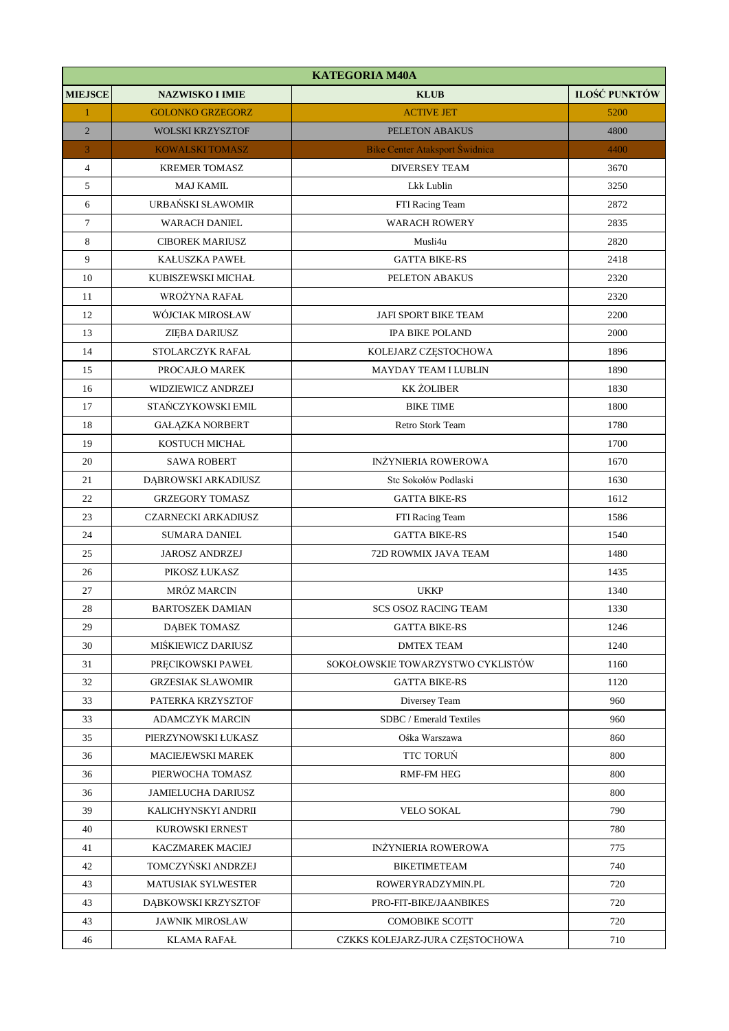| <b>KATEGORIA M40A</b> |                           |                                   |                      |
|-----------------------|---------------------------|-----------------------------------|----------------------|
| <b>MIEJSCE</b>        | <b>NAZWISKO I IMIE</b>    | <b>KLUB</b>                       | <b>ILOŚĆ PUNKTÓW</b> |
| $\mathbf{1}$          | <b>GOLONKO GRZEGORZ</b>   | <b>ACTIVE JET</b>                 | 5200                 |
| $\overline{2}$        | <b>WOLSKI KRZYSZTOF</b>   | PELETON ABAKUS                    | 4800                 |
| 3                     | <b>KOWALSKI TOMASZ</b>    | Bike Center Ataksport Świdnica    | 4400                 |
| $\overline{4}$        | <b>KREMER TOMASZ</b>      | <b>DIVERSEY TEAM</b>              | 3670                 |
| 5                     | <b>MAJ KAMIL</b>          | Lkk Lublin                        | 3250                 |
| 6                     | URBAŃSKI SŁAWOMIR         | FTI Racing Team                   | 2872                 |
| $\tau$                | <b>WARACH DANIEL</b>      | <b>WARACH ROWERY</b>              | 2835                 |
| 8                     | <b>CIBOREK MARIUSZ</b>    | Musli4u                           | 2820                 |
| 9                     | <b>KAŁUSZKA PAWEŁ</b>     | <b>GATTA BIKE-RS</b>              | 2418                 |
| 10                    | KUBISZEWSKI MICHAŁ        | PELETON ABAKUS                    | 2320                 |
| 11                    | WROŻYNA RAFAŁ             |                                   | 2320                 |
| 12                    | WÓJCIAK MIROSŁAW          | <b>JAFI SPORT BIKE TEAM</b>       | 2200                 |
| 13                    | ZIEBA DARIUSZ             | <b>IPA BIKE POLAND</b>            | 2000                 |
| 14                    | STOLARCZYK RAFAŁ          | KOLEJARZ CZĘSTOCHOWA              | 1896                 |
| 15                    | PROCAJŁO MAREK            | <b>MAYDAY TEAM I LUBLIN</b>       | 1890                 |
| 16                    | WIDZIEWICZ ANDRZEJ        | <b>KK ŻOLIBER</b>                 | 1830                 |
| 17                    | STAŃCZYKOWSKI EMIL        | <b>BIKE TIME</b>                  | 1800                 |
| 18                    | <b>GAŁĄZKA NORBERT</b>    | Retro Stork Team                  | 1780                 |
| 19                    | KOSTUCH MICHAŁ            |                                   | 1700                 |
| 20                    | <b>SAWA ROBERT</b>        | <b>INŻYNIERIA ROWEROWA</b>        | 1670                 |
| 21                    | DĄBROWSKI ARKADIUSZ       | Stc Sokołów Podlaski              | 1630                 |
| 22                    | <b>GRZEGORY TOMASZ</b>    | <b>GATTA BIKE-RS</b>              | 1612                 |
| 23                    | CZARNECKI ARKADIUSZ       | FTI Racing Team                   | 1586                 |
| 24                    | <b>SUMARA DANIEL</b>      | <b>GATTA BIKE-RS</b>              | 1540                 |
| 25                    | <b>JAROSZ ANDRZEJ</b>     | 72D ROWMIX JAVA TEAM              | 1480                 |
| 26                    | PIKOSZ ŁUKASZ             |                                   | 1435                 |
| 27                    | MRÓZ MARCIN               | <b>UKKP</b>                       | 1340                 |
| 28                    | <b>BARTOSZEK DAMIAN</b>   | <b>SCS OSOZ RACING TEAM</b>       | 1330                 |
| 29                    | <b>DĄBEK TOMASZ</b>       | <b>GATTA BIKE-RS</b>              | 1246                 |
| 30                    | MIŚKIEWICZ DARIUSZ        | <b>DMTEX TEAM</b>                 | 1240                 |
| 31                    | PRĘCIKOWSKI PAWEŁ         | SOKOŁOWSKIE TOWARZYSTWO CYKLISTÓW | 1160                 |
| 32                    | <b>GRZESIAK SŁAWOMIR</b>  | <b>GATTA BIKE-RS</b>              | 1120                 |
| 33                    | PATERKA KRZYSZTOF         | Diversey Team                     | 960                  |
| 33                    | <b>ADAMCZYK MARCIN</b>    | SDBC / Emerald Textiles           | 960                  |
| 35                    | PIERZYNOWSKI ŁUKASZ       | Ośka Warszawa                     | 860                  |
| 36                    | MACIEJEWSKI MAREK         | TTC TORUŃ                         | 800                  |
| 36                    | PIERWOCHA TOMASZ          | <b>RMF-FM HEG</b>                 | 800                  |
| 36                    | <b>JAMIELUCHA DARIUSZ</b> |                                   | 800                  |
| 39                    | KALICHYNSKYI ANDRII       | <b>VELO SOKAL</b>                 | 790                  |
| 40                    | KUROWSKI ERNEST           |                                   | 780                  |
| 41                    | KACZMAREK MACIEJ          | <b>INŻYNIERIA ROWEROWA</b>        | 775                  |
| 42                    | TOMCZYŃSKI ANDRZEJ        | <b>BIKETIMETEAM</b>               | 740                  |
| 43                    | <b>MATUSIAK SYLWESTER</b> | ROWERYRADZYMIN.PL                 | 720                  |
| 43                    | DĄBKOWSKI KRZYSZTOF       | PRO-FIT-BIKE/JAANBIKES            | 720                  |
| 43                    | <b>JAWNIK MIROSŁAW</b>    | <b>COMOBIKE SCOTT</b>             | 720                  |
| 46                    | KLAMA RAFAŁ               | CZKKS KOLEJARZ-JURA CZĘSTOCHOWA   | 710                  |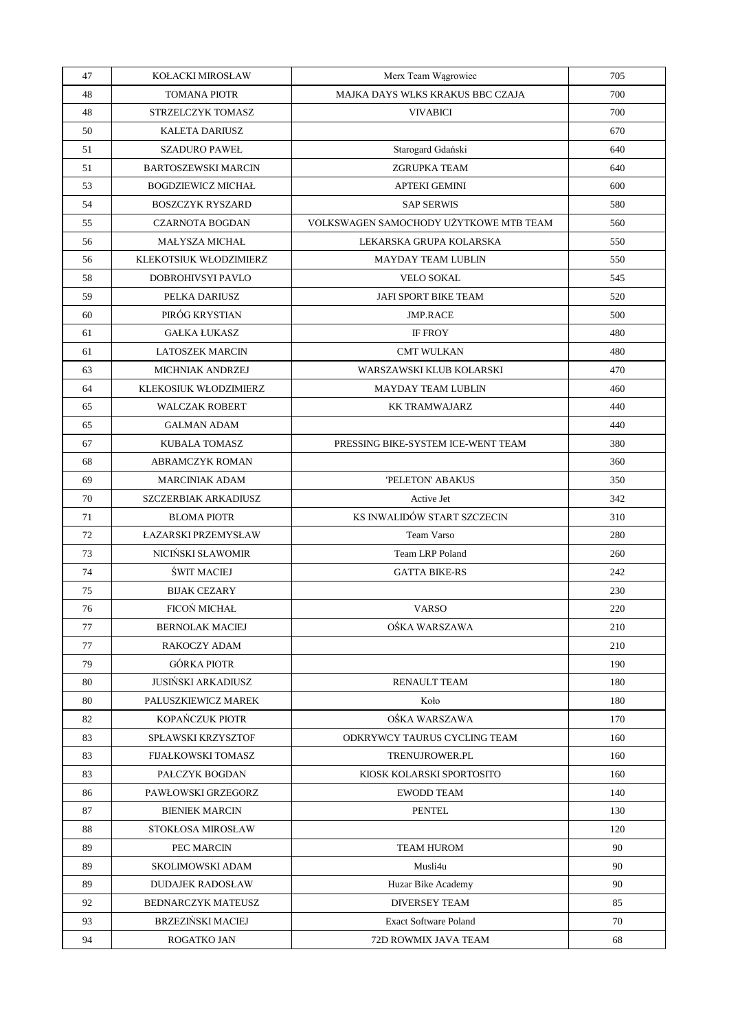| 47 | KOŁACKI MIROSŁAW           | Merx Team Wągrowiec                    | 705 |
|----|----------------------------|----------------------------------------|-----|
| 48 | <b>TOMANA PIOTR</b>        | MAJKA DAYS WLKS KRAKUS BBC CZAJA       | 700 |
| 48 | STRZELCZYK TOMASZ          | <b>VIVABICI</b>                        | 700 |
| 50 | <b>KALETA DARIUSZ</b>      |                                        | 670 |
| 51 | <b>SZADURO PAWEŁ</b>       | Starogard Gdański                      | 640 |
| 51 | <b>BARTOSZEWSKI MARCIN</b> | <b>ZGRUPKA TEAM</b>                    | 640 |
| 53 | <b>BOGDZIEWICZ MICHAŁ</b>  | <b>APTEKI GEMINI</b>                   | 600 |
| 54 | <b>BOSZCZYK RYSZARD</b>    | <b>SAP SERWIS</b>                      | 580 |
| 55 | <b>CZARNOTA BOGDAN</b>     | VOLKSWAGEN SAMOCHODY UŻYTKOWE MTB TEAM | 560 |
| 56 | <b>MAŁYSZA MICHAŁ</b>      | LEKARSKA GRUPA KOLARSKA                | 550 |
| 56 | KLEKOTSIUK WŁODZIMIERZ     | <b>MAYDAY TEAM LUBLIN</b>              | 550 |
| 58 | DOBROHIVSYI PAVLO          | <b>VELO SOKAL</b>                      | 545 |
| 59 | PELKA DARIUSZ              | JAFI SPORT BIKE TEAM                   | 520 |
| 60 | PIRÓG KRYSTIAN             | <b>JMP.RACE</b>                        | 500 |
| 61 | <b>GAŁKA ŁUKASZ</b>        | <b>IF FROY</b>                         | 480 |
| 61 | <b>LATOSZEK MARCIN</b>     | <b>CMT WULKAN</b>                      | 480 |
| 63 | <b>MICHNIAK ANDRZEJ</b>    | WARSZAWSKI KLUB KOLARSKI               | 470 |
| 64 | KLEKOSIUK WŁODZIMIERZ      | <b>MAYDAY TEAM LUBLIN</b>              | 460 |
| 65 | <b>WALCZAK ROBERT</b>      | <b>KK TRAMWAJARZ</b>                   | 440 |
| 65 | <b>GALMAN ADAM</b>         |                                        | 440 |
| 67 | KUBALA TOMASZ              | PRESSING BIKE-SYSTEM ICE-WENT TEAM     | 380 |
| 68 | <b>ABRAMCZYK ROMAN</b>     |                                        | 360 |
| 69 | <b>MARCINIAK ADAM</b>      | 'PELETON' ABAKUS                       | 350 |
| 70 | SZCZERBIAK ARKADIUSZ       | Active Jet                             | 342 |
| 71 | <b>BLOMA PIOTR</b>         | KS INWALIDÓW START SZCZECIN            | 310 |
| 72 | ŁAZARSKI PRZEMYSŁAW        | Team Varso                             | 280 |
| 73 | NICIŃSKI SŁAWOMIR          | Team LRP Poland                        | 260 |
| 74 | <b>ŚWIT MACIEJ</b>         | <b>GATTA BIKE-RS</b>                   | 242 |
| 75 | <b>BIJAK CEZARY</b>        |                                        | 230 |
| 76 | FICOŃ MICHAŁ               | <b>VARSO</b>                           | 220 |
| 77 | <b>BERNOLAK MACIEJ</b>     | OŚKA WARSZAWA                          | 210 |
| 77 | RAKOCZY ADAM               |                                        | 210 |
| 79 | <b>GÓRKA PIOTR</b>         |                                        | 190 |
| 80 | <b>JUSIŃSKI ARKADIUSZ</b>  | RENAULT TEAM                           | 180 |
| 80 | PALUSZKIEWICZ MAREK        | Koło                                   | 180 |
| 82 | KOPAŃCZUK PIOTR            | OSKA WARSZAWA                          | 170 |
| 83 | <b>SPŁAWSKI KRZYSZTOF</b>  | ODKRYWCY TAURUS CYCLING TEAM           | 160 |
| 83 | <b>FIJAŁKOWSKI TOMASZ</b>  | <b>TRENUJROWER.PL</b>                  | 160 |
| 83 | PAŁCZYK BOGDAN             | KIOSK KOLARSKI SPORTOSITO              | 160 |
| 86 | PAWŁOWSKI GRZEGORZ         | <b>EWODD TEAM</b>                      | 140 |
| 87 | <b>BIENIEK MARCIN</b>      | <b>PENTEL</b>                          | 130 |
| 88 | <b>STOKŁOSA MIROSŁAW</b>   |                                        | 120 |
| 89 | PEC MARCIN                 | <b>TEAM HUROM</b>                      | 90  |
| 89 | SKOLIMOWSKI ADAM           | Musli4u                                | 90  |
| 89 | <b>DUDAJEK RADOSŁAW</b>    | Huzar Bike Academy                     | 90  |
| 92 | <b>BEDNARCZYK MATEUSZ</b>  | <b>DIVERSEY TEAM</b>                   | 85  |
| 93 | <b>BRZEZIŃSKI MACIEJ</b>   | <b>Exact Software Poland</b>           | 70  |
| 94 | ROGATKO JAN                | 72D ROWMIX JAVA TEAM                   | 68  |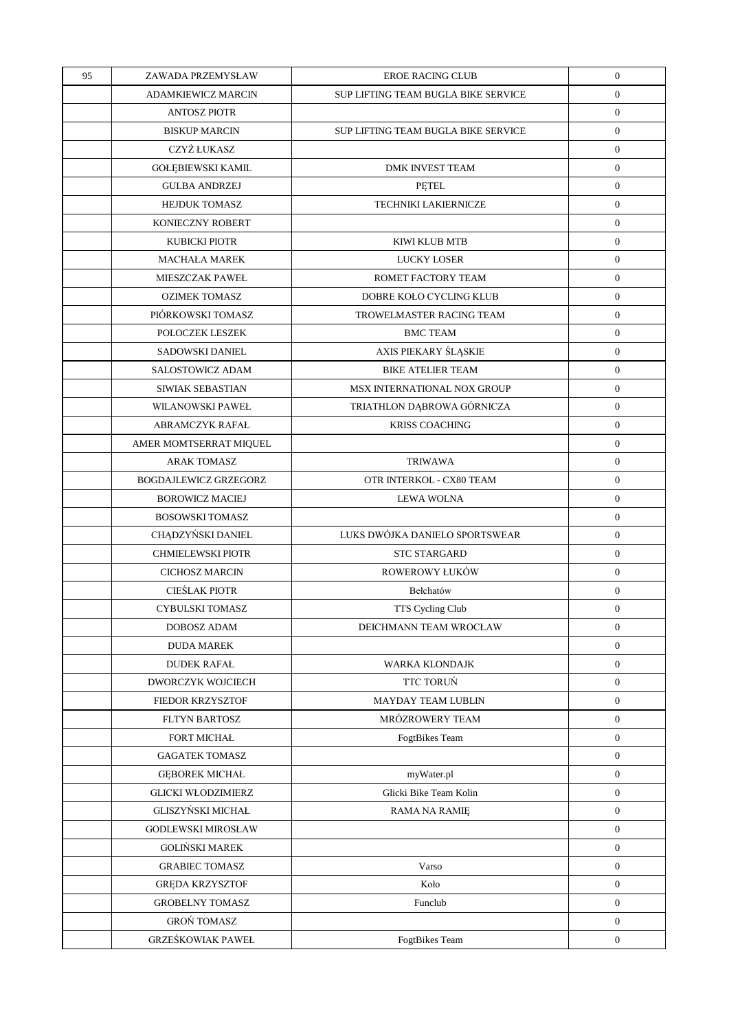| 95 | ZAWADA PRZEMYSŁAW            | <b>EROE RACING CLUB</b>             | $\boldsymbol{0}$ |
|----|------------------------------|-------------------------------------|------------------|
|    | <b>ADAMKIEWICZ MARCIN</b>    | SUP LIFTING TEAM BUGLA BIKE SERVICE | $\boldsymbol{0}$ |
|    | <b>ANTOSZ PIOTR</b>          |                                     | $\boldsymbol{0}$ |
|    | <b>BISKUP MARCIN</b>         | SUP LIFTING TEAM BUGLA BIKE SERVICE | $\boldsymbol{0}$ |
|    | CZYŻ ŁUKASZ                  |                                     | $\boldsymbol{0}$ |
|    | <b>GOŁĘBIEWSKI KAMIL</b>     | <b>DMK INVEST TEAM</b>              | $\boldsymbol{0}$ |
|    | <b>GULBA ANDRZEJ</b>         | PĘTEL                               | $\mathbf{0}$     |
|    | <b>HEJDUK TOMASZ</b>         | TECHNIKI LAKIERNICZE                | $\boldsymbol{0}$ |
|    | KONIECZNY ROBERT             |                                     | $\boldsymbol{0}$ |
|    | <b>KUBICKI PIOTR</b>         | KIWI KLUB MTB                       | $\boldsymbol{0}$ |
|    | <b>MACHAŁA MAREK</b>         | LUCKY LOSER                         | $\mathbf{0}$     |
|    | <b>MIESZCZAK PAWEŁ</b>       | ROMET FACTORY TEAM                  | $\boldsymbol{0}$ |
|    | <b>OZIMEK TOMASZ</b>         | DOBRE KOŁO CYCLING KLUB             | $\boldsymbol{0}$ |
|    | PIÓRKOWSKI TOMASZ            | TROWELMASTER RACING TEAM            | $\boldsymbol{0}$ |
|    | POLOCZEK LESZEK              | <b>BMC TEAM</b>                     | $\boldsymbol{0}$ |
|    | SADOWSKI DANIEL              | AXIS PIEKARY ŚLĄSKIE                | $\boldsymbol{0}$ |
|    | <b>SALOSTOWICZ ADAM</b>      | <b>BIKE ATELIER TEAM</b>            | $\mathbf{0}$     |
|    | SIWIAK SEBASTIAN             | MSX INTERNATIONAL NOX GROUP         | $\boldsymbol{0}$ |
|    | WILANOWSKI PAWEŁ             | TRIATHLON DĄBROWA GÓRNICZA          | $\boldsymbol{0}$ |
|    | <b>ABRAMCZYK RAFAŁ</b>       | <b>KRISS COACHING</b>               | $\boldsymbol{0}$ |
|    | AMER MOMTSERRAT MIQUEL       |                                     | $\boldsymbol{0}$ |
|    | <b>ARAK TOMASZ</b>           | <b>TRIWAWA</b>                      | $\boldsymbol{0}$ |
|    | <b>BOGDAJLEWICZ GRZEGORZ</b> | OTR INTERKOL - CX80 TEAM            | $\mathbf{0}$     |
|    | <b>BOROWICZ MACIEJ</b>       | <b>LEWA WOLNA</b>                   | $\boldsymbol{0}$ |
|    | BOSOWSKI TOMASZ              |                                     | $\boldsymbol{0}$ |
|    | CHĄDZYŃSKI DANIEL            | LUKS DWÓJKA DANIELO SPORTSWEAR      | $\boldsymbol{0}$ |
|    | <b>CHMIELEWSKI PIOTR</b>     | <b>STC STARGARD</b>                 | $\boldsymbol{0}$ |
|    | <b>CICHOSZ MARCIN</b>        | ROWEROWY ŁUKÓW                      | $\boldsymbol{0}$ |
|    | CIEŚLAK PIOTR                | Bełchatów                           | $\boldsymbol{0}$ |
|    | <b>CYBULSKI TOMASZ</b>       | TTS Cycling Club                    | $\boldsymbol{0}$ |
|    | DOBOSZ ADAM                  | DEICHMANN TEAM WROCŁAW              | $\boldsymbol{0}$ |
|    | <b>DUDA MAREK</b>            |                                     | $\overline{0}$   |
|    | <b>DUDEK RAFAŁ</b>           | WARKA KLONDAJK                      | $\mathbf{0}$     |
|    | DWORCZYK WOJCIECH            | TTC TORUŃ                           | $\overline{0}$   |
|    | <b>FIEDOR KRZYSZTOF</b>      | MAYDAY TEAM LUBLIN                  | $\boldsymbol{0}$ |
|    | FLTYN BARTOSZ                | MRÓZROWERY TEAM                     | $\overline{0}$   |
|    | FORT MICHAŁ                  | <b>FogtBikes Team</b>               | $\boldsymbol{0}$ |
|    | <b>GAGATEK TOMASZ</b>        |                                     | $\overline{0}$   |
|    | <b>GEBOREK MICHAŁ</b>        | myWater.pl                          | $\overline{0}$   |
|    | <b>GLICKI WŁODZIMIERZ</b>    | Glicki Bike Team Kolin              | $\overline{0}$   |
|    | GLISZYŃSKI MICHAŁ            | RAMA NA RAMIE                       | $\mathbf{0}$     |
|    | <b>GODLEWSKI MIROSŁAW</b>    |                                     | $\overline{0}$   |
|    | <b>GOLIŃSKI MAREK</b>        |                                     | $\overline{0}$   |
|    | <b>GRABIEC TOMASZ</b>        | Varso                               | $\overline{0}$   |
|    | <b>GREDA KRZYSZTOF</b>       | Koło                                | $\overline{0}$   |
|    | <b>GROBELNY TOMASZ</b>       | Funclub                             | $\overline{0}$   |
|    | <b>GROŃ TOMASZ</b>           |                                     | $\mathbf{0}$     |
|    | <b>GRZEŚKOWIAK PAWEŁ</b>     | FogtBikes Team                      | $\mathbf{0}$     |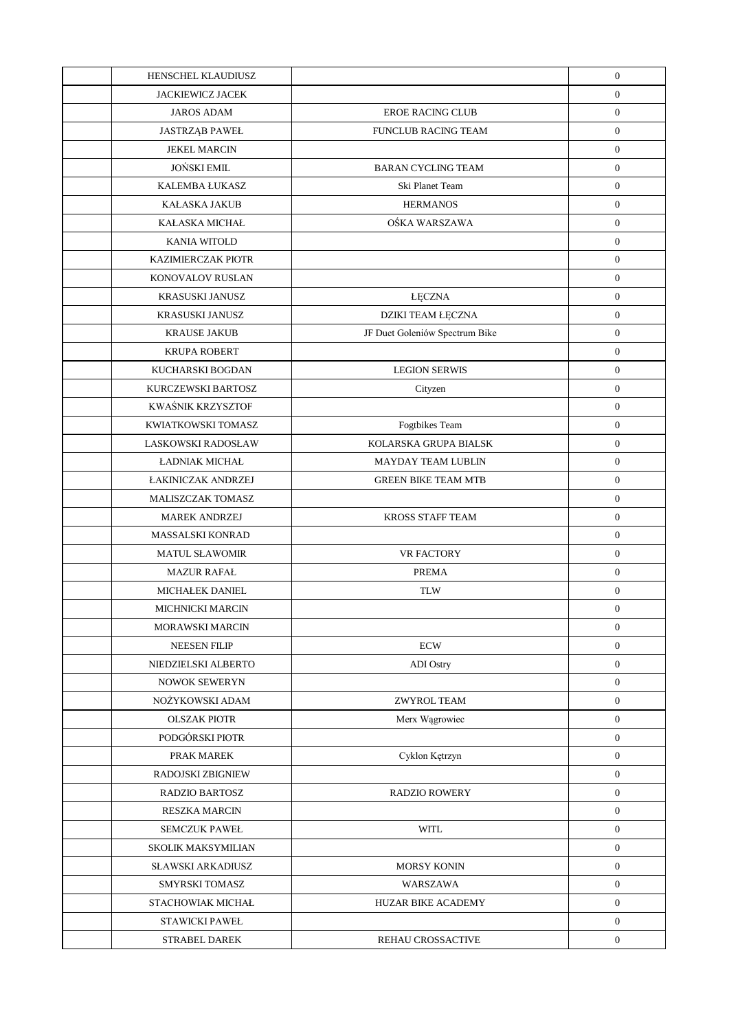| HENSCHEL KLAUDIUSZ        |                                | $\boldsymbol{0}$ |
|---------------------------|--------------------------------|------------------|
| <b>JACKIEWICZ JACEK</b>   |                                | $\boldsymbol{0}$ |
| <b>JAROS ADAM</b>         | <b>EROE RACING CLUB</b>        | $\boldsymbol{0}$ |
| <b>JASTRZAB PAWEŁ</b>     | FUNCLUB RACING TEAM            | $\boldsymbol{0}$ |
| <b>JEKEL MARCIN</b>       |                                | $\boldsymbol{0}$ |
| <b>JOŃSKI EMIL</b>        | <b>BARAN CYCLING TEAM</b>      | $\boldsymbol{0}$ |
| KALEMBA ŁUKASZ            | Ski Planet Team                | $\boldsymbol{0}$ |
| KAŁASKA JAKUB             | <b>HERMANOS</b>                | $\boldsymbol{0}$ |
| KAŁASKA MICHAŁ            | OŚKA WARSZAWA                  | $\boldsymbol{0}$ |
| KANIA WITOLD              |                                | $\boldsymbol{0}$ |
| <b>KAZIMIERCZAK PIOTR</b> |                                | $\boldsymbol{0}$ |
| KONOVALOV RUSLAN          |                                | $\boldsymbol{0}$ |
| KRASUSKI JANUSZ           | <b>ŁĘCZNA</b>                  | $\boldsymbol{0}$ |
| KRASUSKI JANUSZ           | DZIKI TEAM ŁĘCZNA              | $\boldsymbol{0}$ |
| <b>KRAUSE JAKUB</b>       | JF Duet Goleniów Spectrum Bike | $\boldsymbol{0}$ |
| <b>KRUPA ROBERT</b>       |                                | $\boldsymbol{0}$ |
| KUCHARSKI BOGDAN          | <b>LEGION SERWIS</b>           | $\boldsymbol{0}$ |
| KURCZEWSKI BARTOSZ        | Cityzen                        | $\boldsymbol{0}$ |
| KWAŚNIK KRZYSZTOF         |                                | $\boldsymbol{0}$ |
| KWIATKOWSKI TOMASZ        | Fogtbikes Team                 | $\boldsymbol{0}$ |
| LASKOWSKI RADOSŁAW        | KOLARSKA GRUPA BIALSK          | $\boldsymbol{0}$ |
| <b>ŁADNIAK MICHAŁ</b>     | MAYDAY TEAM LUBLIN             | $\boldsymbol{0}$ |
| <b>ŁAKINICZAK ANDRZEJ</b> | <b>GREEN BIKE TEAM MTB</b>     | $\boldsymbol{0}$ |
| MALISZCZAK TOMASZ         |                                | $\boldsymbol{0}$ |
| <b>MAREK ANDRZEJ</b>      | <b>KROSS STAFF TEAM</b>        | $\boldsymbol{0}$ |
| MASSALSKI KONRAD          |                                | $\boldsymbol{0}$ |
| <b>MATUL SŁAWOMIR</b>     | VR FACTORY                     | $\boldsymbol{0}$ |
| <b>MAZUR RAFAL</b>        | <b>PREMA</b>                   | $\boldsymbol{0}$ |
| MICHAŁEK DANIEL           | <b>TLW</b>                     | $\boldsymbol{0}$ |
| <b>MICHNICKI MARCIN</b>   |                                | $\boldsymbol{0}$ |
| MORAWSKI MARCIN           |                                | $\boldsymbol{0}$ |
| <b>NEESEN FILIP</b>       | <b>ECW</b>                     | $\mathbf{0}$     |
| NIEDZIELSKI ALBERTO       | <b>ADI</b> Ostry               | $\boldsymbol{0}$ |
| NOWOK SEWERYN             |                                | $\boldsymbol{0}$ |
| NOŻYKOWSKI ADAM           | ZWYROL TEAM                    | $\boldsymbol{0}$ |
| <b>OLSZAK PIOTR</b>       | Merx Wągrowiec                 | $\boldsymbol{0}$ |
| PODGÓRSKI PIOTR           |                                | $\boldsymbol{0}$ |
| PRAK MAREK                | Cyklon Kętrzyn                 | $\boldsymbol{0}$ |
| RADOJSKI ZBIGNIEW         |                                | $\boldsymbol{0}$ |
| RADZIO BARTOSZ            | <b>RADZIO ROWERY</b>           | $\boldsymbol{0}$ |
| <b>RESZKA MARCIN</b>      |                                | $\boldsymbol{0}$ |
| <b>SEMCZUK PAWEŁ</b>      | <b>WITL</b>                    | $\boldsymbol{0}$ |
| <b>SKOLIK MAKSYMILIAN</b> |                                | $\boldsymbol{0}$ |
| <b>SŁAWSKI ARKADIUSZ</b>  | MORSY KONIN                    | $\boldsymbol{0}$ |
| SMYRSKI TOMASZ            | WARSZAWA                       | $\boldsymbol{0}$ |
| STACHOWIAK MICHAŁ         | HUZAR BIKE ACADEMY             | $\boldsymbol{0}$ |
| <b>STAWICKI PAWEŁ</b>     |                                | $\boldsymbol{0}$ |
| <b>STRABEL DAREK</b>      | REHAU CROSSACTIVE              | $\boldsymbol{0}$ |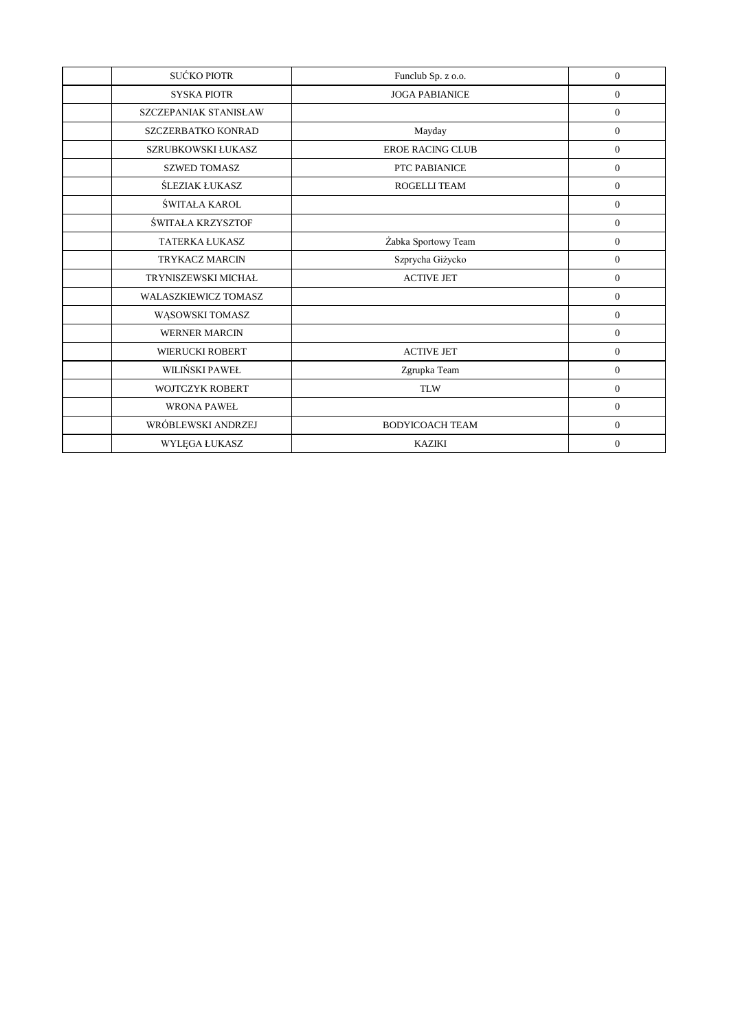| SUĆKO PIOTR                 | Funclub Sp. z o.o.      | $\overline{0}$ |
|-----------------------------|-------------------------|----------------|
| <b>SYSKA PIOTR</b>          | <b>JOGA PABIANICE</b>   | $\overline{0}$ |
| SZCZEPANIAK STANISŁAW       |                         | $\overline{0}$ |
| SZCZERBATKO KONRAD          | Mayday                  | $\overline{0}$ |
| SZRUBKOWSKI ŁUKASZ          | <b>EROE RACING CLUB</b> | $\overline{0}$ |
| <b>SZWED TOMASZ</b>         | PTC PABIANICE           | $\overline{0}$ |
| ŚLEZIAK ŁUKASZ              | ROGELLI TEAM            | $\mathbf{0}$   |
| ŚWITAŁA KAROL               |                         | $\overline{0}$ |
| ŚWITAŁA KRZYSZTOF           |                         | $\overline{0}$ |
| <b>TATERKA ŁUKASZ</b>       | Żabka Sportowy Team     | $\overline{0}$ |
| <b>TRYKACZ MARCIN</b>       | Szprycha Giżycko        | $\overline{0}$ |
| TRYNISZEWSKI MICHAŁ         | <b>ACTIVE JET</b>       | $\overline{0}$ |
| <b>WALASZKIEWICZ TOMASZ</b> |                         | $\overline{0}$ |
| WĄSOWSKI TOMASZ             |                         | $\mathbf{0}$   |
| <b>WERNER MARCIN</b>        |                         | $\overline{0}$ |
| <b>WIERUCKI ROBERT</b>      | <b>ACTIVE JET</b>       | $\overline{0}$ |
| WILIŃSKI PAWEŁ              | Zgrupka Team            | $\overline{0}$ |
| <b>WOJTCZYK ROBERT</b>      | <b>TLW</b>              | $\overline{0}$ |
| <b>WRONA PAWEŁ</b>          |                         | $\overline{0}$ |
| WRÓBLEWSKI ANDRZEJ          | <b>BODYICOACH TEAM</b>  | $\overline{0}$ |
| WYLEGA ŁUKASZ               | <b>KAZIKI</b>           | $\overline{0}$ |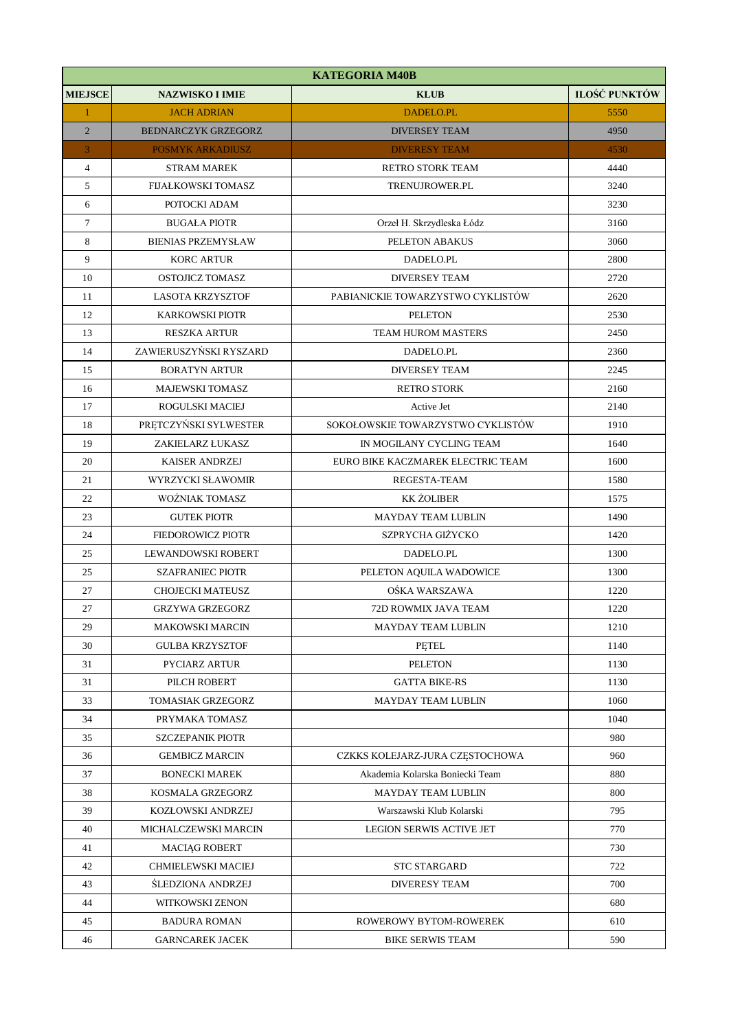| <b>KATEGORIA M40B</b> |                            |                                   |                      |
|-----------------------|----------------------------|-----------------------------------|----------------------|
| <b>MIEJSCE</b>        | <b>NAZWISKO I IMIE</b>     | <b>KLUB</b>                       | <b>ILOŚĆ PUNKTÓW</b> |
| $\mathbf{1}$          | <b>JACH ADRIAN</b>         | <b>DADELO.PL</b>                  | 5550                 |
| $\overline{2}$        | <b>BEDNARCZYK GRZEGORZ</b> | <b>DIVERSEY TEAM</b>              | 4950                 |
| 3                     | <b>POSMYK ARKADIUSZ</b>    | <b>DIVERESY TEAM</b>              | 4530                 |
| $\overline{4}$        | <b>STRAM MAREK</b>         | <b>RETRO STORK TEAM</b>           | 4440                 |
| 5                     | <b>FIJAŁKOWSKI TOMASZ</b>  | TRENUJROWER.PL                    | 3240                 |
| 6                     | POTOCKI ADAM               |                                   | 3230                 |
| $\tau$                | <b>BUGAŁA PIOTR</b>        | Orzeł H. Skrzydleska Łódz         | 3160                 |
| 8                     | <b>BIENIAS PRZEMYSŁAW</b>  | PELETON ABAKUS                    | 3060                 |
| 9                     | <b>KORC ARTUR</b>          | DADELO.PL                         | 2800                 |
| 10                    | OSTOJICZ TOMASZ            | <b>DIVERSEY TEAM</b>              | 2720                 |
| 11                    | <b>LASOTA KRZYSZTOF</b>    | PABIANICKIE TOWARZYSTWO CYKLISTÓW | 2620                 |
| 12                    | <b>KARKOWSKI PIOTR</b>     | <b>PELETON</b>                    | 2530                 |
| 13                    | <b>RESZKA ARTUR</b>        | <b>TEAM HUROM MASTERS</b>         | 2450                 |
| 14                    | ZAWIERUSZYŃSKI RYSZARD     | DADELO.PL                         | 2360                 |
| 15                    | <b>BORATYN ARTUR</b>       | <b>DIVERSEY TEAM</b>              | 2245                 |
| 16                    | <b>MAJEWSKI TOMASZ</b>     | <b>RETRO STORK</b>                | 2160                 |
| 17                    | ROGULSKI MACIEJ            | Active Jet                        | 2140                 |
| 18                    | PRĘTCZYŃSKI SYLWESTER      | SOKOŁOWSKIE TOWARZYSTWO CYKLISTÓW | 1910                 |
| 19                    | ZAKIELARZ ŁUKASZ           | IN MOGILANY CYCLING TEAM          | 1640                 |
| 20                    | <b>KAISER ANDRZEJ</b>      | EURO BIKE KACZMAREK ELECTRIC TEAM | 1600                 |
| 21                    | WYRZYCKI SŁAWOMIR          | REGESTA-TEAM                      | 1580                 |
| 22                    | <b>WOŹNIAK TOMASZ</b>      | <b>KK ŻOLIBER</b>                 | 1575                 |
| 23                    | <b>GUTEK PIOTR</b>         | <b>MAYDAY TEAM LUBLIN</b>         | 1490                 |
| 24                    | <b>FIEDOROWICZ PIOTR</b>   | SZPRYCHA GIŻYCKO                  | 1420                 |
| 25                    | LEWANDOWSKI ROBERT         | DADELO.PL                         | 1300                 |
| 25                    | <b>SZAFRANIEC PIOTR</b>    | PELETON AQUILA WADOWICE           | 1300                 |
| 27                    | CHOJECKI MATEUSZ           | OŚKA WARSZAWA                     | 1220                 |
| 27                    | <b>GRZYWA GRZEGORZ</b>     | 72D ROWMIX JAVA TEAM              | 1220                 |
| 29                    | <b>MAKOWSKI MARCIN</b>     | <b>MAYDAY TEAM LUBLIN</b>         | 1210                 |
| 30                    | <b>GULBA KRZYSZTOF</b>     | PETEL                             | 1140                 |
| 31                    | PYCIARZ ARTUR              | <b>PELETON</b>                    | 1130                 |
| 31                    | PILCH ROBERT               | <b>GATTA BIKE-RS</b>              | 1130                 |
| 33                    | <b>TOMASIAK GRZEGORZ</b>   | <b>MAYDAY TEAM LUBLIN</b>         | 1060                 |
| 34                    | PRYMAKA TOMASZ             |                                   | 1040                 |
| 35                    | <b>SZCZEPANIK PIOTR</b>    |                                   | 980                  |
| 36                    | <b>GEMBICZ MARCIN</b>      | CZKKS KOLEJARZ-JURA CZĘSTOCHOWA   | 960                  |
| 37                    | <b>BONECKI MAREK</b>       | Akademia Kolarska Boniecki Team   | 880                  |
| 38                    | KOSMALA GRZEGORZ           | <b>MAYDAY TEAM LUBLIN</b>         | 800                  |
| 39                    | KOZŁOWSKI ANDRZEJ          | Warszawski Klub Kolarski          | 795                  |
| 40                    | MICHALCZEWSKI MARCIN       | <b>LEGION SERWIS ACTIVE JET</b>   | 770                  |
| 41                    | <b>MACIAG ROBERT</b>       |                                   | 730                  |
| 42                    | CHMIELEWSKI MACIEJ         | <b>STC STARGARD</b>               | 722                  |
| 43                    | <b>ŚLEDZIONA ANDRZEJ</b>   | <b>DIVERESY TEAM</b>              | 700                  |
| 44                    | WITKOWSKI ZENON            |                                   | 680                  |
| 45                    | <b>BADURA ROMAN</b>        | ROWEROWY BYTOM-ROWEREK            | 610                  |
| 46                    | <b>GARNCAREK JACEK</b>     | <b>BIKE SERWIS TEAM</b>           | 590                  |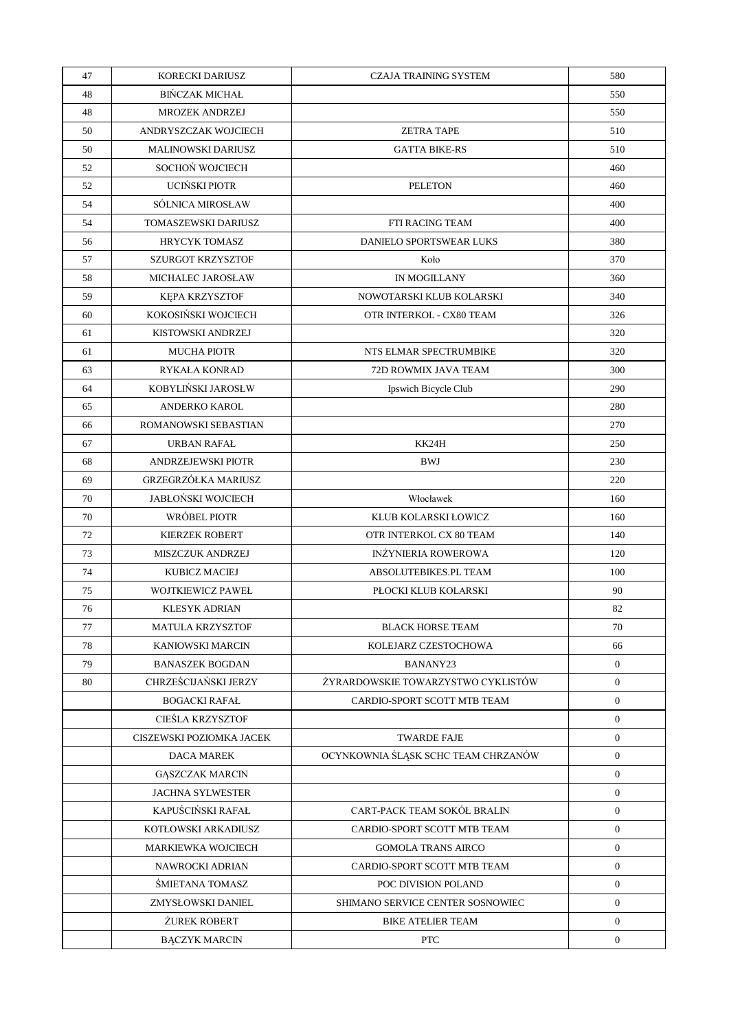| 47 | KORECKI DARIUSZ            | <b>CZAJA TRAINING SYSTEM</b>        | 580              |
|----|----------------------------|-------------------------------------|------------------|
| 48 | <b>BIŃCZAK MICHAŁ</b>      |                                     | 550              |
| 48 | <b>MROZEK ANDRZEJ</b>      |                                     | 550              |
| 50 | ANDRYSZCZAK WOJCIECH       | <b>ZETRA TAPE</b>                   | 510              |
| 50 | <b>MALINOWSKI DARIUSZ</b>  | <b>GATTA BIKE-RS</b>                | 510              |
| 52 | SOCHOŃ WOJCIECH            |                                     | 460              |
| 52 | UCIŃSKI PIOTR              | <b>PELETON</b>                      | 460              |
| 54 | SÓLNICA MIROSŁAW           |                                     | 400              |
| 54 | TOMASZEWSKI DARIUSZ        | <b>FTI RACING TEAM</b>              | 400              |
| 56 | <b>HRYCYK TOMASZ</b>       | DANIELO SPORTSWEAR LUKS             | 380              |
| 57 | <b>SZURGOT KRZYSZTOF</b>   | Koło                                | 370              |
| 58 | MICHALEC JAROSŁAW          | IN MOGILLANY                        | 360              |
| 59 | KEPA KRZYSZTOF             | NOWOTARSKI KLUB KOLARSKI            | 340              |
| 60 | KOKOSIŃSKI WOJCIECH        | OTR INTERKOL - CX80 TEAM            | 326              |
| 61 | KISTOWSKI ANDRZEJ          |                                     | 320              |
| 61 | <b>MUCHA PIOTR</b>         | NTS ELMAR SPECTRUMBIKE              | 320              |
| 63 | <b>RYKAŁA KONRAD</b>       | 72D ROWMIX JAVA TEAM                | 300              |
| 64 | KOBYLIŃSKI JAROSŁW         | Ipswich Bicycle Club                | 290              |
| 65 | <b>ANDERKO KAROL</b>       |                                     | 280              |
| 66 | ROMANOWSKI SEBASTIAN       |                                     | 270              |
| 67 | URBAN RAFAŁ                | KK24H                               | 250              |
| 68 | ANDRZEJEWSKI PIOTR         | <b>BWJ</b>                          | 230              |
| 69 | <b>GRZEGRZÓŁKA MARIUSZ</b> |                                     | 220              |
| 70 | <b>JABŁOŃSKI WOJCIECH</b>  | Włocławek                           | 160              |
| 70 | WRÓBEL PIOTR               | KLUB KOLARSKI ŁOWICZ                | 160              |
| 72 | <b>KIERZEK ROBERT</b>      | OTR INTERKOL CX 80 TEAM             | 140              |
| 73 | <b>MISZCZUK ANDRZEJ</b>    | <b>INŻYNIERIA ROWEROWA</b>          | 120              |
| 74 | <b>KUBICZ MACIEJ</b>       | ABSOLUTEBIKES.PL TEAM               | 100              |
| 75 | <b>WOJTKIEWICZ PAWEŁ</b>   | PŁOCKI KLUB KOLARSKI                | 90               |
| 76 | <b>KLESYK ADRIAN</b>       |                                     | 82               |
| 77 | <b>MATULA KRZYSZTOF</b>    | <b>BLACK HORSE TEAM</b>             | 70               |
| 78 | <b>KANIOWSKI MARCIN</b>    | KOLEJARZ CZESTOCHOWA                | 66               |
| 79 | <b>BANASZEK BOGDAN</b>     | BANANY23                            | $\boldsymbol{0}$ |
| 80 | CHRZEŚCIJAŃSKI JERZY       | ŻYRARDOWSKIE TOWARZYSTWO CYKLISTÓW  | $\overline{0}$   |
|    | <b>BOGACKI RAFAŁ</b>       | CARDIO-SPORT SCOTT MTB TEAM         | $\boldsymbol{0}$ |
|    | <b>CIEŚLA KRZYSZTOF</b>    |                                     | $\mathbf{0}$     |
|    | CISZEWSKI POZIOMKA JACEK   | <b>TWARDE FAJE</b>                  | $\boldsymbol{0}$ |
|    | <b>DACA MAREK</b>          | OCYNKOWNIA ŚLĄSK SCHC TEAM CHRZANÓW | $\overline{0}$   |
|    | <b>GASZCZAK MARCIN</b>     |                                     | $\boldsymbol{0}$ |
|    | <b>JACHNA SYLWESTER</b>    |                                     | $\mathbf{0}$     |
|    | KAPUŚCIŃSKI RAFAŁ          | CART-PACK TEAM SOKÓŁ BRALIN         | $\boldsymbol{0}$ |
|    | KOTŁOWSKI ARKADIUSZ        | CARDIO-SPORT SCOTT MTB TEAM         | $\mathbf{0}$     |
|    | MARKIEWKA WOJCIECH         | <b>GOMOLA TRANS AIRCO</b>           | $\mathbf{0}$     |
|    | NAWROCKI ADRIAN            | CARDIO-SPORT SCOTT MTB TEAM         | $\mathbf{0}$     |
|    | SMIETANA TOMASZ            | POC DIVISION POLAND                 | $\mathbf{0}$     |
|    | ZMYSŁOWSKI DANIEL          | SHIMANO SERVICE CENTER SOSNOWIEC    | $\mathbf{0}$     |
|    | <b>ŻUREK ROBERT</b>        | <b>BIKE ATELIER TEAM</b>            | $\mathbf{0}$     |
|    | <b>BĄCZYK MARCIN</b>       | <b>PTC</b>                          | $\boldsymbol{0}$ |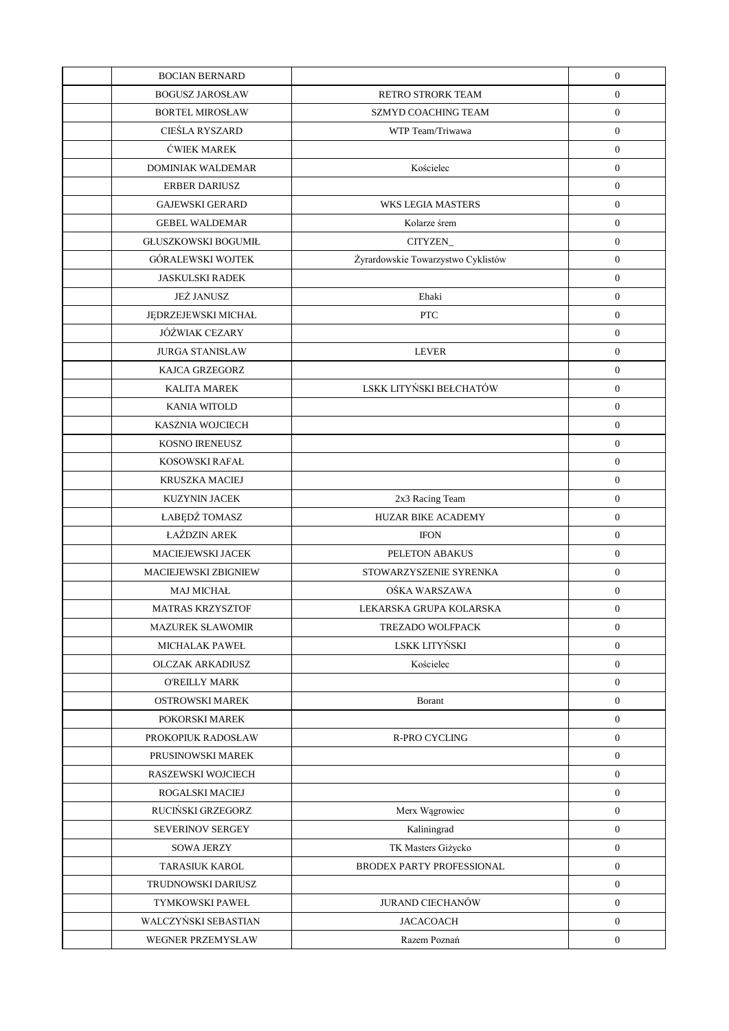| <b>BOCIAN BERNARD</b>       |                                    | $\boldsymbol{0}$ |
|-----------------------------|------------------------------------|------------------|
| <b>BOGUSZ JAROSŁAW</b>      | RETRO STRORK TEAM                  | $\boldsymbol{0}$ |
| <b>BORTEL MIROSŁAW</b>      | <b>SZMYD COACHING TEAM</b>         | $\boldsymbol{0}$ |
| CIEŚLA RYSZARD              | WTP Team/Triwawa                   | $\boldsymbol{0}$ |
| <b>ĆWIEK MAREK</b>          |                                    | $\boldsymbol{0}$ |
| <b>DOMINIAK WALDEMAR</b>    | Kościelec                          | $\boldsymbol{0}$ |
| <b>ERBER DARIUSZ</b>        |                                    | $\boldsymbol{0}$ |
| <b>GAJEWSKI GERARD</b>      | <b>WKS LEGIA MASTERS</b>           | $\boldsymbol{0}$ |
| <b>GEBEL WALDEMAR</b>       | Kolarze śrem                       | $\boldsymbol{0}$ |
| <b>GŁUSZKOWSKI BOGUMIŁ</b>  | CITYZEN_                           | $\boldsymbol{0}$ |
| <b>GÓRALEWSKI WOJTEK</b>    | Żyrardowskie Towarzystwo Cyklistów | $\boldsymbol{0}$ |
| <b>JASKULSKI RADEK</b>      |                                    | $\boldsymbol{0}$ |
| <b>JEŻ JANUSZ</b>           | Ehaki                              | $\boldsymbol{0}$ |
| JĘDRZEJEWSKI MICHAŁ         | <b>PTC</b>                         | $\boldsymbol{0}$ |
| JÓŹWIAK CEZARY              |                                    | $\boldsymbol{0}$ |
| <b>JURGA STANISŁAW</b>      | <b>LEVER</b>                       | $\mathbf{0}$     |
| KAJCA GRZEGORZ              |                                    | $\boldsymbol{0}$ |
| <b>KALITA MAREK</b>         | LSKK LITYŃSKI BEŁCHATÓW            | $\boldsymbol{0}$ |
| <b>KANIA WITOLD</b>         |                                    | $\boldsymbol{0}$ |
| <b>KASZNIA WOJCIECH</b>     |                                    | $\boldsymbol{0}$ |
| KOSNO IRENEUSZ              |                                    | $\boldsymbol{0}$ |
| KOSOWSKI RAFAŁ              |                                    | $\boldsymbol{0}$ |
| <b>KRUSZKA MACIEJ</b>       |                                    | $\boldsymbol{0}$ |
| <b>KUZYNIN JACEK</b>        | 2x3 Racing Team                    | $\boldsymbol{0}$ |
| ŁABĘDŹ TOMASZ               | <b>HUZAR BIKE ACADEMY</b>          | $\boldsymbol{0}$ |
| ŁAŹDZIN AREK                | <b>IFON</b>                        | $\boldsymbol{0}$ |
| MACIEJEWSKI JACEK           | PELETON ABAKUS                     | $\boldsymbol{0}$ |
| <b>MACIEJEWSKI ZBIGNIEW</b> | STOWARZYSZENIE SYRENKA             | $\boldsymbol{0}$ |
| <b>MAJ MICHAŁ</b>           | OŚKA WARSZAWA                      | $\boldsymbol{0}$ |
| <b>MATRAS KRZYSZTOF</b>     | LEKARSKA GRUPA KOLARSKA            | $\mathbf{0}$     |
| <b>MAZUREK SŁAWOMIR</b>     | TREZADO WOLFPACK                   | $\boldsymbol{0}$ |
| <b>MICHALAK PAWEŁ</b>       | LSKK LITYŃSKI                      | $\boldsymbol{0}$ |
| <b>OLCZAK ARKADIUSZ</b>     | Kościelec                          | $\boldsymbol{0}$ |
| <b>O'REILLY MARK</b>        |                                    | $\boldsymbol{0}$ |
| OSTROWSKI MAREK             | Borant                             | $\mathbf{0}$     |
| POKORSKI MAREK              |                                    | $\boldsymbol{0}$ |
| PROKOPIUK RADOSŁAW          | R-PRO CYCLING                      | $\boldsymbol{0}$ |
| PRUSINOWSKI MAREK           |                                    | $\boldsymbol{0}$ |
| RASZEWSKI WOJCIECH          |                                    | $\mathbf{0}$     |
| ROGALSKI MACIEJ             |                                    | $\boldsymbol{0}$ |
| RUCIŃSKI GRZEGORZ           | Merx Wągrowiec                     | $\boldsymbol{0}$ |
| SEVERINOV SERGEY            | Kaliningrad                        | $\boldsymbol{0}$ |
| <b>SOWA JERZY</b>           | TK Masters Giżycko                 | $\mathbf{0}$     |
| TARASIUK KAROL              | BRODEX PARTY PROFESSIONAL          | $\mathbf{0}$     |
| TRUDNOWSKI DARIUSZ          |                                    | $\boldsymbol{0}$ |
| TYMKOWSKI PAWEŁ             | <b>JURAND CIECHANÓW</b>            | $\overline{0}$   |
| WALCZYŃSKI SEBASTIAN        | <b>JACACOACH</b>                   | $\mathbf{0}$     |
| WEGNER PRZEMYSŁAW           | Razem Poznań                       | $\boldsymbol{0}$ |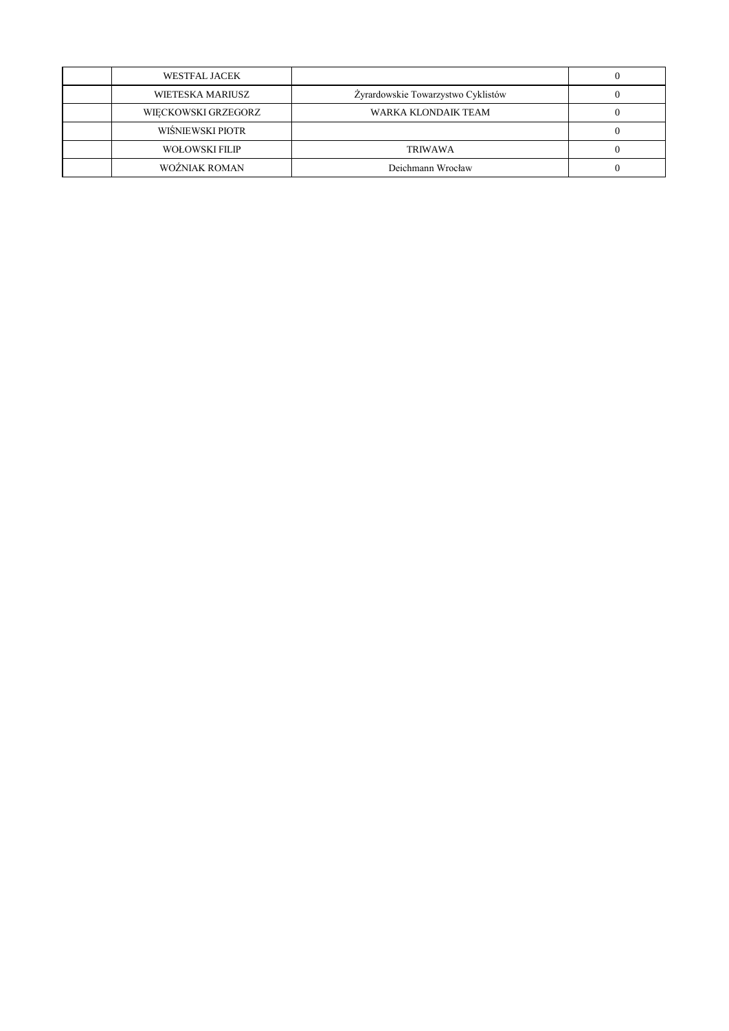| WESTFAL JACEK       |                                    |  |
|---------------------|------------------------------------|--|
| WIETESKA MARIUSZ    | Żyrardowskie Towarzystwo Cyklistów |  |
| WIECKOWSKI GRZEGORZ | WARKA KLONDAIK TEAM                |  |
| WIŚNIEWSKI PIOTR    |                                    |  |
| WOŁOWSKI FILIP      | TRIWAWA                            |  |
| WOŻNIAK ROMAN       | Deichmann Wrocław                  |  |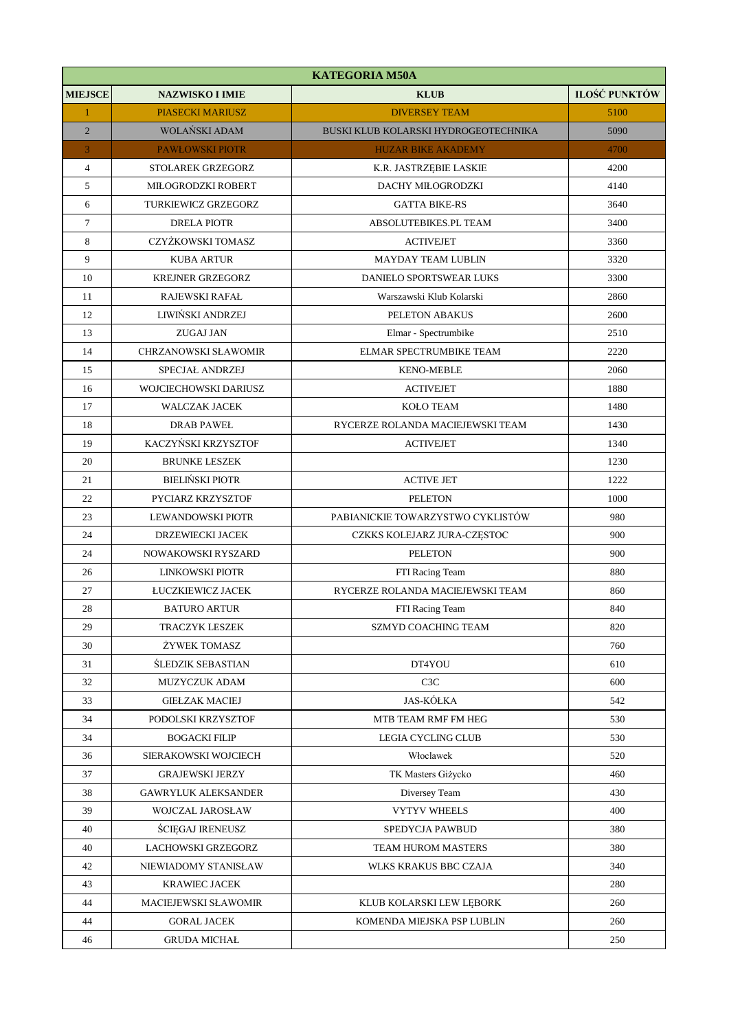| <b>KATEGORIA M50A</b> |                            |                                             |               |
|-----------------------|----------------------------|---------------------------------------------|---------------|
| <b>MIEJSCE</b>        | <b>NAZWISKO I IMIE</b>     | <b>KLUB</b>                                 | ILOŚĆ PUNKTÓW |
| $\mathbf{1}$          | <b>PIASECKI MARIUSZ</b>    | <b>DIVERSEY TEAM</b>                        | 5100          |
| $\overline{2}$        | WOLAŃSKI ADAM              | <b>BUSKI KLUB KOLARSKI HYDROGEOTECHNIKA</b> | 5090          |
| 3                     | <b>PAWŁOWSKI PIOTR</b>     | <b>HUZAR BIKE AKADEMY</b>                   | 4700          |
| $\overline{4}$        | STOLAREK GRZEGORZ          | K.R. JASTRZĘBIE LASKIE                      | 4200          |
| $\sqrt{5}$            | MIŁOGRODZKI ROBERT         | DACHY MIŁOGRODZKI                           | 4140          |
| 6                     | TURKIEWICZ GRZEGORZ        | <b>GATTA BIKE-RS</b>                        | 3640          |
| $\boldsymbol{7}$      | <b>DRELA PIOTR</b>         | ABSOLUTEBIKES.PL TEAM                       | 3400          |
| $\,8\,$               | CZYŻKOWSKI TOMASZ          | <b>ACTIVEJET</b>                            | 3360          |
| $\mathbf{9}$          | <b>KUBA ARTUR</b>          | <b>MAYDAY TEAM LUBLIN</b>                   | 3320          |
| 10                    | <b>KREJNER GRZEGORZ</b>    | DANIELO SPORTSWEAR LUKS                     | 3300          |
| 11                    | RAJEWSKI RAFAŁ             | Warszawski Klub Kolarski                    | 2860          |
| 12                    | LIWIŃSKI ANDRZEJ           | PELETON ABAKUS                              | 2600          |
| 13                    | <b>ZUGAJ JAN</b>           | Elmar - Spectrumbike                        | 2510          |
| 14                    | CHRZANOWSKI SŁAWOMIR       | ELMAR SPECTRUMBIKE TEAM                     | 2220          |
| 15                    | SPECJAŁ ANDRZEJ            | <b>KENO-MEBLE</b>                           | 2060          |
| 16                    | WOJCIECHOWSKI DARIUSZ      | <b>ACTIVEJET</b>                            | 1880          |
| 17                    | <b>WALCZAK JACEK</b>       | KOŁO TEAM                                   | 1480          |
| 18                    | <b>DRAB PAWEŁ</b>          | RYCERZE ROLANDA MACIEJEWSKI TEAM            | 1430          |
| 19                    | KACZYŃSKI KRZYSZTOF        | <b>ACTIVEJET</b>                            | 1340          |
| 20                    | <b>BRUNKE LESZEK</b>       |                                             | 1230          |
| 21                    | <b>BIELIŃSKI PIOTR</b>     | <b>ACTIVE JET</b>                           | 1222          |
| 22                    | PYCIARZ KRZYSZTOF          | <b>PELETON</b>                              | 1000          |
| 23                    | LEWANDOWSKI PIOTR          | PABIANICKIE TOWARZYSTWO CYKLISTÓW           | 980           |
| 24                    | DRZEWIECKI JACEK           | CZKKS KOLEJARZ JURA-CZĘSTOC                 | 900           |
| 24                    | NOWAKOWSKI RYSZARD         | <b>PELETON</b>                              | 900           |
| 26                    | LINKOWSKI PIOTR            | FTI Racing Team                             | 880           |
| $27\,$                | ŁUCZKIEWICZ JACEK          | RYCERZE ROLANDA MACIEJEWSKI TEAM            | 860           |
| 28                    | <b>BATURO ARTUR</b>        | FTI Racing Team                             | 840           |
| 29                    | <b>TRACZYK LESZEK</b>      | SZMYD COACHING TEAM                         | 820           |
| 30                    | ŻYWEK TOMASZ               |                                             | 760           |
| 31                    | <b>ŚLEDZIK SEBASTIAN</b>   | DT4YOU                                      | 610           |
| 32                    | MUZYCZUK ADAM              | C <sub>3</sub> C                            | 600           |
| 33                    | <b>GIEŁZAK MACIEJ</b>      | <b>JAS-KÓŁKA</b>                            | 542           |
| 34                    | PODOLSKI KRZYSZTOF         | MTB TEAM RMF FM HEG                         | 530           |
| 34                    | <b>BOGACKI FILIP</b>       | <b>LEGIA CYCLING CLUB</b>                   | 530           |
| 36                    | SIERAKOWSKI WOJCIECH       | Włoclawek                                   | 520           |
| 37                    | <b>GRAJEWSKI JERZY</b>     | TK Masters Giżycko                          | 460           |
| 38                    | <b>GAWRYLUK ALEKSANDER</b> | Diversey Team                               | 430           |
| 39                    | WOJCZAL JAROSŁAW           | <b>VYTYV WHEELS</b>                         | 400           |
| 40                    | <b>SCIEGAJ IRENEUSZ</b>    | SPEDYCJA PAWBUD                             | 380           |
| 40                    | LACHOWSKI GRZEGORZ         | TEAM HUROM MASTERS                          | 380           |
| 42                    | NIEWIADOMY STANISŁAW       | WLKS KRAKUS BBC CZAJA                       | 340           |
| 43                    | <b>KRAWIEC JACEK</b>       |                                             | 280           |
| 44                    | MACIEJEWSKI SŁAWOMIR       | KLUB KOLARSKI LEW LĘBORK                    | 260           |
| 44                    | <b>GORAL JACEK</b>         | KOMENDA MIEJSKA PSP LUBLIN                  | 260           |
| 46                    | <b>GRUDA MICHAŁ</b>        |                                             | 250           |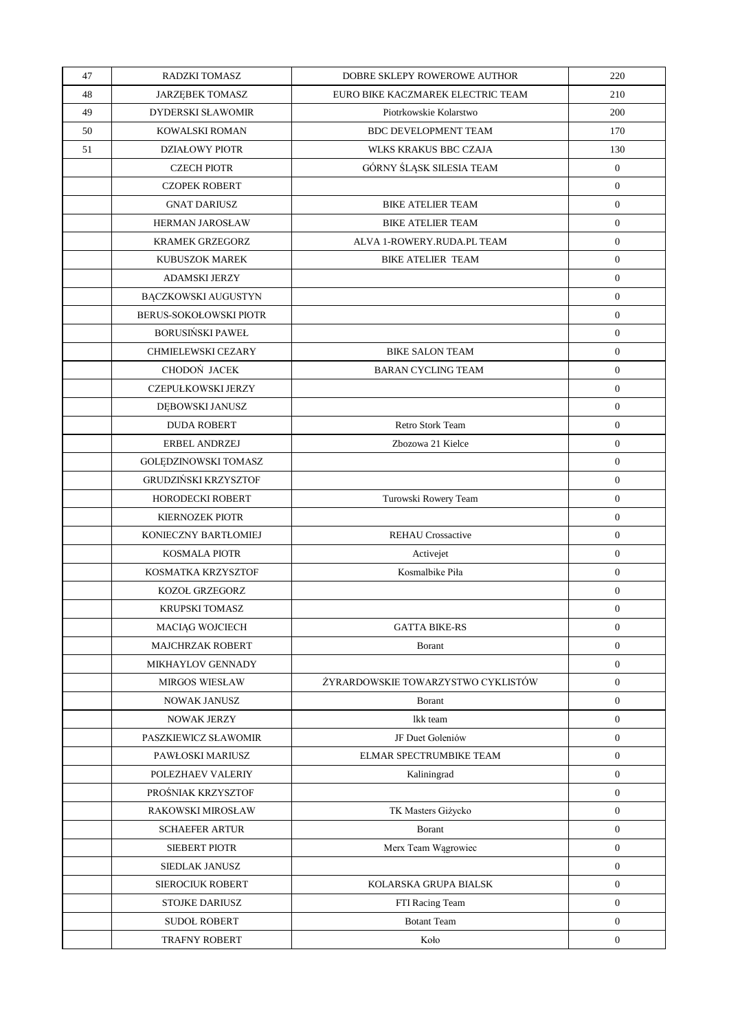| 47 | <b>RADZKI TOMASZ</b>       | DOBRE SKLEPY ROWEROWE AUTHOR       | 220              |
|----|----------------------------|------------------------------------|------------------|
| 48 | <b>JARZEBEK TOMASZ</b>     | EURO BIKE KACZMAREK ELECTRIC TEAM  | 210              |
| 49 | <b>DYDERSKI SŁAWOMIR</b>   | Piotrkowskie Kolarstwo             | 200              |
| 50 | KOWALSKI ROMAN             | <b>BDC DEVELOPMENT TEAM</b>        | 170              |
| 51 | <b>DZIAŁOWY PIOTR</b>      | <b>WLKS KRAKUS BBC CZAJA</b>       | 130              |
|    | <b>CZECH PIOTR</b>         | GÓRNY ŚLĄSK SILESIA TEAM           | $\mathbf{0}$     |
|    | <b>CZOPEK ROBERT</b>       |                                    | $\mathbf{0}$     |
|    | <b>GNAT DARIUSZ</b>        | <b>BIKE ATELIER TEAM</b>           | $\mathbf{0}$     |
|    | <b>HERMAN JAROSŁAW</b>     | <b>BIKE ATELIER TEAM</b>           | $\boldsymbol{0}$ |
|    | <b>KRAMEK GRZEGORZ</b>     | ALVA 1-ROWERY.RUDA.PL TEAM         | $\mathbf{0}$     |
|    | <b>KUBUSZOK MAREK</b>      | <b>BIKE ATELIER TEAM</b>           | $\boldsymbol{0}$ |
|    | <b>ADAMSKI JERZY</b>       |                                    | $\mathbf{0}$     |
|    | <b>BĄCZKOWSKI AUGUSTYN</b> |                                    | $\overline{0}$   |
|    | BERUS-SOKOŁOWSKI PIOTR     |                                    | $\mathbf{0}$     |
|    | <b>BORUSIŃSKI PAWEŁ</b>    |                                    | $\boldsymbol{0}$ |
|    | CHMIELEWSKI CEZARY         | <b>BIKE SALON TEAM</b>             | $\mathbf{0}$     |
|    | CHODOŃ JACEK               | <b>BARAN CYCLING TEAM</b>          | $\overline{0}$   |
|    | <b>CZEPUŁKOWSKI JERZY</b>  |                                    | $\boldsymbol{0}$ |
|    | DĘBOWSKI JANUSZ            |                                    | $\boldsymbol{0}$ |
|    | <b>DUDA ROBERT</b>         | Retro Stork Team                   | $\mathbf{0}$     |
|    | <b>ERBEL ANDRZEJ</b>       | Zbozowa 21 Kielce                  | $\overline{0}$   |
|    | GOLĘDZINOWSKI TOMASZ       |                                    | $\boldsymbol{0}$ |
|    | GRUDZIŃSKI KRZYSZTOF       |                                    | $\boldsymbol{0}$ |
|    | <b>HORODECKI ROBERT</b>    | Turowski Rowery Team               | $\mathbf{0}$     |
|    | <b>KIERNOZEK PIOTR</b>     |                                    | $\mathbf{0}$     |
|    | KONIECZNY BARTŁOMIEJ       | <b>REHAU Crossactive</b>           | $\mathbf{0}$     |
|    | <b>KOSMALA PIOTR</b>       | Activejet                          | $\mathbf{0}$     |
|    | KOSMATKA KRZYSZTOF         | Kosmalbike Piła                    | $\boldsymbol{0}$ |
|    | KOZOŁ GRZEGORZ             |                                    | $\mathbf{0}$     |
|    | <b>KRUPSKI TOMASZ</b>      |                                    | $\boldsymbol{0}$ |
|    | MACIĄG WOJCIECH            | <b>GATTA BIKE-RS</b>               | $\boldsymbol{0}$ |
|    | <b>MAJCHRZAK ROBERT</b>    | Borant                             | $\overline{0}$   |
|    | MIKHAYLOV GENNADY          |                                    | $\mathbf{0}$     |
|    | <b>MIRGOS WIESŁAW</b>      | ŻYRARDOWSKIE TOWARZYSTWO CYKLISTÓW | $\mathbf{0}$     |
|    | <b>NOWAK JANUSZ</b>        | Borant                             | $\overline{0}$   |
|    | NOWAK JERZY                | lkk team                           | $\overline{0}$   |
|    | PASZKIEWICZ SŁAWOMIR       | JF Duet Goleniów                   | $\mathbf{0}$     |
|    | PAWŁOSKI MARIUSZ           | ELMAR SPECTRUMBIKE TEAM            | $\overline{0}$   |
|    | POLEZHAEV VALERIY          | Kaliningrad                        | $\overline{0}$   |
|    | PROŚNIAK KRZYSZTOF         |                                    | $\overline{0}$   |
|    | RAKOWSKI MIROSŁAW          | TK Masters Giżycko                 | $\mathbf{0}$     |
|    | <b>SCHAEFER ARTUR</b>      | Borant                             | $\mathbf{0}$     |
|    | <b>SIEBERT PIOTR</b>       | Merx Team Wągrowiec                | $\mathbf{0}$     |
|    | SIEDLAK JANUSZ             |                                    | $\mathbf{0}$     |
|    | SIEROCIUK ROBERT           | KOLARSKA GRUPA BIALSK              | $\boldsymbol{0}$ |
|    | <b>STOJKE DARIUSZ</b>      | FTI Racing Team                    | $\overline{0}$   |
|    | <b>SUDOŁ ROBERT</b>        | <b>Botant Team</b>                 | $\mathbf{0}$     |
|    | <b>TRAFNY ROBERT</b>       | Koło                               | $\overline{0}$   |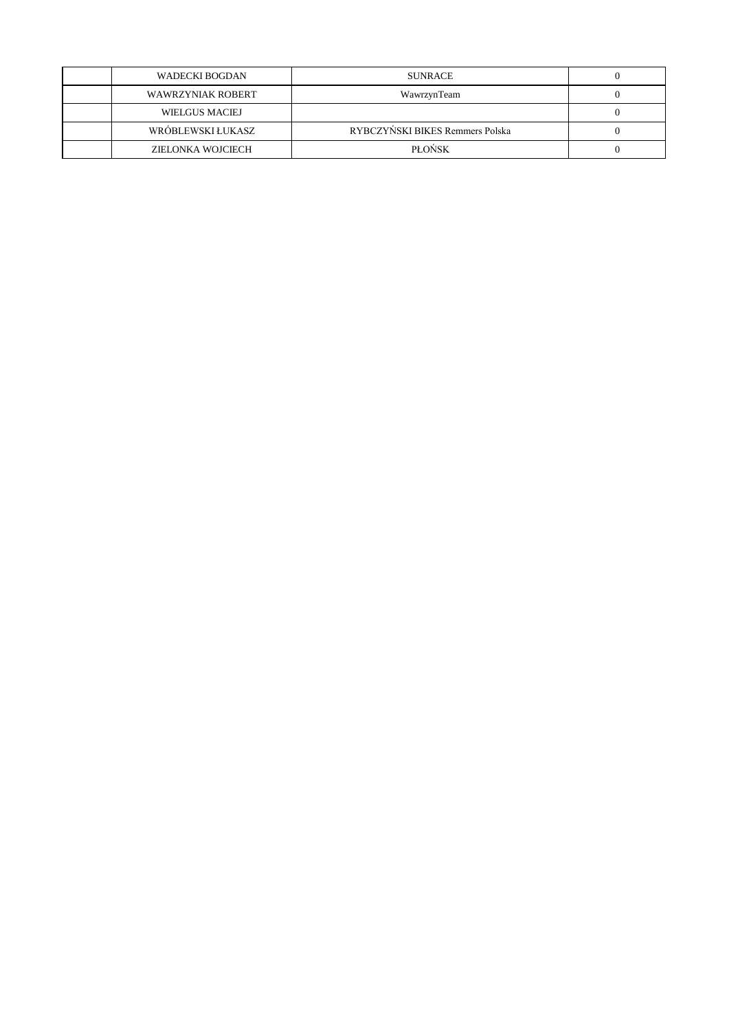| WADECKI BOGDAN          | <b>SUNRACE</b>                  |  |
|-------------------------|---------------------------------|--|
| WAWRZYNIAK ROBERT       | WawrzynTeam                     |  |
| <b>WIELGUS MACIEJ</b>   |                                 |  |
| <b>WRÓBLEWSKIŁUKASZ</b> | RYBCZYŃSKI BIKES Remmers Polska |  |
| ZIELONKA WOJCIECH       | <b>PLONSK</b>                   |  |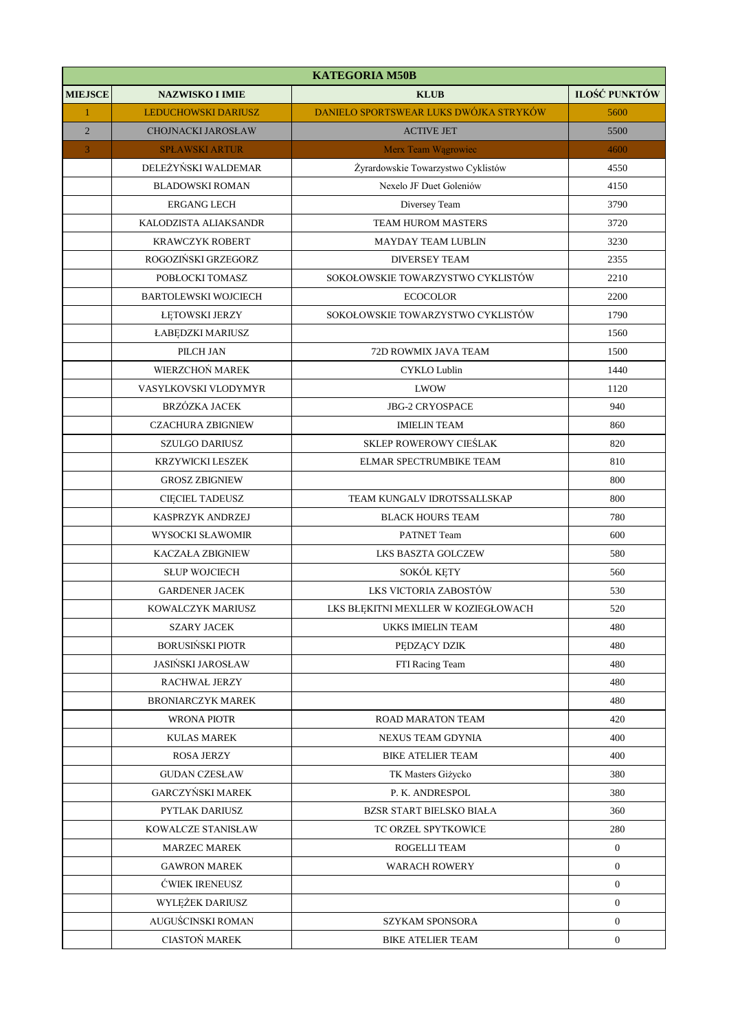|                | <b>KATEGORIA M50B</b>       |                                        |                      |  |
|----------------|-----------------------------|----------------------------------------|----------------------|--|
| <b>MIEJSCE</b> | <b>NAZWISKO I IMIE</b>      | <b>KLUB</b>                            | <b>ILOŚĆ PUNKTÓW</b> |  |
| $\mathbf{1}$   | LEDUCHOWSKI DARIUSZ         | DANIELO SPORTSWEAR LUKS DWÓJKA STRYKÓW | 5600                 |  |
| $\overline{2}$ | <b>CHOJNACKI JAROSŁAW</b>   | <b>ACTIVE JET</b>                      | 5500                 |  |
| 3              | <b>SPŁAWSKI ARTUR</b>       | Merx Team Wągrowiec                    | 4600                 |  |
|                | DELEŻYŃSKI WALDEMAR         | Żyrardowskie Towarzystwo Cyklistów     | 4550                 |  |
|                | <b>BLADOWSKI ROMAN</b>      | Nexelo JF Duet Goleniów                | 4150                 |  |
|                | <b>ERGANG LECH</b>          | Diversey Team                          | 3790                 |  |
|                | KALODZISTA ALIAKSANDR       | <b>TEAM HUROM MASTERS</b>              | 3720                 |  |
|                | <b>KRAWCZYK ROBERT</b>      | MAYDAY TEAM LUBLIN                     | 3230                 |  |
|                | ROGOZIŃSKI GRZEGORZ         | <b>DIVERSEY TEAM</b>                   | 2355                 |  |
|                | POBŁOCKI TOMASZ             | SOKOŁOWSKIE TOWARZYSTWO CYKLISTÓW      | 2210                 |  |
|                | <b>BARTOLEWSKI WOJCIECH</b> | <b>ECOCOLOR</b>                        | 2200                 |  |
|                | <b>LETOWSKI JERZY</b>       | SOKOŁOWSKIE TOWARZYSTWO CYKLISTÓW      | 1790                 |  |
|                | ŁABĘDZKI MARIUSZ            |                                        | 1560                 |  |
|                | PILCH JAN                   | 72D ROWMIX JAVA TEAM                   | 1500                 |  |
|                | WIERZCHOŃ MAREK             | <b>CYKLO Lublin</b>                    | 1440                 |  |
|                | VASYLKOVSKI VLODYMYR        | LWOW                                   | 1120                 |  |
|                | BRZÓZKA JACEK               | <b>JBG-2 CRYOSPACE</b>                 | 940                  |  |
|                | <b>CZACHURA ZBIGNIEW</b>    | <b>IMIELIN TEAM</b>                    | 860                  |  |
|                | <b>SZULGO DARIUSZ</b>       | <b>SKLEP ROWEROWY CIEŚLAK</b>          | 820                  |  |
|                | <b>KRZYWICKI LESZEK</b>     | ELMAR SPECTRUMBIKE TEAM                | 810                  |  |
|                | <b>GROSZ ZBIGNIEW</b>       |                                        | 800                  |  |
|                | <b>CIĘCIEL TADEUSZ</b>      | TEAM KUNGALV IDROTSSALLSKAP            | 800                  |  |
|                | KASPRZYK ANDRZEJ            | <b>BLACK HOURS TEAM</b>                | 780                  |  |
|                | WYSOCKI SŁAWOMIR            | PATNET Team                            | 600                  |  |
|                | <b>KACZAŁA ZBIGNIEW</b>     | <b>LKS BASZTA GOLCZEW</b>              | 580                  |  |
|                | <b>SLUP WOJCIECH</b>        | SOKÓŁ KĘTY                             | 560                  |  |
|                | <b>GARDENER JACEK</b>       | LKS VICTORIA ZABOSTÓW                  | 530                  |  |
|                | KOWALCZYK MARIUSZ           | LKS BŁĘKITNI MEXLLER W KOZIEGŁOWACH    | 520                  |  |
|                | <b>SZARY JACEK</b>          | <b>UKKS IMIELIN TEAM</b>               | 480                  |  |
|                | <b>BORUSIŃSKI PIOTR</b>     | PEDZĄCY DZIK                           | 480                  |  |
|                | <b>JASIŃSKI JAROSŁAW</b>    | FTI Racing Team                        | 480                  |  |
|                | <b>RACHWAŁ JERZY</b>        |                                        | 480                  |  |
|                | <b>BRONIARCZYK MAREK</b>    |                                        | 480                  |  |
|                | WRONA PIOTR                 | ROAD MARATON TEAM                      | 420                  |  |
|                | <b>KULAS MAREK</b>          | NEXUS TEAM GDYNIA                      | 400                  |  |
|                | <b>ROSA JERZY</b>           | <b>BIKE ATELIER TEAM</b>               | 400                  |  |
|                | <b>GUDAN CZESŁAW</b>        | TK Masters Giżycko                     | 380                  |  |
|                | <b>GARCZYŃSKI MAREK</b>     | P. K. ANDRESPOL                        | 380                  |  |
|                | PYTLAK DARIUSZ              | BZSR START BIELSKO BIAŁA               | 360                  |  |
|                | KOWALCZE STANISŁAW          | TC ORZEŁ SPYTKOWICE                    | 280                  |  |
|                | <b>MARZEC MAREK</b>         | ROGELLI TEAM                           | $\overline{0}$       |  |
|                | <b>GAWRON MAREK</b>         | <b>WARACH ROWERY</b>                   | $\overline{0}$       |  |
|                | <b>CWIEK IRENEUSZ</b>       |                                        | $\mathbf{0}$         |  |
|                | WYLĘŻEK DARIUSZ             |                                        | $\overline{0}$       |  |
|                | AUGUŚCINSKI ROMAN           | <b>SZYKAM SPONSORA</b>                 | $\mathbf{0}$         |  |
|                | <b>CIASTOŃ MAREK</b>        | <b>BIKE ATELIER TEAM</b>               | $\theta$             |  |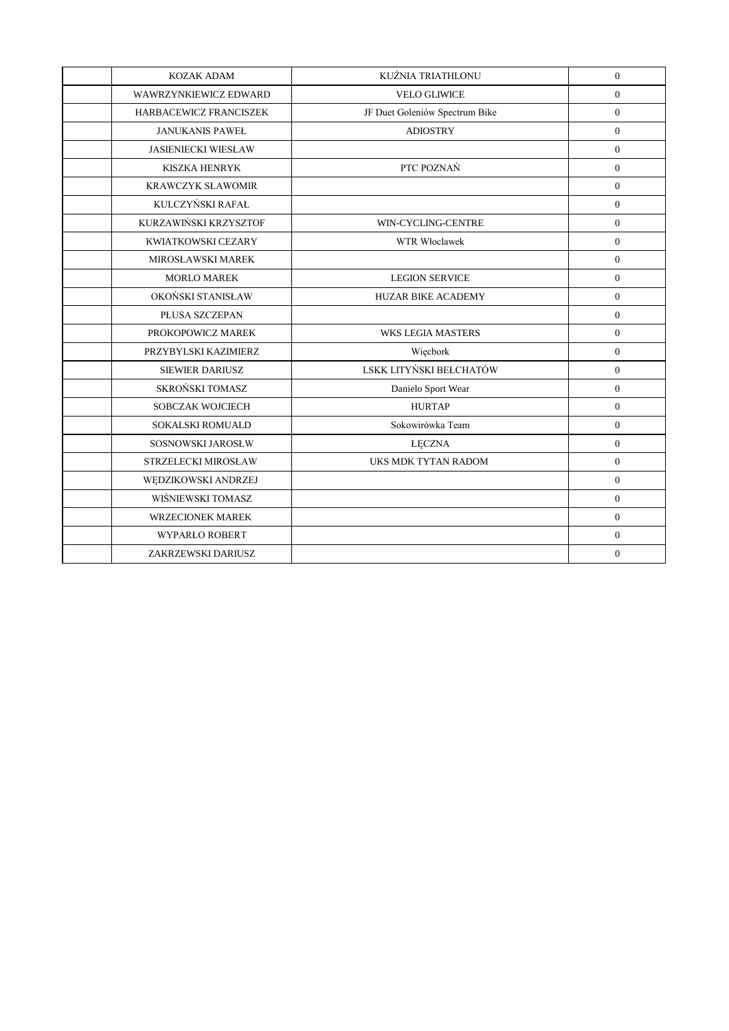| <b>KOZAK ADAM</b>          | KUŹNIA TRIATHLONU              | $\overline{0}$   |
|----------------------------|--------------------------------|------------------|
| WAWRZYNKIEWICZ EDWARD      | <b>VELO GLIWICE</b>            | $\mathbf{0}$     |
| HARBACEWICZ FRANCISZEK     | JF Duet Goleniów Spectrum Bike | $\overline{0}$   |
| <b>JANUKANIS PAWEŁ</b>     | <b>ADIOSTRY</b>                | $\mathbf{0}$     |
| <b>JASIENIECKI WIESŁAW</b> |                                | $\overline{0}$   |
| <b>KISZKA HENRYK</b>       | PTC POZNAŃ                     | $\overline{0}$   |
| <b>KRAWCZYK SŁAWOMIR</b>   |                                | $\boldsymbol{0}$ |
| KULCZYŃSKI RAFAŁ           |                                | $\overline{0}$   |
| KURZAWIŃSKI KRZYSZTOF      | WIN-CYCLING-CENTRE             | $\mathbf{0}$     |
| KWIATKOWSKI CEZARY         | <b>WTR Włoclawek</b>           | $\overline{0}$   |
| MIROSŁAWSKI MAREK          |                                | $\overline{0}$   |
| <b>MORLO MAREK</b>         | <b>LEGION SERVICE</b>          | $\mathbf{0}$     |
| OKOŃSKI STANISŁAW          | <b>HUZAR BIKE ACADEMY</b>      | $\overline{0}$   |
| PŁUSA SZCZEPAN             |                                | $\mathbf{0}$     |
| PROKOPOWICZ MAREK          | <b>WKS LEGIA MASTERS</b>       | $\overline{0}$   |
| PRZYBYLSKI KAZIMIERZ       | Więcbork                       | $\overline{0}$   |
| <b>SIEWIER DARIUSZ</b>     | LSKK LITYŃSKI BEŁCHATÓW        | $\overline{0}$   |
| SKROŃSKI TOMASZ            | Danielo Sport Wear             | $\mathbf{0}$     |
| SOBCZAK WOJCIECH           | <b>HURTAP</b>                  | $\overline{0}$   |
| <b>SOKALSKI ROMUALD</b>    | Sokowirówka Team               | $\overline{0}$   |
| SOSNOWSKI JAROSŁW          | <b>ŁĘCZNA</b>                  | $\overline{0}$   |
| STRZELECKI MIROSŁAW        | UKS MDK TYTAN RADOM            | $\overline{0}$   |
| WĘDZIKOWSKI ANDRZEJ        |                                | $\mathbf{0}$     |
| WIŚNIEWSKI TOMASZ          |                                | $\overline{0}$   |
| <b>WRZECIONEK MAREK</b>    |                                | $\overline{0}$   |
| WYPARŁO ROBERT             |                                | $\overline{0}$   |
| ZAKRZEWSKI DARIUSZ         |                                | $\mathbf{0}$     |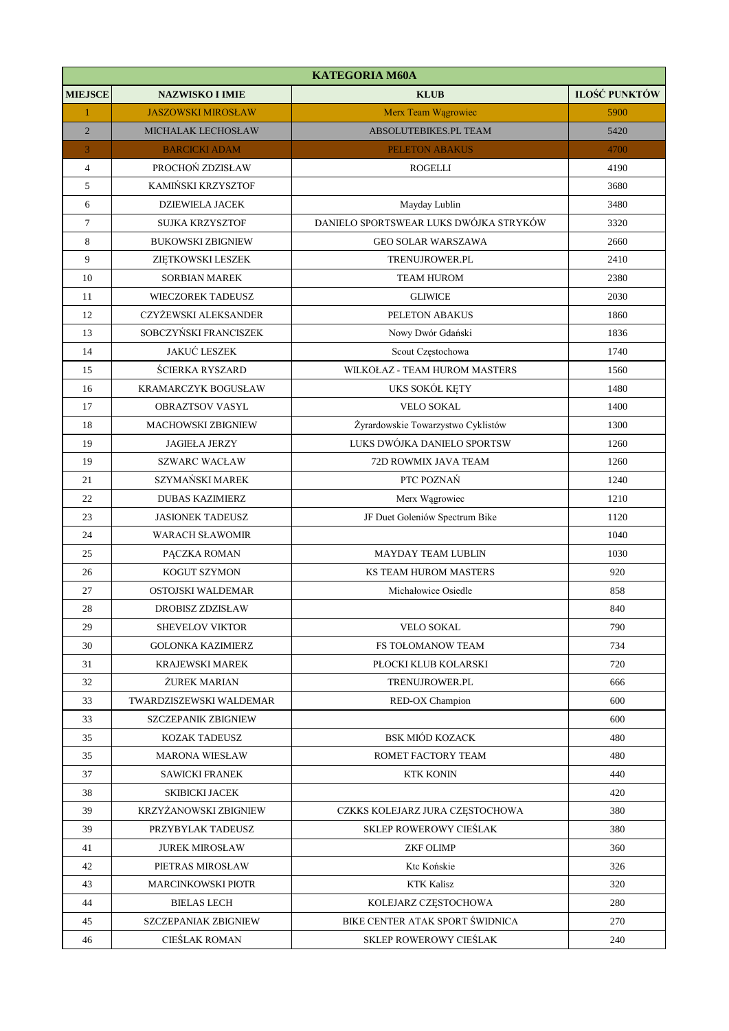| <b>KATEGORIA M60A</b> |                            |                                        |               |
|-----------------------|----------------------------|----------------------------------------|---------------|
| <b>MIEJSCE</b>        | <b>NAZWISKO I IMIE</b>     | <b>KLUB</b>                            | ILOŚĆ PUNKTÓW |
| $\mathbf{1}$          | <b>JASZOWSKI MIROSŁAW</b>  | Merx Team Wągrowiec                    | 5900          |
| $\overline{2}$        | MICHALAK LECHOSŁAW         | ABSOLUTEBIKES.PL TEAM                  | 5420          |
| 3                     | <b>BARCICKI ADAM</b>       | <b>PELETON ABAKUS</b>                  | 4700          |
| $\overline{4}$        | PROCHOŃ ZDZISŁAW           | <b>ROGELLI</b>                         | 4190          |
| 5                     | KAMIŃSKI KRZYSZTOF         |                                        | 3680          |
| 6                     | <b>DZIEWIELA JACEK</b>     | Mayday Lublin                          | 3480          |
| $\tau$                | SUJKA KRZYSZTOF            | DANIELO SPORTSWEAR LUKS DWÓJKA STRYKÓW | 3320          |
| 8                     | <b>BUKOWSKI ZBIGNIEW</b>   | <b>GEO SOLAR WARSZAWA</b>              | 2660          |
| 9                     | ZIĘTKOWSKI LESZEK          | TRENUJROWER.PL                         | 2410          |
| 10                    | <b>SORBIAN MAREK</b>       | <b>TEAM HUROM</b>                      | 2380          |
| 11                    | <b>WIECZOREK TADEUSZ</b>   | <b>GLIWICE</b>                         | 2030          |
| 12                    | CZYŻEWSKI ALEKSANDER       | PELETON ABAKUS                         | 1860          |
| 13                    | SOBCZYŃSKI FRANCISZEK      | Nowy Dwór Gdański                      | 1836          |
| 14                    | <b>JAKUĆ LESZEK</b>        | Scout Częstochowa                      | 1740          |
| 15                    | <b>ŚCIERKA RYSZARD</b>     | WILKOŁAZ - TEAM HUROM MASTERS          | 1560          |
| 16                    | KRAMARCZYK BOGUSŁAW        | UKS SOKÓŁ KĘTY                         | 1480          |
| 17                    | <b>OBRAZTSOV VASYL</b>     | <b>VELO SOKAL</b>                      | 1400          |
| 18                    | MACHOWSKI ZBIGNIEW         | Żyrardowskie Towarzystwo Cyklistów     | 1300          |
| 19                    | <b>JAGIEŁA JERZY</b>       | LUKS DWÓJKA DANIELO SPORTSW            | 1260          |
| 19                    | <b>SZWARC WACŁAW</b>       | 72D ROWMIX JAVA TEAM                   | 1260          |
| 21                    | SZYMAŃSKI MAREK            | PTC POZNAŃ                             | 1240          |
| 22                    | <b>DUBAS KAZIMIERZ</b>     | Merx Wągrowiec                         | 1210          |
| 23                    | <b>JASIONEK TADEUSZ</b>    | JF Duet Goleniów Spectrum Bike         | 1120          |
| 24                    | <b>WARACH SŁAWOMIR</b>     |                                        | 1040          |
| 25                    | PACZKA ROMAN               | <b>MAYDAY TEAM LUBLIN</b>              | 1030          |
| 26                    | KOGUT SZYMON               | KS TEAM HUROM MASTERS                  | 920           |
| 27                    | OSTOJSKI WALDEMAR          | Michałowice Osiedle                    | 858           |
| 28                    | <b>DROBISZ ZDZISŁAW</b>    |                                        | 840           |
| 29                    | SHEVELOV VIKTOR            | <b>VELO SOKAL</b>                      | 790           |
| 30                    | <b>GOLONKA KAZIMIERZ</b>   | FS TOŁOMANOW TEAM                      | 734           |
| 31                    | KRAJEWSKI MAREK            | PŁOCKI KLUB KOLARSKI                   | 720           |
| 32                    | ŻUREK MARIAN               | TRENUJROWER.PL                         | 666           |
| 33                    | TWARDZISZEWSKI WALDEMAR    | RED-OX Champion                        | 600           |
| 33                    | <b>SZCZEPANIK ZBIGNIEW</b> |                                        | 600           |
| 35                    | KOZAK TADEUSZ              | <b>BSK MIÓD KOZACK</b>                 | 480           |
| 35                    | <b>MARONA WIESŁAW</b>      | ROMET FACTORY TEAM                     | 480           |
| 37                    | <b>SAWICKI FRANEK</b>      | <b>KTK KONIN</b>                       | 440           |
| 38                    | SKIBICKI JACEK             |                                        | 420           |
| 39                    | KRZYŻANOWSKI ZBIGNIEW      | CZKKS KOLEJARZ JURA CZĘSTOCHOWA        | 380           |
| 39                    | PRZYBYLAK TADEUSZ          | SKLEP ROWEROWY CIEŚLAK                 | 380           |
| 41                    | <b>JUREK MIROSŁAW</b>      | <b>ZKF OLIMP</b>                       | 360           |
| 42                    | PIETRAS MIROSŁAW           | Ktc Końskie                            | 326           |
| 43                    | <b>MARCINKOWSKI PIOTR</b>  | <b>KTK Kalisz</b>                      | 320           |
| 44                    | <b>BIELAS LECH</b>         | KOLEJARZ CZESTOCHOWA                   | 280           |
| 45                    | SZCZEPANIAK ZBIGNIEW       | BIKE CENTER ATAK SPORT ŚWIDNICA        | 270           |
| 46                    | CIEŚLAK ROMAN              | SKLEP ROWEROWY CIEŚLAK                 | 240           |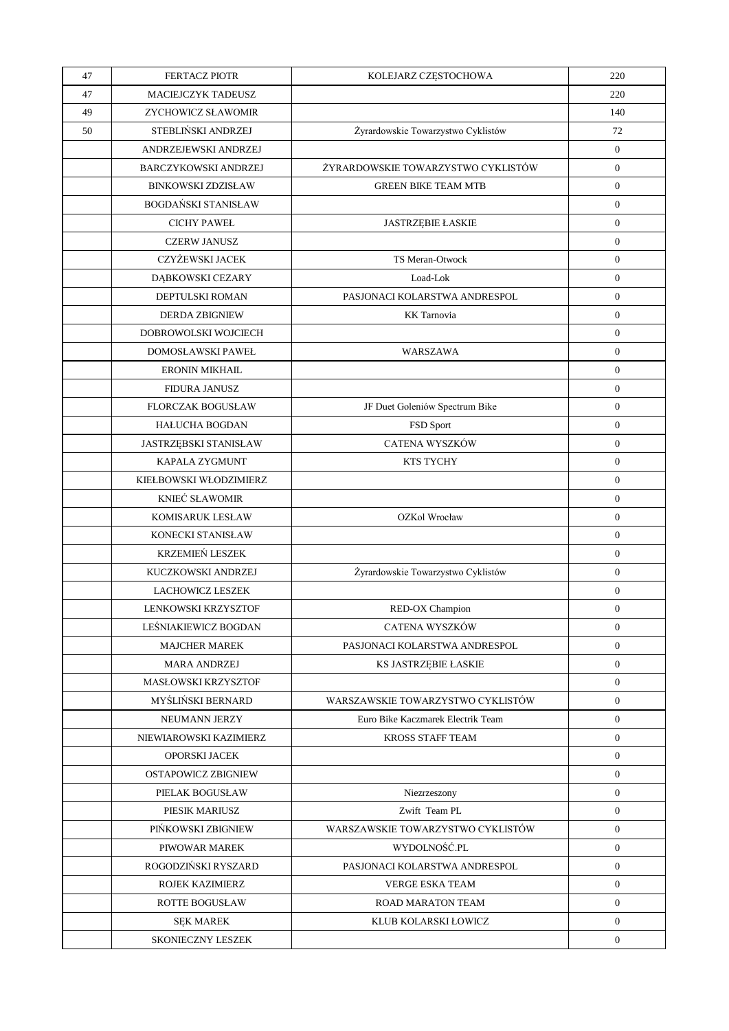| 47 | <b>FERTACZ PIOTR</b>         | KOLEJARZ CZĘSTOCHOWA               | 220              |
|----|------------------------------|------------------------------------|------------------|
| 47 | MACIEJCZYK TADEUSZ           |                                    | 220              |
| 49 | ZYCHOWICZ SŁAWOMIR           |                                    | 140              |
| 50 | STEBLIŃSKI ANDRZEJ           | Żyrardowskie Towarzystwo Cyklistów | 72               |
|    | ANDRZEJEWSKI ANDRZEJ         |                                    | $\overline{0}$   |
|    | <b>BARCZYKOWSKI ANDRZEJ</b>  | ŻYRARDOWSKIE TOWARZYSTWO CYKLISTÓW | $\overline{0}$   |
|    | <b>BINKOWSKI ZDZISŁAW</b>    | <b>GREEN BIKE TEAM MTB</b>         | $\boldsymbol{0}$ |
|    | <b>BOGDAŃSKI STANISŁAW</b>   |                                    | $\mathbf{0}$     |
|    | <b>CICHY PAWEL</b>           | <b>JASTRZEBIE ŁASKIE</b>           | $\overline{0}$   |
|    | <b>CZERW JANUSZ</b>          |                                    | $\mathbf{0}$     |
|    | CZYŻEWSKI JACEK              | TS Meran-Otwock                    | $\boldsymbol{0}$ |
|    | DĄBKOWSKI CEZARY             | Load-Lok                           | $\overline{0}$   |
|    | DEPTULSKI ROMAN              | PASJONACI KOLARSTWA ANDRESPOL      | $\mathbf{0}$     |
|    | <b>DERDA ZBIGNIEW</b>        | <b>KK</b> Tarnovia                 | $\mathbf{0}$     |
|    | DOBROWOLSKI WOJCIECH         |                                    | $\boldsymbol{0}$ |
|    | DOMOSŁAWSKI PAWEŁ            | WARSZAWA                           | $\mathbf{0}$     |
|    | <b>ERONIN MIKHAIL</b>        |                                    | $\mathbf{0}$     |
|    | <b>FIDURA JANUSZ</b>         |                                    | $\mathbf{0}$     |
|    | <b>FLORCZAK BOGUSŁAW</b>     | JF Duet Goleniów Spectrum Bike     | $\boldsymbol{0}$ |
|    | <b>HAŁUCHA BOGDAN</b>        | FSD Sport                          | $\mathbf{0}$     |
|    | <b>JASTRZEBSKI STANISŁAW</b> | CATENA WYSZKÓW                     | $\overline{0}$   |
|    | KAPALA ZYGMUNT               | KTS TYCHY                          | $\mathbf{0}$     |
|    | KIEŁBOWSKI WŁODZIMIERZ       |                                    | $\boldsymbol{0}$ |
|    | KNIEĆ SŁAWOMIR               |                                    | $\overline{0}$   |
|    | KOMISARUK LESŁAW             | OZKol Wrocław                      | $\mathbf{0}$     |
|    | KONECKI STANISŁAW            |                                    | $\mathbf{0}$     |
|    | <b>KRZEMIEŃ LESZEK</b>       |                                    | $\boldsymbol{0}$ |
|    | KUCZKOWSKI ANDRZEJ           | Żyrardowskie Towarzystwo Cyklistów | $\mathbf{0}$     |
|    | LACHOWICZ LESZEK             |                                    | $\boldsymbol{0}$ |
|    | LENKOWSKI KRZYSZTOF          | RED-OX Champion                    | $\mathbf{0}$     |
|    | LEŚNIAKIEWICZ BOGDAN         | CATENA WYSZKÓW                     | $\boldsymbol{0}$ |
|    | <b>MAJCHER MAREK</b>         | PASJONACI KOLARSTWA ANDRESPOL      | $\overline{0}$   |
|    | <b>MARA ANDRZEJ</b>          | KS JASTRZEBIE ŁASKIE               | $\overline{0}$   |
|    | <b>MASŁOWSKI KRZYSZTOF</b>   |                                    | $\overline{0}$   |
|    | MYŚLIŃSKI BERNARD            | WARSZAWSKIE TOWARZYSTWO CYKLISTÓW  | $\overline{0}$   |
|    | NEUMANN JERZY                | Euro Bike Kaczmarek Electrik Team  | $\overline{0}$   |
|    | NIEWIAROWSKI KAZIMIERZ       | <b>KROSS STAFF TEAM</b>            | $\overline{0}$   |
|    | OPORSKI JACEK                |                                    | $\theta$         |
|    | <b>OSTAPOWICZ ZBIGNIEW</b>   |                                    | $\overline{0}$   |
|    | PIELAK BOGUSŁAW              | Niezrzeszony                       | $\overline{0}$   |
|    | PIESIK MARIUSZ               | Zwift Team PL                      | $\overline{0}$   |
|    | PIŃKOWSKI ZBIGNIEW           | WARSZAWSKIE TOWARZYSTWO CYKLISTÓW  | $\overline{0}$   |
|    | PIWOWAR MAREK                | WYDOLNOŚĆ.PL                       | $\overline{0}$   |
|    | ROGODZIŃSKI RYSZARD          | PASJONACI KOLARSTWA ANDRESPOL      | $\overline{0}$   |
|    | ROJEK KAZIMIERZ              | <b>VERGE ESKA TEAM</b>             | $\overline{0}$   |
|    | <b>ROTTE BOGUSŁAW</b>        | ROAD MARATON TEAM                  | $\overline{0}$   |
|    | <b>SEK MAREK</b>             | KLUB KOLARSKI ŁOWICZ               | $\overline{0}$   |
|    | <b>SKONIECZNY LESZEK</b>     |                                    | $\mathbf{0}$     |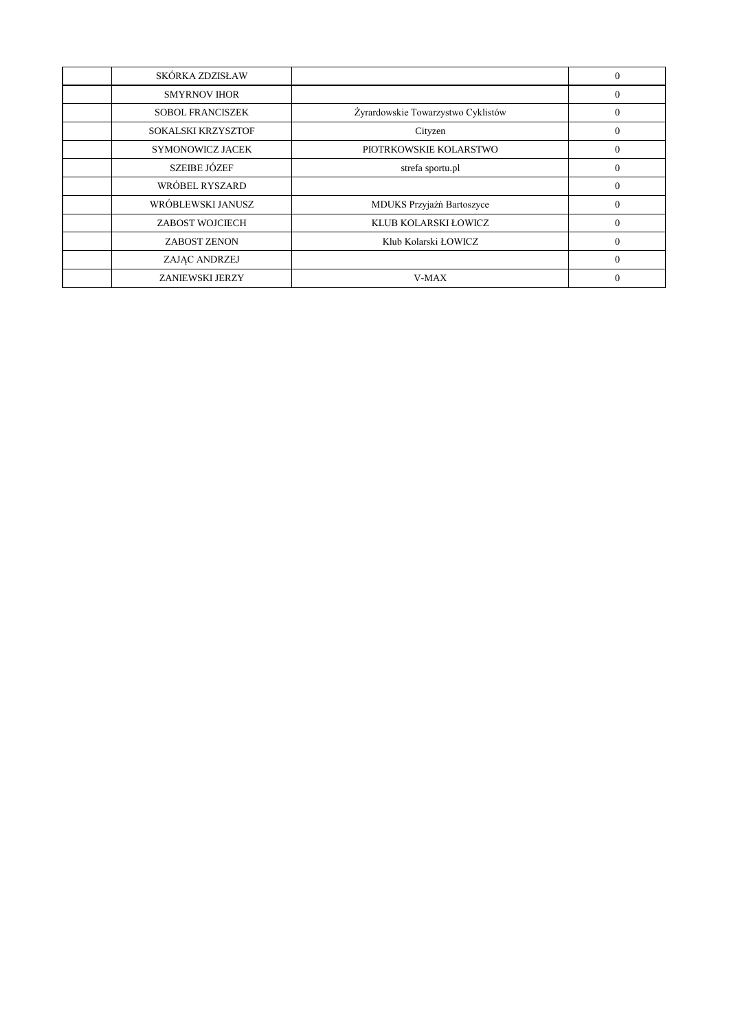| SKÓRKA ZDZISŁAW         |                                    | $\Omega$ |
|-------------------------|------------------------------------|----------|
| <b>SMYRNOV IHOR</b>     |                                    | $\Omega$ |
| <b>SOBOL FRANCISZEK</b> | Żyrardowskie Towarzystwo Cyklistów | $\Omega$ |
| SOKALSKI KRZYSZTOF      | Cityzen                            | $\Omega$ |
| SYMONOWICZ JACEK        | PIOTRKOWSKIE KOLARSTWO             | $\Omega$ |
| <b>SZEIBE JÓZEF</b>     | strefa sportu.pl                   | $\Omega$ |
| WRÓBEL RYSZARD          |                                    | $\Omega$ |
| WRÓBLEWSKI JANUSZ       | MDUKS Przyjaźń Bartoszyce          | $\Omega$ |
| ZABOST WOJCIECH         | KLUB KOLARSKI ŁOWICZ               | $\Omega$ |
| <b>ZABOST ZENON</b>     | Klub Kolarski ŁOWICZ               | $\Omega$ |
| ZAJAC ANDRZEJ           |                                    | $\Omega$ |
| <b>ZANIEWSKI JERZY</b>  | V-MAX                              |          |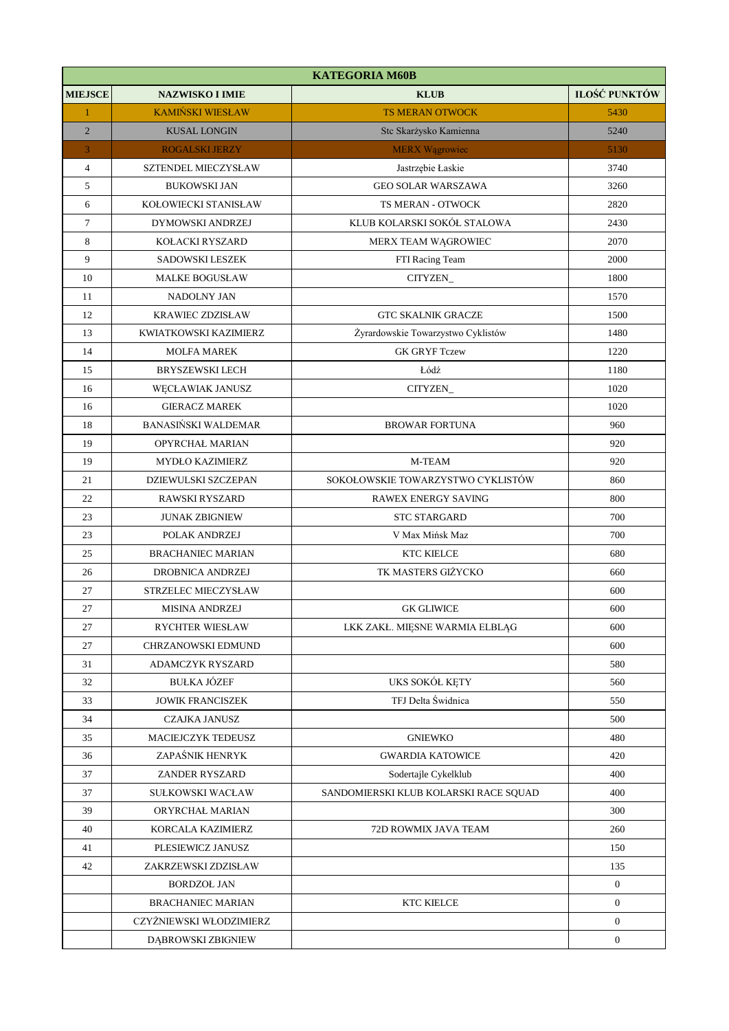|                | <b>KATEGORIA M60B</b>      |                                       |                  |  |
|----------------|----------------------------|---------------------------------------|------------------|--|
| <b>MIEJSCE</b> | <b>NAZWISKO I IMIE</b>     | <b>KLUB</b>                           | ILOŚĆ PUNKTÓW    |  |
| $\mathbf{1}$   | <b>KAMIŃSKI WIESŁAW</b>    | <b>TS MERAN OTWOCK</b>                | 5430             |  |
| $\overline{2}$ | <b>KUSAL LONGIN</b>        | Stc Skarżysko Kamienna                | 5240             |  |
| 3              | <b>ROGALSKI JERZY</b>      | <b>MERX</b> Wągrowiec                 | 5130             |  |
| $\overline{4}$ | SZTENDEL MIECZYSŁAW        | Jastrzębie Łaskie                     | 3740             |  |
| 5              | <b>BUKOWSKI JAN</b>        | <b>GEO SOLAR WARSZAWA</b>             | 3260             |  |
| 6              | KOŁOWIECKI STANISŁAW       | <b>TS MERAN - OTWOCK</b>              | 2820             |  |
| $\tau$         | DYMOWSKI ANDRZEJ           | KLUB KOLARSKI SOKÓŁ STALOWA           | 2430             |  |
| 8              | KOŁACKI RYSZARD            | MERX TEAM WĄGROWIEC                   | 2070             |  |
| 9              | SADOWSKI LESZEK            | FTI Racing Team                       | 2000             |  |
| 10             | <b>MALKE BOGUSŁAW</b>      | CITYZEN_                              | 1800             |  |
| 11             | NADOLNY JAN                |                                       | 1570             |  |
| 12             | <b>KRAWIEC ZDZISŁAW</b>    | <b>GTC SKALNIK GRACZE</b>             | 1500             |  |
| 13             | KWIATKOWSKI KAZIMIERZ      | Żyrardowskie Towarzystwo Cyklistów    | 1480             |  |
| 14             | <b>MOLFA MAREK</b>         | <b>GK GRYF Tczew</b>                  | 1220             |  |
| 15             | <b>BRYSZEWSKI LECH</b>     | Łódź                                  | 1180             |  |
| 16             | WĘCŁAWIAK JANUSZ           | CITYZEN_                              | 1020             |  |
| 16             | <b>GIERACZ MAREK</b>       |                                       | 1020             |  |
| 18             | <b>BANASIŃSKI WALDEMAR</b> | <b>BROWAR FORTUNA</b>                 | 960              |  |
| 19             | OPYRCHAŁ MARIAN            |                                       | 920              |  |
| 19             | MYDŁO KAZIMIERZ            | M-TEAM                                | 920              |  |
| 21             | DZIEWULSKI SZCZEPAN        | SOKOŁOWSKIE TOWARZYSTWO CYKLISTÓW     | 860              |  |
| 22             | <b>RAWSKI RYSZARD</b>      | RAWEX ENERGY SAVING                   | 800              |  |
| 23             | <b>JUNAK ZBIGNIEW</b>      | <b>STC STARGARD</b>                   | 700              |  |
| 23             | POLAK ANDRZEJ              | V Max Mińsk Maz                       | 700              |  |
| 25             | <b>BRACHANIEC MARIAN</b>   | KTC KIELCE                            | 680              |  |
| 26             | DROBNICA ANDRZEJ           | TK MASTERS GIŻYCKO                    | 660              |  |
| $27\,$         | STRZELEC MIECZYSŁAW        |                                       | 600              |  |
| 27             | <b>MISINA ANDRZEJ</b>      | <b>GK GLIWICE</b>                     | 600              |  |
| 27             | RYCHTER WIESŁAW            | LKK ZAKŁ. MIĘSNE WARMIA ELBLĄG        | 600              |  |
| 27             | CHRZANOWSKI EDMUND         |                                       | 600              |  |
| 31             | ADAMCZYK RYSZARD           |                                       | 580              |  |
| 32             | <b>BUŁKA JÓZEF</b>         | UKS SOKÓŁ KĘTY                        | 560              |  |
| 33             | <b>JOWIK FRANCISZEK</b>    | TFJ Delta Świdnica                    | 550              |  |
| 34             | CZAJKA JANUSZ              |                                       | 500              |  |
| 35             | MACIEJCZYK TEDEUSZ         | <b>GNIEWKO</b>                        | 480              |  |
| 36             | ZAPAŚNIK HENRYK            | <b>GWARDIA KATOWICE</b>               | 420              |  |
| 37             | ZANDER RYSZARD             | Sodertajle Cykelklub                  | 400              |  |
| 37             | SUŁKOWSKI WACŁAW           | SANDOMIERSKI KLUB KOLARSKI RACE SQUAD | 400              |  |
| 39             | ORYRCHAŁ MARIAN            |                                       | 300              |  |
| 40             | KORCALA KAZIMIERZ          | 72D ROWMIX JAVA TEAM                  | 260              |  |
| 41             | PLESIEWICZ JANUSZ          |                                       | 150              |  |
| 42             | ZAKRZEWSKI ZDZISŁAW        |                                       | 135              |  |
|                | <b>BORDZOŁ JAN</b>         |                                       | $\mathbf{0}$     |  |
|                | <b>BRACHANIEC MARIAN</b>   | <b>KTC KIELCE</b>                     | $\boldsymbol{0}$ |  |
|                | CZYŻNIEWSKI WŁODZIMIERZ    |                                       | $\mathbf{0}$     |  |
|                | DĄBROWSKI ZBIGNIEW         |                                       | $\mathbf{0}$     |  |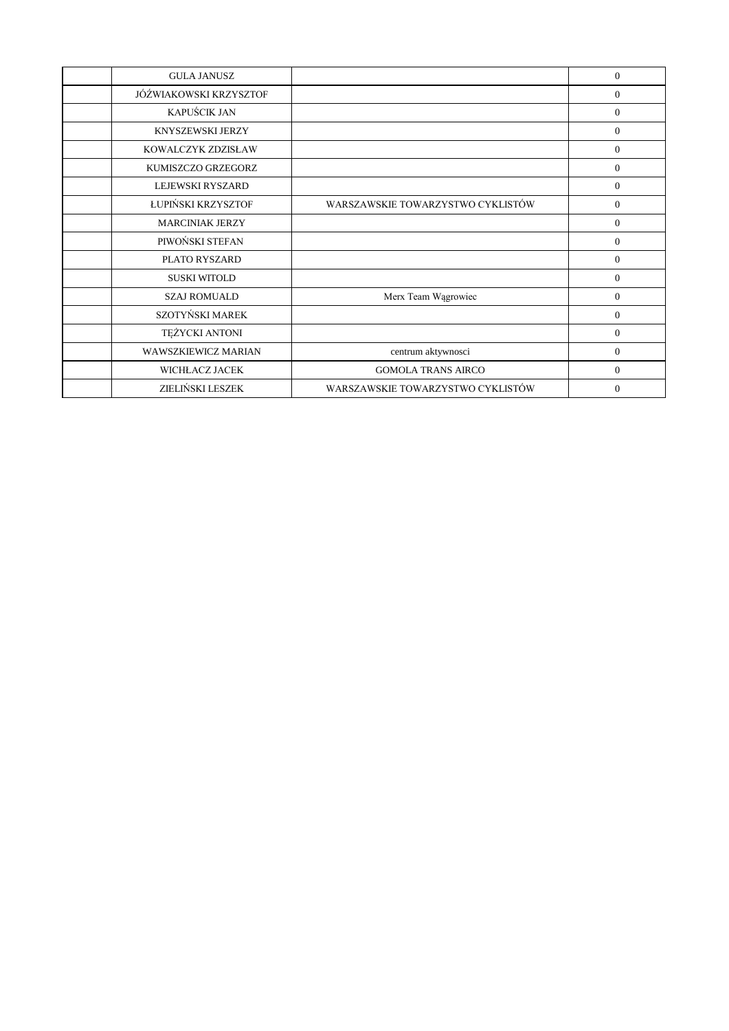| <b>GULA JANUSZ</b>     |                                   | $\Omega$       |
|------------------------|-----------------------------------|----------------|
| JÓŹWIAKOWSKI KRZYSZTOF |                                   | $\overline{0}$ |
| KAPUŚCIK JAN           |                                   | $\overline{0}$ |
| KNYSZEWSKI JERZY       |                                   | $\overline{0}$ |
| KOWALCZYK ZDZISŁAW     |                                   | $\Omega$       |
| KUMISZCZO GRZEGORZ     |                                   | $\Omega$       |
| LEJEWSKI RYSZARD       |                                   | $\overline{0}$ |
| ŁUPIŃSKI KRZYSZTOF     | WARSZAWSKIE TOWARZYSTWO CYKLISTÓW | $\overline{0}$ |
| <b>MARCINIAK JERZY</b> |                                   | $\overline{0}$ |
| PIWOŃSKI STEFAN        |                                   | $\theta$       |
| PLATO RYSZARD          |                                   | $\overline{0}$ |
| <b>SUSKI WITOLD</b>    |                                   | $\overline{0}$ |
| <b>SZAJ ROMUALD</b>    | Merx Team Wągrowiec               | $\overline{0}$ |
| SZOTYŃSKI MAREK        |                                   | $\overline{0}$ |
| TEŻYCKI ANTONI         |                                   | $\overline{0}$ |
| WAWSZKIEWICZ MARIAN    | centrum aktywnosci                | $\overline{0}$ |
| WICHŁACZ JACEK         | <b>GOMOLA TRANS AIRCO</b>         | $\overline{0}$ |
| ZIELIŃSKI LESZEK       | WARSZAWSKIE TOWARZYSTWO CYKLISTÓW | $\Omega$       |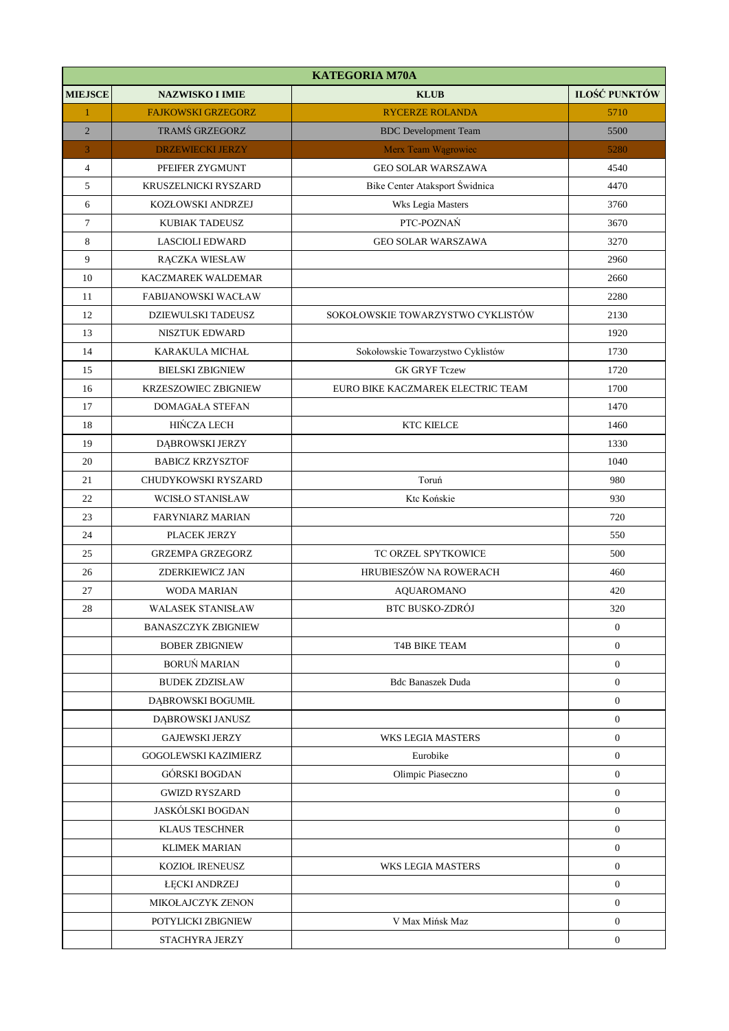|                | <b>KATEGORIA M70A</b>       |                                   |                |  |
|----------------|-----------------------------|-----------------------------------|----------------|--|
| <b>MIEJSCE</b> | <b>NAZWISKO I IMIE</b>      | <b>KLUB</b>                       | ILOŚĆ PUNKTÓW  |  |
| $\mathbf{1}$   | <b>FAJKOWSKI GRZEGORZ</b>   | <b>RYCERZE ROLANDA</b>            | 5710           |  |
| $\overline{2}$ | TRAMŚ GRZEGORZ              | <b>BDC</b> Development Team       | 5500           |  |
| 3              | <b>DRZEWIECKI JERZY</b>     | Merx Team Wągrowiec               | 5280           |  |
| $\overline{4}$ | PFEIFER ZYGMUNT             | <b>GEO SOLAR WARSZAWA</b>         | 4540           |  |
| 5              | KRUSZELNICKI RYSZARD        | Bike Center Ataksport Świdnica    | 4470           |  |
| 6              | KOZŁOWSKI ANDRZEJ           | Wks Legia Masters                 | 3760           |  |
| $\tau$         | KUBIAK TADEUSZ              | PTC-POZNAŃ                        | 3670           |  |
| 8              | <b>LASCIOLI EDWARD</b>      | <b>GEO SOLAR WARSZAWA</b>         | 3270           |  |
| 9              | RĄCZKA WIESŁAW              |                                   | 2960           |  |
| 10             | KACZMAREK WALDEMAR          |                                   | 2660           |  |
| 11             | FABIJANOWSKI WACŁAW         |                                   | 2280           |  |
| 12             | DZIEWULSKI TADEUSZ          | SOKOŁOWSKIE TOWARZYSTWO CYKLISTÓW | 2130           |  |
| 13             | <b>NISZTUK EDWARD</b>       |                                   | 1920           |  |
| 14             | <b>KARAKULA MICHAŁ</b>      | Sokołowskie Towarzystwo Cyklistów | 1730           |  |
| 15             | <b>BIELSKI ZBIGNIEW</b>     | <b>GK GRYF Tczew</b>              | 1720           |  |
| 16             | <b>KRZESZOWIEC ZBIGNIEW</b> | EURO BIKE KACZMAREK ELECTRIC TEAM | 1700           |  |
| 17             | <b>DOMAGAŁA STEFAN</b>      |                                   | 1470           |  |
| 18             | <b>HIŃCZA LECH</b>          | <b>KTC KIELCE</b>                 | 1460           |  |
| 19             | DĄBROWSKI JERZY             |                                   | 1330           |  |
| 20             | <b>BABICZ KRZYSZTOF</b>     |                                   | 1040           |  |
| 21             | CHUDYKOWSKI RYSZARD         | Toruń                             | 980            |  |
| 22             | <b>WCISŁO STANISŁAW</b>     | Ktc Końskie                       | 930            |  |
| 23             | <b>FARYNIARZ MARIAN</b>     |                                   | 720            |  |
| 24             | PLACEK JERZY                |                                   | 550            |  |
| 25             | <b>GRZEMPA GRZEGORZ</b>     | TC ORZEŁ SPYTKOWICE               | 500            |  |
| 26             | ZDERKIEWICZ JAN             | HRUBIESZÓW NA ROWERACH            | 460            |  |
| 27             | <b>WODA MARIAN</b>          | AQUAROMANO                        | 420            |  |
| 28             | <b>WALASEK STANISŁAW</b>    | <b>BTC BUSKO-ZDRÓJ</b>            | 320            |  |
|                | <b>BANASZCZYK ZBIGNIEW</b>  |                                   | $\mathbf{0}$   |  |
|                | <b>BOBER ZBIGNIEW</b>       | <b>T4B BIKE TEAM</b>              | $\overline{0}$ |  |
|                | <b>BORUŃ MARIAN</b>         |                                   | $\mathbf{0}$   |  |
|                | <b>BUDEK ZDZISŁAW</b>       | <b>Bdc Banaszek Duda</b>          | $\overline{0}$ |  |
|                | DABROWSKI BOGUMIŁ           |                                   | $\mathbf{0}$   |  |
|                | DĄBROWSKI JANUSZ            |                                   | $\overline{0}$ |  |
|                | <b>GAJEWSKI JERZY</b>       | <b>WKS LEGIA MASTERS</b>          | $\mathbf{0}$   |  |
|                | <b>GOGOLEWSKI KAZIMIERZ</b> | Eurobike                          | $\mathbf{0}$   |  |
|                | GÓRSKI BOGDAN               | Olimpic Piaseczno                 | $\mathbf{0}$   |  |
|                | <b>GWIZD RYSZARD</b>        |                                   | $\overline{0}$ |  |
|                | <b>JASKÓLSKI BOGDAN</b>     |                                   | $\mathbf{0}$   |  |
|                | <b>KLAUS TESCHNER</b>       |                                   | $\mathbf{0}$   |  |
|                | <b>KLIMEK MARIAN</b>        |                                   | $\mathbf{0}$   |  |
|                | KOZIOŁ IRENEUSZ             | WKS LEGIA MASTERS                 | $\overline{0}$ |  |
|                | <b>ŁĘCKI ANDRZEJ</b>        |                                   | $\mathbf{0}$   |  |
|                | MIKOŁAJCZYK ZENON           |                                   | $\mathbf{0}$   |  |
|                | POTYLICKI ZBIGNIEW          | V Max Mińsk Maz                   | $\mathbf{0}$   |  |
|                | STACHYRA JERZY              |                                   | $\overline{0}$ |  |